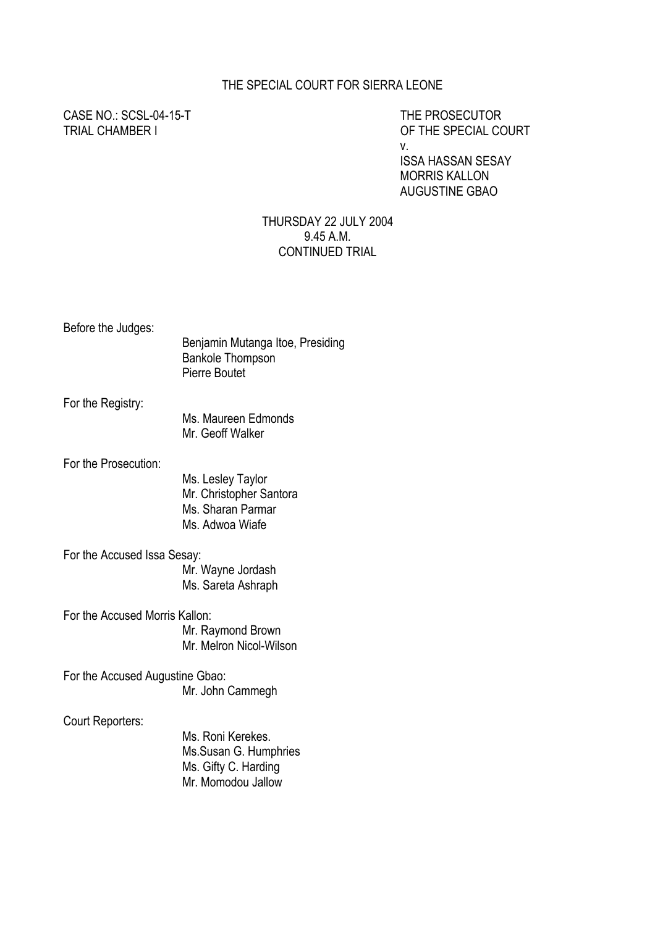#### THE SPECIAL COURT FOR SIERRA LEONE

CASE NO.: SCSL-04-15-T THE PROSECUTOR

OF THE SPECIAL COURT v.

ISSA HASSAN SESAY MORRIS KALLON AUGUSTINE GBAO

#### THURSDAY 22 JULY 2004 9.45 A.M. CONTINUED TRIAL

Before the Judges:

| Benjamin Mutanga Itoe, Presiding |
|----------------------------------|
| <b>Bankole Thompson</b>          |
| Pierre Boutet                    |

For the Registry:

 Ms. Maureen Edmonds Mr. Geoff Walker

For the Prosecution:

Ms. Lesley Taylor Mr. Christopher Santora Ms. Sharan Parmar Ms. Adwoa Wiafe

For the Accused Issa Sesay: Mr. Wayne Jordash Ms. Sareta Ashraph

For the Accused Morris Kallon: Mr. Raymond Brown Mr. Melron Nicol-Wilson

For the Accused Augustine Gbao: Mr. John Cammegh

Court Reporters:

Ms. Roni Kerekes. Ms.Susan G. Humphries Ms. Gifty C. Harding Mr. Momodou Jallow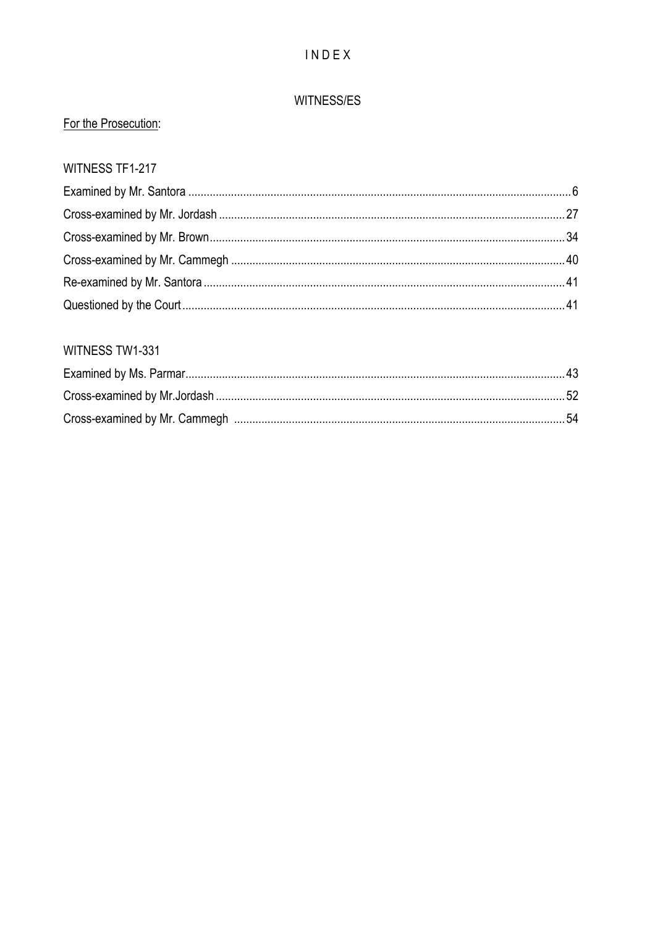# INDEX

## WITNESS/ES

# For the Prosecution:

## WITNESS TF1-217

# WITNESS TW1-331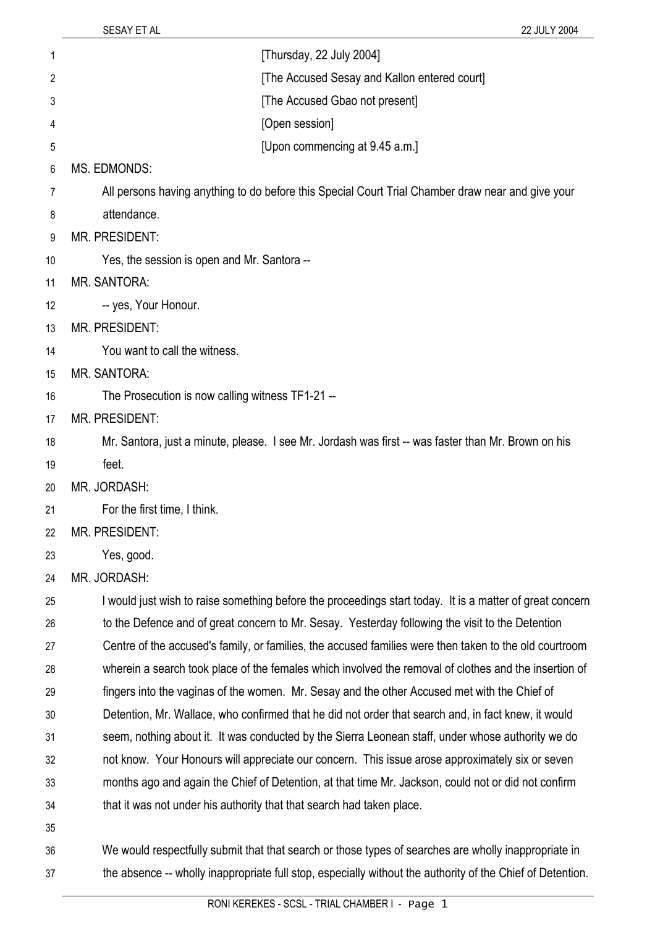37

| 1  | [Thursday, 22 July 2004]                                                                                 |
|----|----------------------------------------------------------------------------------------------------------|
| 2  | [The Accused Sesay and Kallon entered court]                                                             |
| 3  | [The Accused Gbao not present]                                                                           |
| 4  | [Open session]                                                                                           |
| 5  | [Upon commencing at 9.45 a.m.]                                                                           |
| 6  | <b>MS. EDMONDS:</b>                                                                                      |
| 7  | All persons having anything to do before this Special Court Trial Chamber draw near and give your        |
| 8  | attendance.                                                                                              |
| 9  | <b>MR. PRESIDENT:</b>                                                                                    |
| 10 | Yes, the session is open and Mr. Santora --                                                              |
| 11 | <b>MR. SANTORA:</b>                                                                                      |
| 12 | -- yes, Your Honour.                                                                                     |
| 13 | <b>MR. PRESIDENT:</b>                                                                                    |
| 14 | You want to call the witness.                                                                            |
| 15 | <b>MR. SANTORA:</b>                                                                                      |
| 16 | The Prosecution is now calling witness TF1-21 --                                                         |
| 17 | <b>MR. PRESIDENT:</b>                                                                                    |
| 18 | Mr. Santora, just a minute, please. I see Mr. Jordash was first -- was faster than Mr. Brown on his      |
| 19 | feet.                                                                                                    |
| 20 | MR. JORDASH:                                                                                             |
| 21 | For the first time, I think.                                                                             |
| 22 | MR. PRESIDENT:                                                                                           |
| 23 | Yes, good.                                                                                               |
| 24 | MR. JORDASH:                                                                                             |
| 25 | I would just wish to raise something before the proceedings start today. It is a matter of great concern |
| 26 | to the Defence and of great concern to Mr. Sesay. Yesterday following the visit to the Detention         |
| 27 | Centre of the accused's family, or families, the accused families were then taken to the old courtroom   |
| 28 | wherein a search took place of the females which involved the removal of clothes and the insertion of    |
| 29 | fingers into the vaginas of the women. Mr. Sesay and the other Accused met with the Chief of             |
| 30 | Detention, Mr. Wallace, who confirmed that he did not order that search and, in fact knew, it would      |
| 31 | seem, nothing about it. It was conducted by the Sierra Leonean staff, under whose authority we do        |
| 32 | not know. Your Honours will appreciate our concern. This issue arose approximately six or seven          |
| 33 | months ago and again the Chief of Detention, at that time Mr. Jackson, could not or did not confirm      |
| 34 | that it was not under his authority that that search had taken place.                                    |
| 35 |                                                                                                          |
| 36 | We would respectfully submit that that search or those types of searches are wholly inappropriate in     |

the absence -- wholly inappropriate full stop, especially without the authority of the Chief of Detention.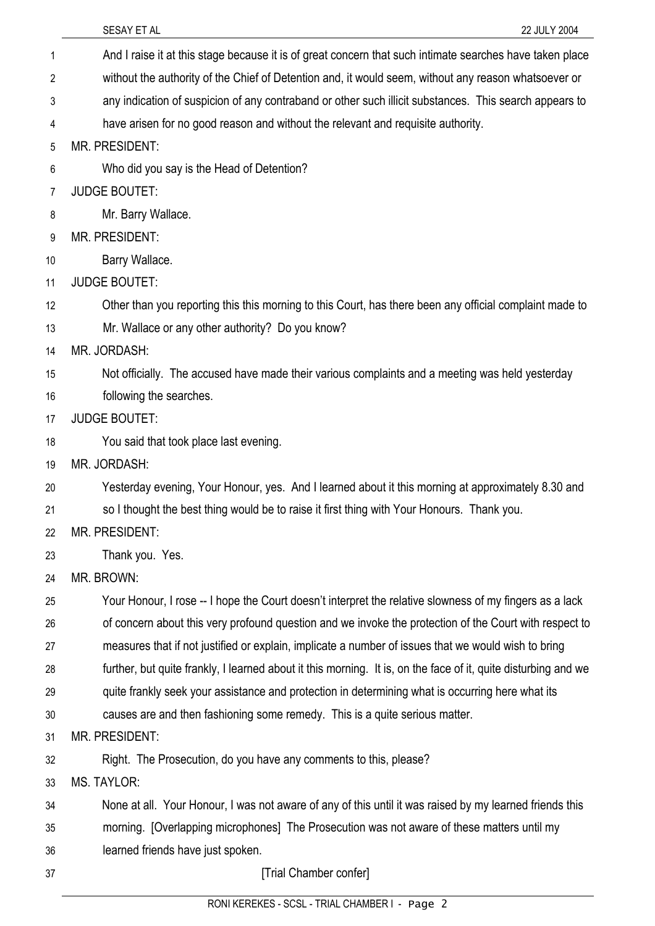|    | SESAY ET AL<br>22 JULY 2004                                                                                    |
|----|----------------------------------------------------------------------------------------------------------------|
| 1  | And I raise it at this stage because it is of great concern that such intimate searches have taken place       |
| 2  | without the authority of the Chief of Detention and, it would seem, without any reason whatsoever or           |
| 3  | any indication of suspicion of any contraband or other such illicit substances. This search appears to         |
| 4  | have arisen for no good reason and without the relevant and requisite authority.                               |
| 5  | <b>MR. PRESIDENT:</b>                                                                                          |
| 6  | Who did you say is the Head of Detention?                                                                      |
| 7  | <b>JUDGE BOUTET:</b>                                                                                           |
| 8  | Mr. Barry Wallace.                                                                                             |
| 9  | <b>MR. PRESIDENT:</b>                                                                                          |
| 10 | Barry Wallace.                                                                                                 |
| 11 | <b>JUDGE BOUTET:</b>                                                                                           |
| 12 | Other than you reporting this this morning to this Court, has there been any official complaint made to        |
| 13 | Mr. Wallace or any other authority? Do you know?                                                               |
| 14 | MR. JORDASH:                                                                                                   |
| 15 | Not officially. The accused have made their various complaints and a meeting was held yesterday                |
| 16 | following the searches.                                                                                        |
| 17 | <b>JUDGE BOUTET:</b>                                                                                           |
| 18 | You said that took place last evening.                                                                         |
| 19 | MR. JORDASH:                                                                                                   |
| 20 | Yesterday evening, Your Honour, yes. And I learned about it this morning at approximately 8.30 and             |
| 21 | so I thought the best thing would be to raise it first thing with Your Honours. Thank you.                     |
| 22 | <b>MR. PRESIDENT:</b>                                                                                          |
| 23 | Thank you. Yes.                                                                                                |
| 24 | MR. BROWN:                                                                                                     |
| 25 | Your Honour, I rose -- I hope the Court doesn't interpret the relative slowness of my fingers as a lack        |
| 26 | of concern about this very profound question and we invoke the protection of the Court with respect to         |
| 27 | measures that if not justified or explain, implicate a number of issues that we would wish to bring            |
| 28 | further, but quite frankly, I learned about it this morning. It is, on the face of it, quite disturbing and we |
| 29 | quite frankly seek your assistance and protection in determining what is occurring here what its               |
| 30 | causes are and then fashioning some remedy. This is a quite serious matter.                                    |
| 31 | MR. PRESIDENT:                                                                                                 |
| 32 | Right. The Prosecution, do you have any comments to this, please?                                              |
| 33 | <b>MS. TAYLOR:</b>                                                                                             |
| 34 | None at all. Your Honour, I was not aware of any of this until it was raised by my learned friends this        |
| 35 | morning. [Overlapping microphones] The Prosecution was not aware of these matters until my                     |
| 36 | learned friends have just spoken.                                                                              |
| 37 | [Trial Chamber confer]                                                                                         |
|    | RONI KEREKES - SCSL - TRIAL CHAMBER I - Page 2                                                                 |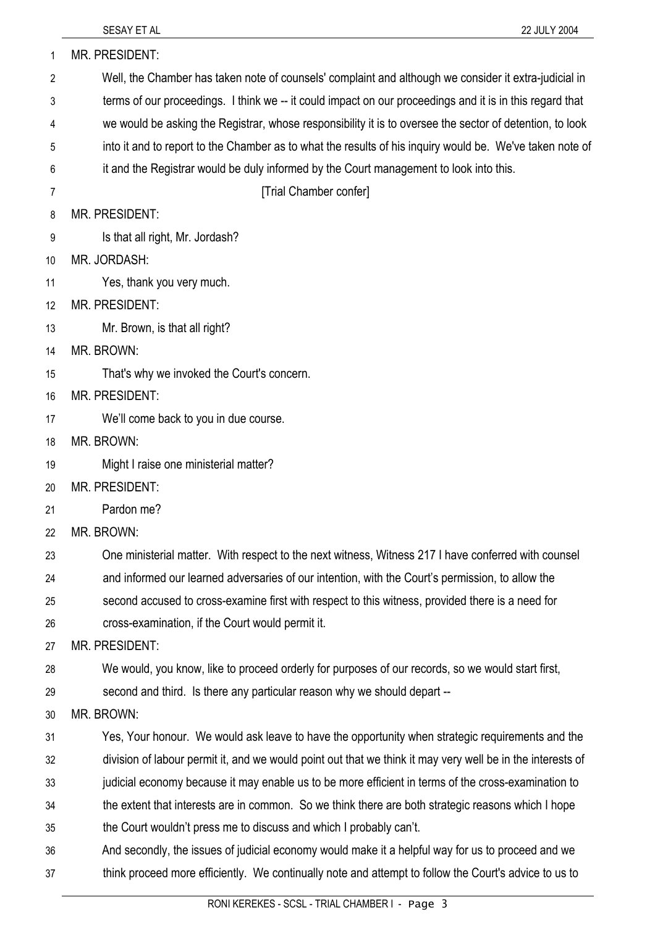| 1  | MR. PRESIDENT:                                                                                             |
|----|------------------------------------------------------------------------------------------------------------|
| 2  | Well, the Chamber has taken note of counsels' complaint and although we consider it extra-judicial in      |
| 3  | terms of our proceedings. I think we -- it could impact on our proceedings and it is in this regard that   |
| 4  | we would be asking the Registrar, whose responsibility it is to oversee the sector of detention, to look   |
| 5  | into it and to report to the Chamber as to what the results of his inquiry would be. We've taken note of   |
| 6  | it and the Registrar would be duly informed by the Court management to look into this.                     |
| 7  | [Trial Chamber confer]                                                                                     |
| 8  | <b>MR. PRESIDENT:</b>                                                                                      |
| 9  | Is that all right, Mr. Jordash?                                                                            |
| 10 | MR. JORDASH:                                                                                               |
| 11 | Yes, thank you very much.                                                                                  |
| 12 | <b>MR. PRESIDENT:</b>                                                                                      |
| 13 | Mr. Brown, is that all right?                                                                              |
| 14 | MR. BROWN:                                                                                                 |
| 15 | That's why we invoked the Court's concern.                                                                 |
| 16 | MR. PRESIDENT:                                                                                             |
| 17 | We'll come back to you in due course.                                                                      |
| 18 | MR. BROWN:                                                                                                 |
| 19 | Might I raise one ministerial matter?                                                                      |
| 20 | MR. PRESIDENT:                                                                                             |
| 21 | Pardon me?                                                                                                 |
| 22 | MR. BROWN:                                                                                                 |
| 23 | One ministerial matter. With respect to the next witness, Witness 217 I have conferred with counsel        |
| 24 | and informed our learned adversaries of our intention, with the Court's permission, to allow the           |
| 25 | second accused to cross-examine first with respect to this witness, provided there is a need for           |
| 26 | cross-examination, if the Court would permit it.                                                           |
| 27 | <b>MR. PRESIDENT:</b>                                                                                      |
| 28 | We would, you know, like to proceed orderly for purposes of our records, so we would start first,          |
| 29 | second and third. Is there any particular reason why we should depart --                                   |
| 30 | MR. BROWN:                                                                                                 |
| 31 | Yes, Your honour. We would ask leave to have the opportunity when strategic requirements and the           |
| 32 | division of labour permit it, and we would point out that we think it may very well be in the interests of |
| 33 | judicial economy because it may enable us to be more efficient in terms of the cross-examination to        |
| 34 | the extent that interests are in common. So we think there are both strategic reasons which I hope         |
| 35 | the Court wouldn't press me to discuss and which I probably can't.                                         |
| 36 | And secondly, the issues of judicial economy would make it a helpful way for us to proceed and we          |
| 37 | think proceed more efficiently. We continually note and attempt to follow the Court's advice to us to      |
|    | BOULIFREIGO COOL TRULOUISPERI                                                                              |

SESAY ET AL 22 JULY 2004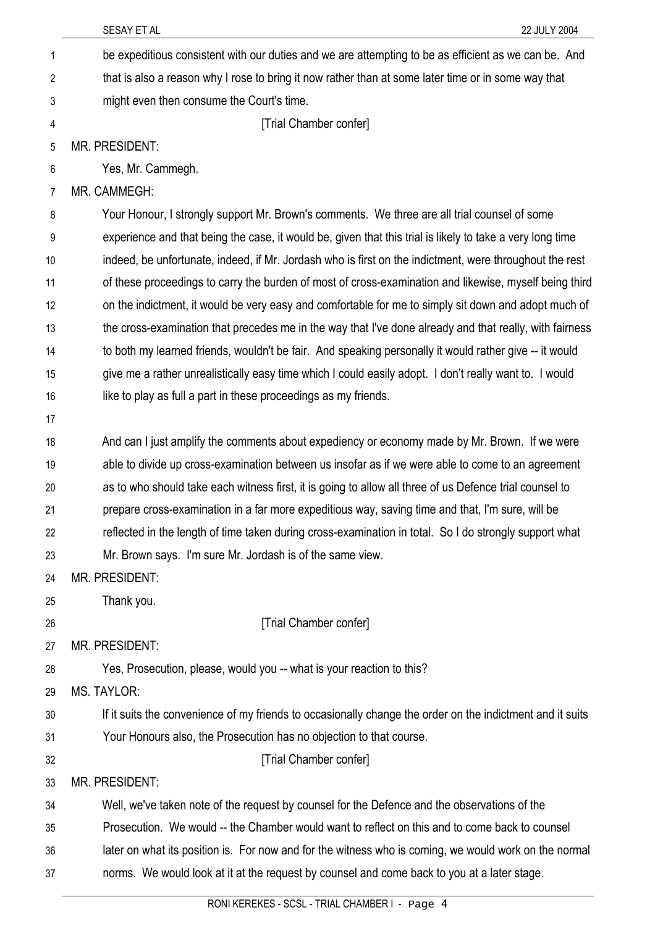| 1              | be expeditious consistent with our duties and we are attempting to be as efficient as we can be. And      |
|----------------|-----------------------------------------------------------------------------------------------------------|
| $\overline{2}$ | that is also a reason why I rose to bring it now rather than at some later time or in some way that       |
| 3              | might even then consume the Court's time.                                                                 |
| 4              | [Trial Chamber confer]                                                                                    |
| 5              | <b>MR. PRESIDENT:</b>                                                                                     |
| 6              | Yes, Mr. Cammegh.                                                                                         |
| 7              | MR. CAMMEGH:                                                                                              |
| 8              | Your Honour, I strongly support Mr. Brown's comments. We three are all trial counsel of some              |
| 9              | experience and that being the case, it would be, given that this trial is likely to take a very long time |
| 10             | indeed, be unfortunate, indeed, if Mr. Jordash who is first on the indictment, were throughout the rest   |
| 11             | of these proceedings to carry the burden of most of cross-examination and likewise, myself being third    |
| 12             | on the indictment, it would be very easy and comfortable for me to simply sit down and adopt much of      |
| 13             | the cross-examination that precedes me in the way that I've done already and that really, with fairness   |
| 14             | to both my learned friends, wouldn't be fair. And speaking personally it would rather give -- it would    |
| 15             | give me a rather unrealistically easy time which I could easily adopt. I don't really want to. I would    |
| 16             | like to play as full a part in these proceedings as my friends.                                           |
| 17             |                                                                                                           |
| 18             | And can I just amplify the comments about expediency or economy made by Mr. Brown. If we were             |
| 19             | able to divide up cross-examination between us insofar as if we were able to come to an agreement         |
| 20             | as to who should take each witness first, it is going to allow all three of us Defence trial counsel to   |
| 21             | prepare cross-examination in a far more expeditious way, saving time and that, I'm sure, will be          |
| 22             | reflected in the length of time taken during cross-examination in total. So I do strongly support what    |
| 23             | Mr. Brown says. I'm sure Mr. Jordash is of the same view.                                                 |
| 24             | MR. PRESIDENT:                                                                                            |
| 25             | Thank you.                                                                                                |
| 26             | [Trial Chamber confer]                                                                                    |
| 27             | MR. PRESIDENT:                                                                                            |
| 28             | Yes, Prosecution, please, would you -- what is your reaction to this?                                     |
| 29             | MS. TAYLOR:                                                                                               |
| 30             | If it suits the convenience of my friends to occasionally change the order on the indictment and it suits |
| 31             | Your Honours also, the Prosecution has no objection to that course.                                       |
| 32             | [Trial Chamber confer]                                                                                    |
| 33             | MR. PRESIDENT:                                                                                            |
| 34             | Well, we've taken note of the request by counsel for the Defence and the observations of the              |
| 35             | Prosecution. We would -- the Chamber would want to reflect on this and to come back to counsel            |
| 36             | later on what its position is. For now and for the witness who is coming, we would work on the normal     |
| 37             | norms. We would look at it at the request by counsel and come back to you at a later stage.               |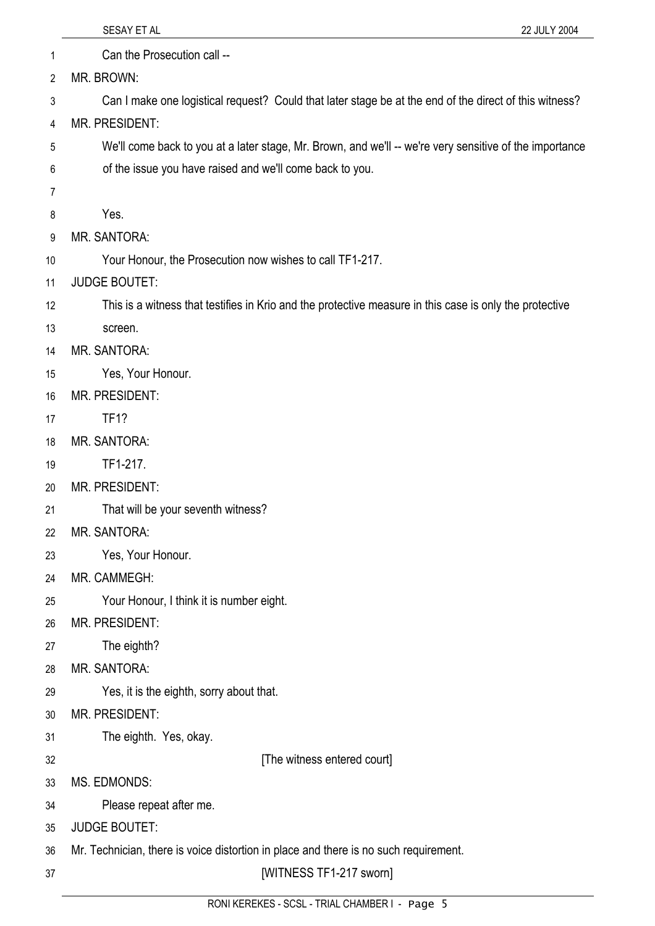| 1  | Can the Prosecution call --                                                                             |
|----|---------------------------------------------------------------------------------------------------------|
| 2  | MR. BROWN:                                                                                              |
| 3  | Can I make one logistical request? Could that later stage be at the end of the direct of this witness?  |
| 4  | MR. PRESIDENT:                                                                                          |
| 5  | We'll come back to you at a later stage, Mr. Brown, and we'll -- we're very sensitive of the importance |
| 6  | of the issue you have raised and we'll come back to you.                                                |
| 7  |                                                                                                         |
| 8  | Yes.                                                                                                    |
| 9  | MR. SANTORA:                                                                                            |
| 10 | Your Honour, the Prosecution now wishes to call TF1-217.                                                |
| 11 | <b>JUDGE BOUTET:</b>                                                                                    |
| 12 | This is a witness that testifies in Krio and the protective measure in this case is only the protective |
| 13 | screen.                                                                                                 |
| 14 | <b>MR. SANTORA:</b>                                                                                     |
| 15 | Yes, Your Honour.                                                                                       |
| 16 | MR. PRESIDENT:                                                                                          |
| 17 | <b>TF1?</b>                                                                                             |
| 18 | <b>MR. SANTORA:</b>                                                                                     |
| 19 | TF1-217.                                                                                                |
| 20 | MR. PRESIDENT:                                                                                          |
| 21 | That will be your seventh witness?                                                                      |
| 22 | MR. SANTORA:                                                                                            |
| 23 | Yes, Your Honour.                                                                                       |
| 24 | MR. CAMMEGH:                                                                                            |
| 25 | Your Honour, I think it is number eight.                                                                |
| 26 | <b>MR. PRESIDENT:</b>                                                                                   |
| 27 | The eighth?                                                                                             |
| 28 | MR. SANTORA:                                                                                            |
| 29 | Yes, it is the eighth, sorry about that.                                                                |
| 30 | MR. PRESIDENT:                                                                                          |
| 31 | The eighth. Yes, okay.                                                                                  |
| 32 | [The witness entered court]                                                                             |
| 33 | MS. EDMONDS:                                                                                            |
| 34 | Please repeat after me.                                                                                 |
| 35 | <b>JUDGE BOUTET:</b>                                                                                    |
| 36 | Mr. Technician, there is voice distortion in place and there is no such requirement.                    |
| 37 | [WITNESS TF1-217 sworn]                                                                                 |
|    | RONIKEREKES SCSL TRIAL CHAMRER L. Page 5                                                                |

SESAY ET AL 22 JULY 2004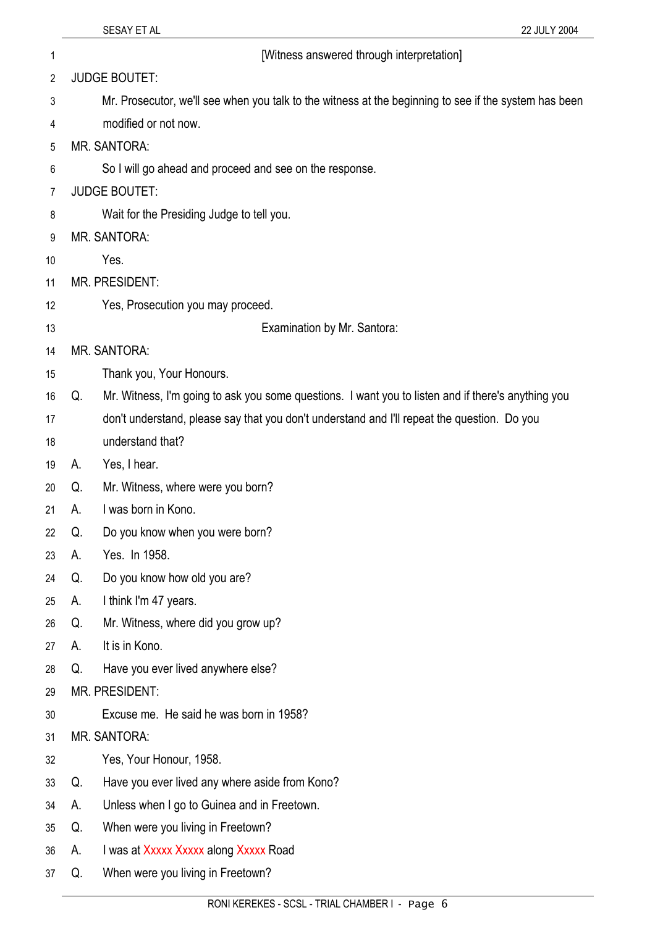1 [Witness answered through interpretation]

2 JUDGE BOUTET:

- 3 Mr. Prosecutor, we'll see when you talk to the witness at the beginning to see if the system has been
- 4 modified or not now.
- 5 MR. SANTORA:
- 6 So I will go ahead and proceed and see on the response.
- 7 JUDGE BOUTET:
- 8 Wait for the Presiding Judge to tell you.
- 9 MR. SANTORA:
- 10 Yes.
- 11 MR. PRESIDENT:
- 12 Yes, Prosecution you may proceed.
- 13

Examination by Mr. Santora:

- 14 15 MR. SANTORA: Thank you, Your Honours.
- 16 Q. Mr. Witness, I'm going to ask you some questions. I want you to listen and if there's anything you
- 17 don't understand, please say that you don't understand and I'll repeat the question. Do you
- 18 understand that?
- 19 A. Yes, I hear.
- 20 Q. Mr. Witness, where were you born?
- 21 A. I was born in Kono.
- 22 Q. Do you know when you were born?

#### 23 A. Yes. In 1958.

- 24 Q. Do you know how old you are?
- 25 A. I think I'm 47 years.
- 26 Q. Mr. Witness, where did you grow up?
- 27 A. It is in Kono.
- 28 Q. Have you ever lived anywhere else?
- 29 MR. PRESIDENT:
- 30 Excuse me. He said he was born in 1958?
- 31 MR. SANTORA:
- 32 Yes, Your Honour, 1958.
- 33 Q. Have you ever lived any where aside from Kono?
- 34 A. Unless when I go to Guinea and in Freetown.
- 35 Q. When were you living in Freetown?
- 36 A. I was at Xxxxx Xxxxx along Xxxxx Road
- 37 Q. When were you living in Freetown?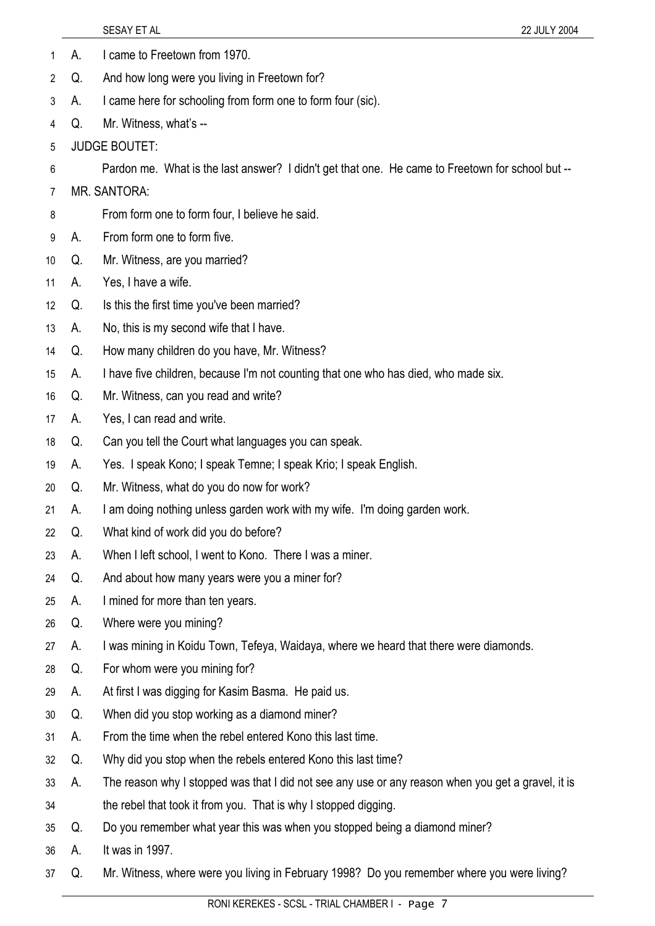| 1              | А. | I came to Freetown from 1970.                                                                      |
|----------------|----|----------------------------------------------------------------------------------------------------|
| $\overline{2}$ | Q. | And how long were you living in Freetown for?                                                      |
| 3              | А. | I came here for schooling from form one to form four (sic).                                        |
| 4              | Q. | Mr. Witness, what's --                                                                             |
| 5              |    | <b>JUDGE BOUTET:</b>                                                                               |
| 6              |    | Pardon me. What is the last answer? I didn't get that one. He came to Freetown for school but --   |
| 7              |    | MR. SANTORA:                                                                                       |
| 8              |    | From form one to form four, I believe he said.                                                     |
| 9              | А. | From form one to form five.                                                                        |
| 10             | Q. | Mr. Witness, are you married?                                                                      |
| 11             | А. | Yes, I have a wife.                                                                                |
| 12             | Q. | Is this the first time you've been married?                                                        |
| 13             | А. | No, this is my second wife that I have.                                                            |
| 14             | Q. | How many children do you have, Mr. Witness?                                                        |
| 15             | А. | I have five children, because I'm not counting that one who has died, who made six.                |
| 16             | Q. | Mr. Witness, can you read and write?                                                               |
| 17             | А. | Yes, I can read and write.                                                                         |
| 18             | Q. | Can you tell the Court what languages you can speak.                                               |
| 19             | А. | Yes. I speak Kono; I speak Temne; I speak Krio; I speak English.                                   |
| 20             | Q. | Mr. Witness, what do you do now for work?                                                          |
| 21             | А. | I am doing nothing unless garden work with my wife. I'm doing garden work.                         |
| 22             | Q. | What kind of work did you do before?                                                               |
| 23             | А. | When I left school, I went to Kono. There I was a miner.                                           |
| 24             | Q. | And about how many years were you a miner for?                                                     |
| 25             | А. | I mined for more than ten years.                                                                   |
| 26             | Q. | Where were you mining?                                                                             |
| 27             | А. | I was mining in Koidu Town, Tefeya, Waidaya, where we heard that there were diamonds.              |
| 28             | Q. | For whom were you mining for?                                                                      |
| 29             | А. | At first I was digging for Kasim Basma. He paid us.                                                |
| 30             | Q. | When did you stop working as a diamond miner?                                                      |
| 31             | А. | From the time when the rebel entered Kono this last time.                                          |
| 32             | Q. | Why did you stop when the rebels entered Kono this last time?                                      |
| 33             | А. | The reason why I stopped was that I did not see any use or any reason when you get a gravel, it is |
| 34             |    | the rebel that took it from you. That is why I stopped digging.                                    |
| 35             | Q. | Do you remember what year this was when you stopped being a diamond miner?                         |
| 36             | А. | It was in 1997.                                                                                    |
| 37             | Q. | Mr. Witness, where were you living in February 1998? Do you remember where you were living?        |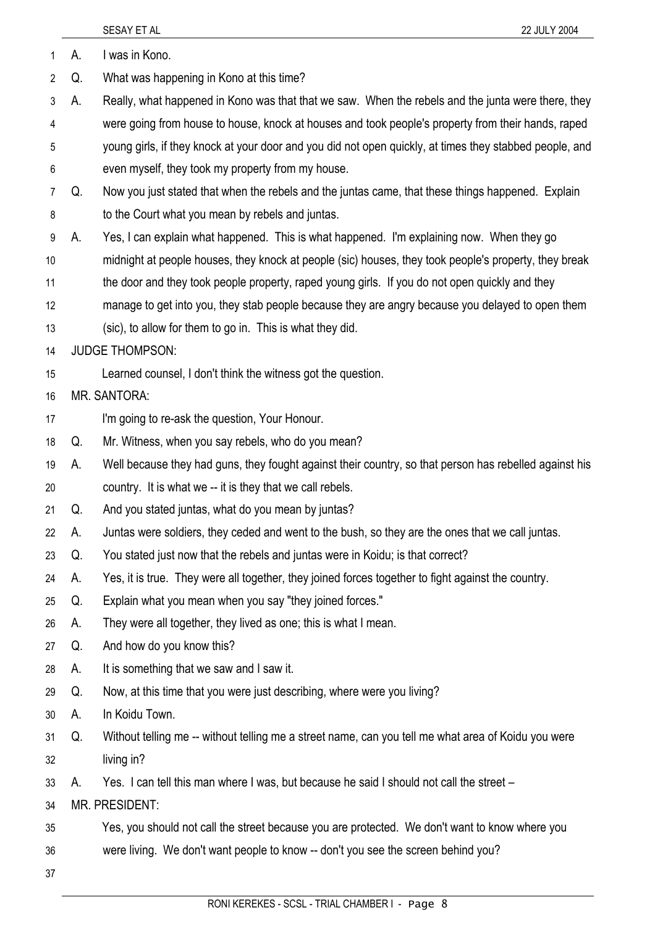|                |    | 22 JULY 2004<br>SESAY ET AL                                                                             |
|----------------|----|---------------------------------------------------------------------------------------------------------|
| 1              | А. | I was in Kono.                                                                                          |
| $\overline{2}$ | Q. | What was happening in Kono at this time?                                                                |
| 3              | А. | Really, what happened in Kono was that that we saw. When the rebels and the junta were there, they      |
| 4              |    | were going from house to house, knock at houses and took people's property from their hands, raped      |
| 5              |    | young girls, if they knock at your door and you did not open quickly, at times they stabbed people, and |
| 6              |    | even myself, they took my property from my house.                                                       |
| 7              | Q. | Now you just stated that when the rebels and the juntas came, that these things happened. Explain       |
| 8              |    | to the Court what you mean by rebels and juntas.                                                        |
| 9              | А. | Yes, I can explain what happened. This is what happened. I'm explaining now. When they go               |
| 10             |    | midnight at people houses, they knock at people (sic) houses, they took people's property, they break   |
| 11             |    | the door and they took people property, raped young girls. If you do not open quickly and they          |
| 12             |    | manage to get into you, they stab people because they are angry because you delayed to open them        |
| 13             |    | (sic), to allow for them to go in. This is what they did.                                               |
| 14             |    | <b>JUDGE THOMPSON:</b>                                                                                  |
| 15             |    | Learned counsel, I don't think the witness got the question.                                            |
| 16             |    | <b>MR. SANTORA:</b>                                                                                     |
| 17             |    | I'm going to re-ask the question, Your Honour.                                                          |
| 18             | Q. | Mr. Witness, when you say rebels, who do you mean?                                                      |
| 19             | A. | Well because they had guns, they fought against their country, so that person has rebelled against his  |
| 20             |    | country. It is what we -- it is they that we call rebels.                                               |
| 21             | Q. | And you stated juntas, what do you mean by juntas?                                                      |
| 22             | А. | Juntas were soldiers, they ceded and went to the bush, so they are the ones that we call juntas.        |
| 23             | Q. | You stated just now that the rebels and juntas were in Koidu; is that correct?                          |
| 24             | А. | Yes, it is true. They were all together, they joined forces together to fight against the country.      |
| 25             | Q. | Explain what you mean when you say "they joined forces."                                                |
| 26             | А. | They were all together, they lived as one; this is what I mean.                                         |
| 27             | Q. | And how do you know this?                                                                               |
| 28             | А. | It is something that we saw and I saw it.                                                               |
| 29             | Q. | Now, at this time that you were just describing, where were you living?                                 |
| 30             | А. | In Koidu Town.                                                                                          |
| 31             | Q. | Without telling me -- without telling me a street name, can you tell me what area of Koidu you were     |
| 32             |    | living in?                                                                                              |
| 33             | А. | Yes. I can tell this man where I was, but because he said I should not call the street -                |
| 34             |    | MR. PRESIDENT:                                                                                          |
| 35             |    | Yes, you should not call the street because you are protected. We don't want to know where you          |
| 36             |    | were living. We don't want people to know -- don't you see the screen behind you?                       |
| 37             |    |                                                                                                         |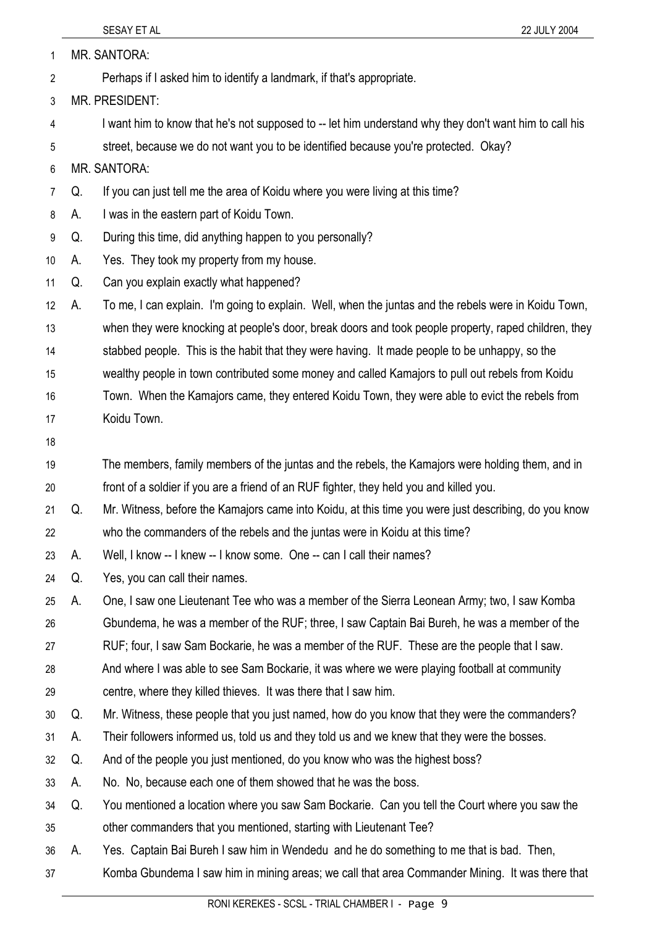|    |    | SESAY ET AL<br>22 JULY 2004                                                                            |
|----|----|--------------------------------------------------------------------------------------------------------|
| 1  |    | MR. SANTORA:                                                                                           |
| 2  |    | Perhaps if I asked him to identify a landmark, if that's appropriate.                                  |
| 3  |    | MR. PRESIDENT:                                                                                         |
| 4  |    | I want him to know that he's not supposed to -- let him understand why they don't want him to call his |
| 5  |    | street, because we do not want you to be identified because you're protected. Okay?                    |
| 6  |    | <b>MR. SANTORA:</b>                                                                                    |
| 7  | Q. | If you can just tell me the area of Koidu where you were living at this time?                          |
| 8  | А. | I was in the eastern part of Koidu Town.                                                               |
| 9  | Q. | During this time, did anything happen to you personally?                                               |
| 10 | А. | Yes. They took my property from my house.                                                              |
| 11 | Q. | Can you explain exactly what happened?                                                                 |
| 12 | А. | To me, I can explain. I'm going to explain. Well, when the juntas and the rebels were in Koidu Town,   |
| 13 |    | when they were knocking at people's door, break doors and took people property, raped children, they   |
| 14 |    | stabbed people. This is the habit that they were having. It made people to be unhappy, so the          |
| 15 |    | wealthy people in town contributed some money and called Kamajors to pull out rebels from Koidu        |
| 16 |    | Town. When the Kamajors came, they entered Koidu Town, they were able to evict the rebels from         |
| 17 |    | Koidu Town.                                                                                            |
| 18 |    |                                                                                                        |
| 19 |    | The members, family members of the juntas and the rebels, the Kamajors were holding them, and in       |
| 20 |    | front of a soldier if you are a friend of an RUF fighter, they held you and killed you.                |
| 21 | Q. | Mr. Witness, before the Kamajors came into Koidu, at this time you were just describing, do you know   |
| 22 |    | who the commanders of the rebels and the juntas were in Koidu at this time?                            |
| 23 | А. | Well, I know -- I knew -- I know some. One -- can I call their names?                                  |
| 24 | Q. | Yes, you can call their names.                                                                         |
| 25 | А. | One, I saw one Lieutenant Tee who was a member of the Sierra Leonean Army; two, I saw Komba            |
| 26 |    | Gbundema, he was a member of the RUF; three, I saw Captain Bai Bureh, he was a member of the           |
| 27 |    | RUF; four, I saw Sam Bockarie, he was a member of the RUF. These are the people that I saw.            |
| 28 |    | And where I was able to see Sam Bockarie, it was where we were playing football at community           |
| 29 |    | centre, where they killed thieves. It was there that I saw him.                                        |
| 30 | Q. | Mr. Witness, these people that you just named, how do you know that they were the commanders?          |
| 31 | А. | Their followers informed us, told us and they told us and we knew that they were the bosses.           |
| 32 | Q. | And of the people you just mentioned, do you know who was the highest boss?                            |
| 33 | А. | No. No, because each one of them showed that he was the boss.                                          |
| 34 | Q. | You mentioned a location where you saw Sam Bockarie. Can you tell the Court where you saw the          |
| 35 |    | other commanders that you mentioned, starting with Lieutenant Tee?                                     |
| 36 | А. | Yes. Captain Bai Bureh I saw him in Wendedu and he do something to me that is bad. Then,               |
| 37 |    | Komba Gbundema I saw him in mining areas; we call that area Commander Mining. It was there that        |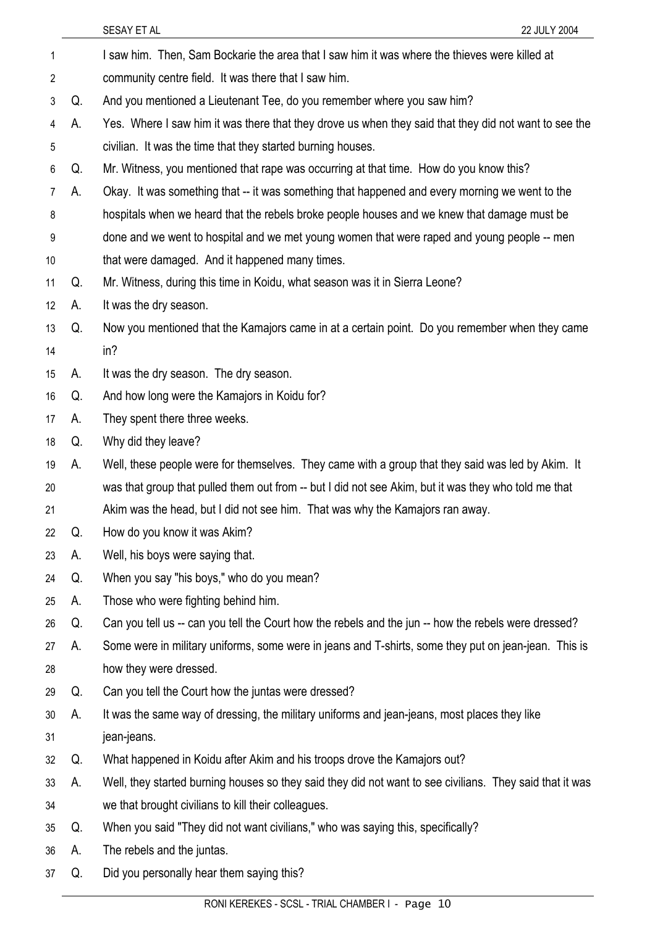| 1              |    | I saw him. Then, Sam Bockarie the area that I saw him it was where the thieves were killed at            |
|----------------|----|----------------------------------------------------------------------------------------------------------|
| 2              |    | community centre field. It was there that I saw him.                                                     |
| 3              | Q. | And you mentioned a Lieutenant Tee, do you remember where you saw him?                                   |
| 4              | А. | Yes. Where I saw him it was there that they drove us when they said that they did not want to see the    |
| 5              |    | civilian. It was the time that they started burning houses.                                              |
| 6              | Q. | Mr. Witness, you mentioned that rape was occurring at that time. How do you know this?                   |
| $\overline{7}$ | А. | Okay. It was something that -- it was something that happened and every morning we went to the           |
| 8              |    | hospitals when we heard that the rebels broke people houses and we knew that damage must be              |
| 9              |    | done and we went to hospital and we met young women that were raped and young people -- men              |
| 10             |    | that were damaged. And it happened many times.                                                           |
| 11             | Q. | Mr. Witness, during this time in Koidu, what season was it in Sierra Leone?                              |
| 12             | А. | It was the dry season.                                                                                   |
| 13             | Q. | Now you mentioned that the Kamajors came in at a certain point. Do you remember when they came           |
| 14             |    | in?                                                                                                      |
| 15             | A. | It was the dry season. The dry season.                                                                   |
| 16             | Q. | And how long were the Kamajors in Koidu for?                                                             |
| 17             | А. | They spent there three weeks.                                                                            |
| 18             | Q. | Why did they leave?                                                                                      |
| 19             | А. | Well, these people were for themselves. They came with a group that they said was led by Akim. It        |
| 20             |    | was that group that pulled them out from -- but I did not see Akim, but it was they who told me that     |
| 21             |    | Akim was the head, but I did not see him. That was why the Kamajors ran away.                            |
| 22             | Q. | How do you know it was Akim?                                                                             |
| 23             | А. | Well, his boys were saying that.                                                                         |
| 24             | Q. | When you say "his boys," who do you mean?                                                                |
| 25             | А. | Those who were fighting behind him.                                                                      |
| 26             | Q. | Can you tell us -- can you tell the Court how the rebels and the jun -- how the rebels were dressed?     |
| 27             | А. | Some were in military uniforms, some were in jeans and T-shirts, some they put on jean-jean. This is     |
| 28             |    | how they were dressed.                                                                                   |
| 29             | Q. | Can you tell the Court how the juntas were dressed?                                                      |
| 30             | А. | It was the same way of dressing, the military uniforms and jean-jeans, most places they like             |
| 31             |    | jean-jeans.                                                                                              |
| 32             | Q. | What happened in Koidu after Akim and his troops drove the Kamajors out?                                 |
| 33             | A. | Well, they started burning houses so they said they did not want to see civilians. They said that it was |
| 34             |    | we that brought civilians to kill their colleagues.                                                      |
| 35             | Q. | When you said "They did not want civilians," who was saying this, specifically?                          |
| 36             | A. | The rebels and the juntas.                                                                               |
| 37             | Q. | Did you personally hear them saying this?                                                                |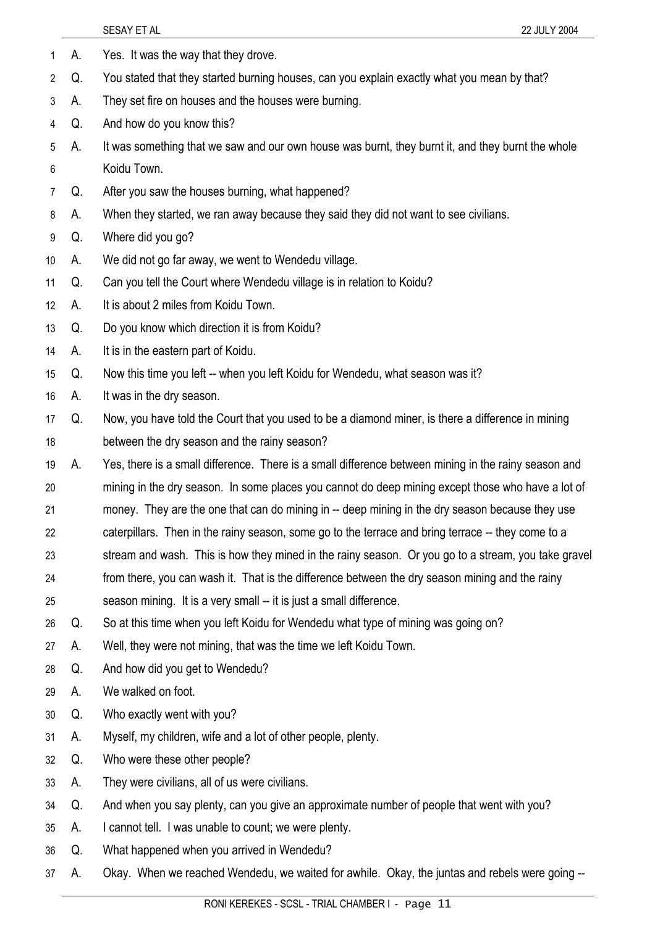|                 |    | SESAY ET AL<br>22 JULY 2004                                                                          |
|-----------------|----|------------------------------------------------------------------------------------------------------|
| 1               | А. | Yes. It was the way that they drove.                                                                 |
| $\overline{2}$  | Q. | You stated that they started burning houses, can you explain exactly what you mean by that?          |
| 3               | А. | They set fire on houses and the houses were burning.                                                 |
| 4               | Q. | And how do you know this?                                                                            |
| 5               | А. | It was something that we saw and our own house was burnt, they burnt it, and they burnt the whole    |
| 6               |    | Koidu Town.                                                                                          |
| 7               | Q. | After you saw the houses burning, what happened?                                                     |
| 8               | A. | When they started, we ran away because they said they did not want to see civilians.                 |
| 9               | Q. | Where did you go?                                                                                    |
| 10 <sup>°</sup> | А. | We did not go far away, we went to Wendedu village.                                                  |
| 11              | Q. | Can you tell the Court where Wendedu village is in relation to Koidu?                                |
| 12 <sup>°</sup> | А. | It is about 2 miles from Koidu Town.                                                                 |
| 13              | Q. | Do you know which direction it is from Koidu?                                                        |
| 14              | А. | It is in the eastern part of Koidu.                                                                  |
| 15              | Q. | Now this time you left -- when you left Koidu for Wendedu, what season was it?                       |
| 16              | А. | It was in the dry season.                                                                            |
| 17              | Q. | Now, you have told the Court that you used to be a diamond miner, is there a difference in mining    |
| 18              |    | between the dry season and the rainy season?                                                         |
| 19              | А. | Yes, there is a small difference. There is a small difference between mining in the rainy season and |
| 20              |    | mining in the dry season. In some places you cannot do deep mining except those who have a lot of    |
| 21              |    | money. They are the one that can do mining in -- deep mining in the dry season because they use      |
| 22              |    | caterpillars. Then in the rainy season, some go to the terrace and bring terrace -- they come to a   |
| 23              |    | stream and wash. This is how they mined in the rainy season. Or you go to a stream, you take gravel  |
| 24              |    | from there, you can wash it. That is the difference between the dry season mining and the rainy      |
| 25              |    | season mining. It is a very small -- it is just a small difference.                                  |
| 26              | Q. | So at this time when you left Koidu for Wendedu what type of mining was going on?                    |
| 27              | А. | Well, they were not mining, that was the time we left Koidu Town.                                    |
| 28              | Q. | And how did you get to Wendedu?                                                                      |
| 29              | А. | We walked on foot.                                                                                   |
| 30              | Q. | Who exactly went with you?                                                                           |
| 31              | A. | Myself, my children, wife and a lot of other people, plenty.                                         |
| 32              | Q. | Who were these other people?                                                                         |
| 33              | A. | They were civilians, all of us were civilians.                                                       |
| 34              | Q. | And when you say plenty, can you give an approximate number of people that went with you?            |
| 35              | A. | I cannot tell. I was unable to count; we were plenty.                                                |
| 36              | Q. | What happened when you arrived in Wendedu?                                                           |
| 37              | А. | Okay. When we reached Wendedu, we waited for awhile. Okay, the juntas and rebels were going --       |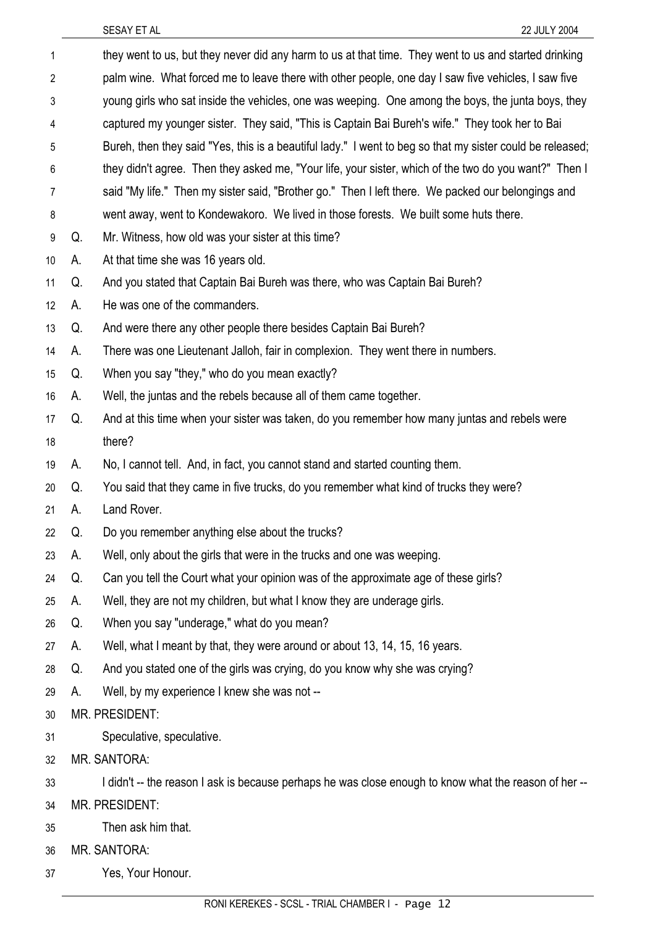| 1  |                                                                                                     | they went to us, but they never did any harm to us at that time. They went to us and started drinking     |  |
|----|-----------------------------------------------------------------------------------------------------|-----------------------------------------------------------------------------------------------------------|--|
| 2  | palm wine. What forced me to leave there with other people, one day I saw five vehicles, I saw five |                                                                                                           |  |
| 3  | young girls who sat inside the vehicles, one was weeping. One among the boys, the junta boys, they  |                                                                                                           |  |
| 4  | captured my younger sister. They said, "This is Captain Bai Bureh's wife." They took her to Bai     |                                                                                                           |  |
| 5  |                                                                                                     | Bureh, then they said "Yes, this is a beautiful lady." I went to beg so that my sister could be released; |  |
| 6  |                                                                                                     | they didn't agree. Then they asked me, "Your life, your sister, which of the two do you want?" Then I     |  |
| 7  |                                                                                                     | said "My life." Then my sister said, "Brother go." Then I left there. We packed our belongings and        |  |
| 8  |                                                                                                     | went away, went to Kondewakoro. We lived in those forests. We built some huts there.                      |  |
| 9  | Q.                                                                                                  | Mr. Witness, how old was your sister at this time?                                                        |  |
| 10 | A.                                                                                                  | At that time she was 16 years old.                                                                        |  |
| 11 | Q.                                                                                                  | And you stated that Captain Bai Bureh was there, who was Captain Bai Bureh?                               |  |
| 12 | А.                                                                                                  | He was one of the commanders.                                                                             |  |
| 13 | Q.                                                                                                  | And were there any other people there besides Captain Bai Bureh?                                          |  |
| 14 | А.                                                                                                  | There was one Lieutenant Jalloh, fair in complexion. They went there in numbers.                          |  |
| 15 | Q.                                                                                                  | When you say "they," who do you mean exactly?                                                             |  |
| 16 | А.                                                                                                  | Well, the juntas and the rebels because all of them came together.                                        |  |
| 17 | Q.                                                                                                  | And at this time when your sister was taken, do you remember how many juntas and rebels were              |  |
| 18 |                                                                                                     | there?                                                                                                    |  |
| 19 | А.                                                                                                  | No, I cannot tell. And, in fact, you cannot stand and started counting them.                              |  |
| 20 | Q.                                                                                                  | You said that they came in five trucks, do you remember what kind of trucks they were?                    |  |
| 21 | А.                                                                                                  | Land Rover.                                                                                               |  |
| 22 | Q.                                                                                                  | Do you remember anything else about the trucks?                                                           |  |
| 23 | А.                                                                                                  | Well, only about the girls that were in the trucks and one was weeping.                                   |  |
| 24 | Q.                                                                                                  | Can you tell the Court what your opinion was of the approximate age of these girls?                       |  |
| 25 | А.                                                                                                  | Well, they are not my children, but what I know they are underage girls.                                  |  |
| 26 | Q.                                                                                                  | When you say "underage," what do you mean?                                                                |  |
| 27 | А.                                                                                                  | Well, what I meant by that, they were around or about 13, 14, 15, 16 years.                               |  |
| 28 | Q.                                                                                                  | And you stated one of the girls was crying, do you know why she was crying?                               |  |
| 29 | А.                                                                                                  | Well, by my experience I knew she was not --                                                              |  |
| 30 |                                                                                                     | MR. PRESIDENT:                                                                                            |  |
| 31 |                                                                                                     | Speculative, speculative.                                                                                 |  |
| 32 |                                                                                                     | MR. SANTORA:                                                                                              |  |
| 33 |                                                                                                     | I didn't -- the reason I ask is because perhaps he was close enough to know what the reason of her --     |  |
| 34 | MR. PRESIDENT:                                                                                      |                                                                                                           |  |
| 35 |                                                                                                     | Then ask him that.                                                                                        |  |
| 36 |                                                                                                     | MR. SANTORA:                                                                                              |  |
| 37 |                                                                                                     | Yes, Your Honour.                                                                                         |  |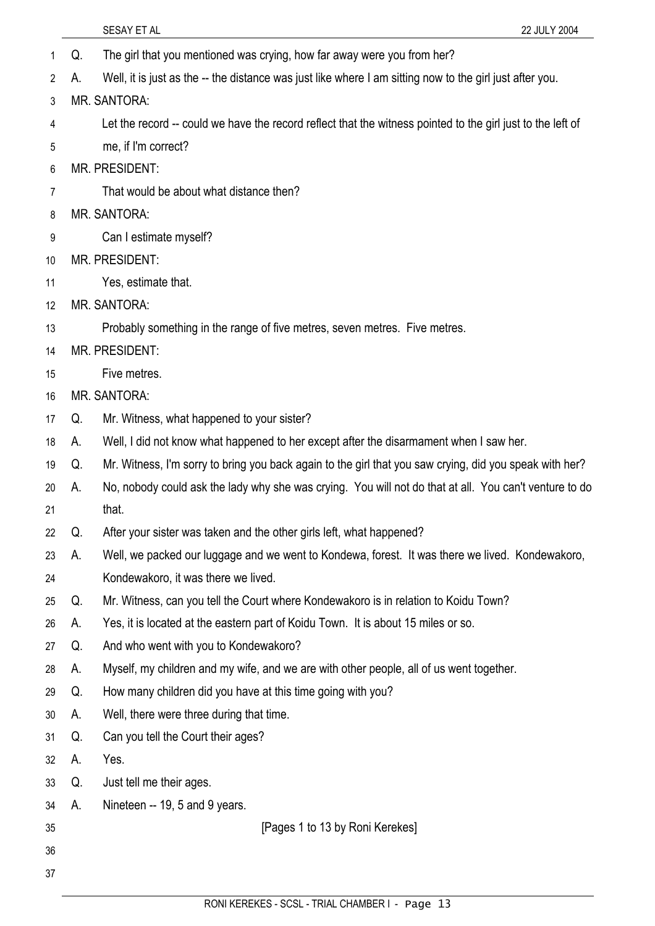- 1 Q. The girl that you mentioned was crying, how far away were you from her?
- 2 A. Well, it is just as the -- the distance was just like where I am sitting now to the girl just after you.
- 3 MR. SANTORA:
- 4 Let the record -- could we have the record reflect that the witness pointed to the girl just to the left of
- 5 me, if I'm correct?
- 6 MR. PRESIDENT:
- 7 That would be about what distance then?
- 8 MR. SANTORA:
- 9 Can I estimate myself?
- 10 MR. PRESIDENT:
- 11 Yes, estimate that.
- 12 MR. SANTORA:

13 Probably something in the range of five metres, seven metres. Five metres.

- 14 MR. PRESIDENT:
- 15 Five metres.
- 16 MR. SANTORA:
- 17 Q. Mr. Witness, what happened to your sister?
- 18 A. Well, I did not know what happened to her except after the disarmament when I saw her.
- 19 Q. Mr. Witness, I'm sorry to bring you back again to the girl that you saw crying, did you speak with her?
- 20 21 A. No, nobody could ask the lady why she was crying. You will not do that at all. You can't venture to do that.
- 22 Q. After your sister was taken and the other girls left, what happened?
- 23 24 A. Well, we packed our luggage and we went to Kondewa, forest. It was there we lived. Kondewakoro, Kondewakoro, it was there we lived.
- 25 Q. Mr. Witness, can you tell the Court where Kondewakoro is in relation to Koidu Town?
- 26 A. Yes, it is located at the eastern part of Koidu Town. It is about 15 miles or so.
- 27 Q. And who went with you to Kondewakoro?
- 28 A. Myself, my children and my wife, and we are with other people, all of us went together.
- 29 Q. How many children did you have at this time going with you?
- 30 A. Well, there were three during that time.
- 31 Q. Can you tell the Court their ages?
- 32 A. Yes.
- 33 Q. Just tell me their ages.
- 34 A. Nineteen -- 19, 5 and 9 years.
- 35
- 36

37

[Pages 1 to 13 by Roni Kerekes]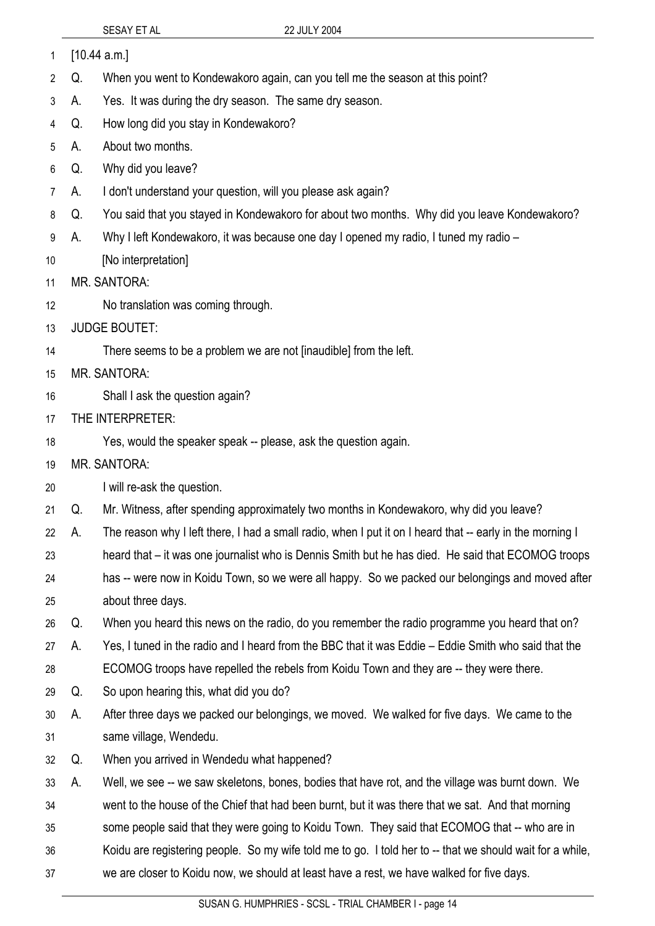|    |                  | SESAY ET AL                                                                   | 22 JULY 2004                                                                                              |  |
|----|------------------|-------------------------------------------------------------------------------|-----------------------------------------------------------------------------------------------------------|--|
| 1  |                  | [10.44 a.m.]                                                                  |                                                                                                           |  |
| 2  | Q.               | When you went to Kondewakoro again, can you tell me the season at this point? |                                                                                                           |  |
| 3  | А.               | Yes. It was during the dry season. The same dry season.                       |                                                                                                           |  |
| 4  | Q.               | How long did you stay in Kondewakoro?                                         |                                                                                                           |  |
| 5  | А.               | About two months.                                                             |                                                                                                           |  |
| 6  | Q.               | Why did you leave?                                                            |                                                                                                           |  |
| 7  | А.               | I don't understand your question, will you please ask again?                  |                                                                                                           |  |
| 8  | Q.               |                                                                               | You said that you stayed in Kondewakoro for about two months. Why did you leave Kondewakoro?              |  |
| 9  | А.               |                                                                               | Why I left Kondewakoro, it was because one day I opened my radio, I tuned my radio -                      |  |
| 10 |                  | [No interpretation]                                                           |                                                                                                           |  |
| 11 |                  | <b>MR. SANTORA:</b>                                                           |                                                                                                           |  |
| 12 |                  | No translation was coming through.                                            |                                                                                                           |  |
| 13 |                  | <b>JUDGE BOUTET:</b>                                                          |                                                                                                           |  |
| 14 |                  | There seems to be a problem we are not [inaudible] from the left.             |                                                                                                           |  |
| 15 |                  | <b>MR. SANTORA:</b>                                                           |                                                                                                           |  |
| 16 |                  | Shall I ask the question again?                                               |                                                                                                           |  |
| 17 | THE INTERPRETER: |                                                                               |                                                                                                           |  |
| 18 |                  | Yes, would the speaker speak -- please, ask the question again.               |                                                                                                           |  |
| 19 |                  | <b>MR. SANTORA:</b>                                                           |                                                                                                           |  |
| 20 |                  | I will re-ask the question.                                                   |                                                                                                           |  |
| 21 | Q.               |                                                                               | Mr. Witness, after spending approximately two months in Kondewakoro, why did you leave?                   |  |
| 22 | A.               |                                                                               | The reason why I left there, I had a small radio, when I put it on I heard that -- early in the morning I |  |
| 23 |                  |                                                                               | heard that – it was one journalist who is Dennis Smith but he has died. He said that ECOMOG troops        |  |
| 24 |                  |                                                                               | has -- were now in Koidu Town, so we were all happy. So we packed our belongings and moved after          |  |
| 25 |                  | about three days.                                                             |                                                                                                           |  |
| 26 | Q.               |                                                                               | When you heard this news on the radio, do you remember the radio programme you heard that on?             |  |
| 27 | А.               |                                                                               | Yes, I tuned in the radio and I heard from the BBC that it was Eddie – Eddie Smith who said that the      |  |
| 28 |                  |                                                                               | ECOMOG troops have repelled the rebels from Koidu Town and they are -- they were there.                   |  |
| 29 | Q.               | So upon hearing this, what did you do?                                        |                                                                                                           |  |
| 30 | А.               |                                                                               | After three days we packed our belongings, we moved. We walked for five days. We came to the              |  |
| 31 |                  | same village, Wendedu.                                                        |                                                                                                           |  |
| 32 | Q.               | When you arrived in Wendedu what happened?                                    |                                                                                                           |  |
| 33 | А.               |                                                                               | Well, we see -- we saw skeletons, bones, bodies that have rot, and the village was burnt down. We         |  |
| 34 |                  |                                                                               | went to the house of the Chief that had been burnt, but it was there that we sat. And that morning        |  |
| 35 |                  |                                                                               | some people said that they were going to Koidu Town. They said that ECOMOG that -- who are in             |  |
| 36 |                  |                                                                               | Koidu are registering people. So my wife told me to go. I told her to -- that we should wait for a while, |  |
| 37 |                  |                                                                               | we are closer to Koidu now, we should at least have a rest, we have walked for five days.                 |  |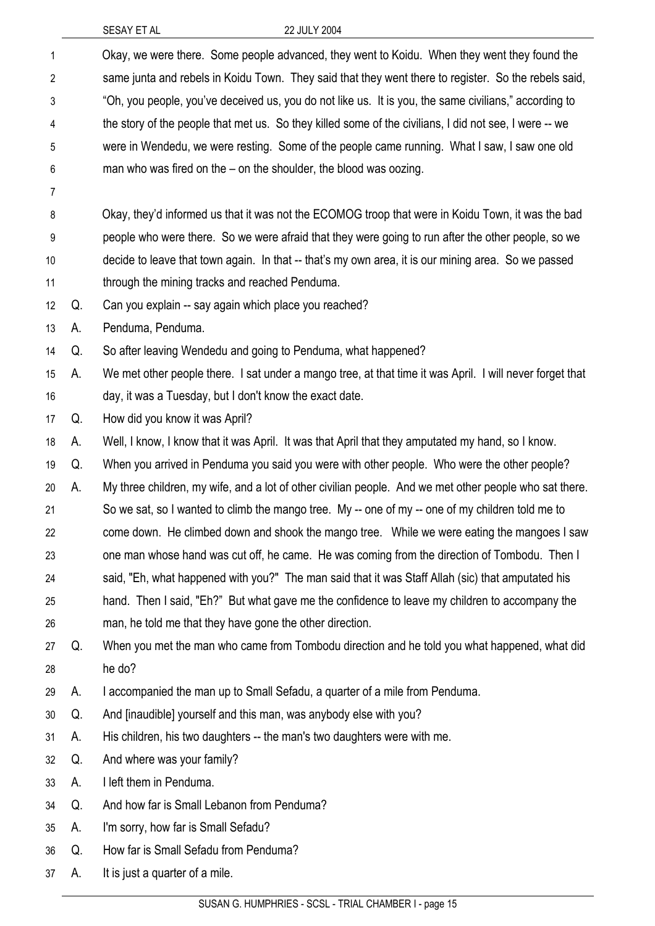| 1              |    | Okay, we were there. Some people advanced, they went to Koidu. When they went they found the             |
|----------------|----|----------------------------------------------------------------------------------------------------------|
| $\overline{2}$ |    | same junta and rebels in Koidu Town. They said that they went there to register. So the rebels said,     |
| 3              |    | "Oh, you people, you've deceived us, you do not like us. It is you, the same civilians," according to    |
| 4              |    | the story of the people that met us. So they killed some of the civilians, I did not see, I were -- we   |
| 5              |    | were in Wendedu, we were resting. Some of the people came running. What I saw, I saw one old             |
| 6              |    | man who was fired on the $-$ on the shoulder, the blood was oozing.                                      |
| 7              |    |                                                                                                          |
| 8              |    | Okay, they'd informed us that it was not the ECOMOG troop that were in Koidu Town, it was the bad        |
| 9              |    | people who were there. So we were afraid that they were going to run after the other people, so we       |
| 10             |    | decide to leave that town again. In that -- that's my own area, it is our mining area. So we passed      |
| 11             |    | through the mining tracks and reached Penduma.                                                           |
| 12             | Q. | Can you explain -- say again which place you reached?                                                    |
| 13             | А. | Penduma, Penduma.                                                                                        |
| 14             | Q. | So after leaving Wendedu and going to Penduma, what happened?                                            |
| 15             | А. | We met other people there. I sat under a mango tree, at that time it was April. I will never forget that |
| 16             |    | day, it was a Tuesday, but I don't know the exact date.                                                  |
| 17             | Q. | How did you know it was April?                                                                           |
| 18             | А. | Well, I know, I know that it was April. It was that April that they amputated my hand, so I know.        |
| 19             | Q. | When you arrived in Penduma you said you were with other people. Who were the other people?              |
| 20             | А. | My three children, my wife, and a lot of other civilian people. And we met other people who sat there.   |
| 21             |    | So we sat, so I wanted to climb the mango tree. My -- one of my -- one of my children told me to         |
| 22             |    | come down. He climbed down and shook the mango tree. While we were eating the mangoes I saw              |
| 23             |    | one man whose hand was cut off, he came. He was coming from the direction of Tombodu. Then I             |
| 24             |    | said, "Eh, what happened with you?" The man said that it was Staff Allah (sic) that amputated his        |
| 25             |    | hand. Then I said, "Eh?" But what gave me the confidence to leave my children to accompany the           |
| 26             |    | man, he told me that they have gone the other direction.                                                 |
| 27             | Q. | When you met the man who came from Tombodu direction and he told you what happened, what did             |
| 28             |    | he do?                                                                                                   |
| 29             | А. | I accompanied the man up to Small Sefadu, a quarter of a mile from Penduma.                              |
| 30             | Q. | And [inaudible] yourself and this man, was anybody else with you?                                        |
| 31             | А. | His children, his two daughters -- the man's two daughters were with me.                                 |
| 32             | Q. | And where was your family?                                                                               |
| 33             | А. | I left them in Penduma.                                                                                  |
| 34             | Q. | And how far is Small Lebanon from Penduma?                                                               |
| 35             | А. | I'm sorry, how far is Small Sefadu?                                                                      |
| 36             | Q. | How far is Small Sefadu from Penduma?                                                                    |
| 37             | А. | It is just a quarter of a mile.                                                                          |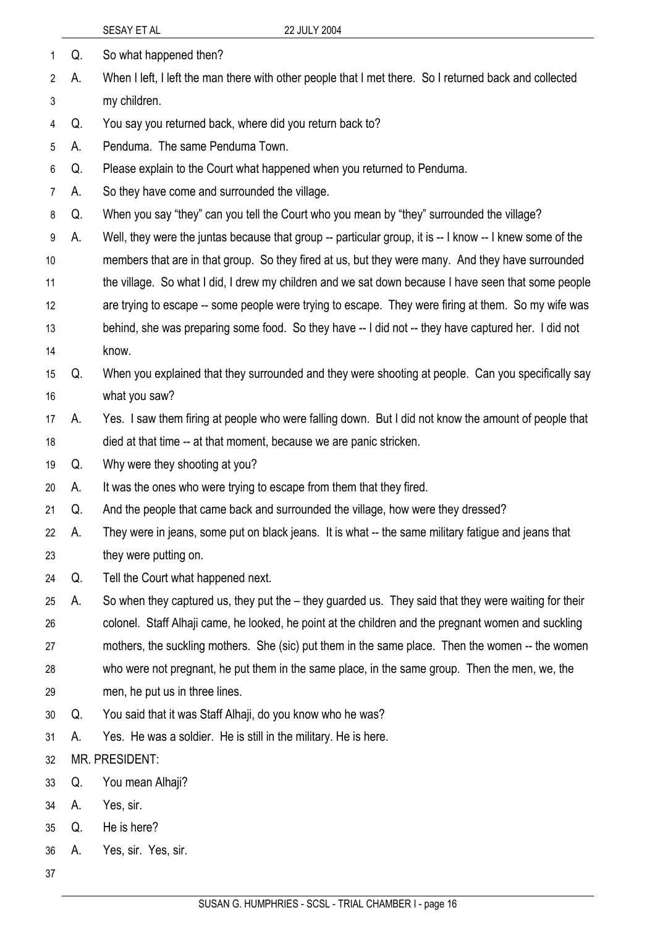|    |    | 22 JULY 2004<br>SESAY ET AL                                                                              |
|----|----|----------------------------------------------------------------------------------------------------------|
| 1  | Q. | So what happened then?                                                                                   |
| 2  | А. | When I left, I left the man there with other people that I met there. So I returned back and collected   |
| 3  |    | my children.                                                                                             |
| 4  | Q. | You say you returned back, where did you return back to?                                                 |
| 5  | А. | Penduma. The same Penduma Town.                                                                          |
| 6  | Q. | Please explain to the Court what happened when you returned to Penduma.                                  |
| 7  | А. | So they have come and surrounded the village.                                                            |
| 8  | Q. | When you say "they" can you tell the Court who you mean by "they" surrounded the village?                |
| 9  | А. | Well, they were the juntas because that group -- particular group, it is -- I know -- I knew some of the |
| 10 |    | members that are in that group. So they fired at us, but they were many. And they have surrounded        |
| 11 |    | the village. So what I did, I drew my children and we sat down because I have seen that some people      |
| 12 |    | are trying to escape -- some people were trying to escape. They were firing at them. So my wife was      |
| 13 |    | behind, she was preparing some food. So they have -- I did not -- they have captured her. I did not      |
| 14 |    | know.                                                                                                    |
| 15 | Q. | When you explained that they surrounded and they were shooting at people. Can you specifically say       |
| 16 |    | what you saw?                                                                                            |
| 17 | А. | Yes. I saw them firing at people who were falling down. But I did not know the amount of people that     |
| 18 |    | died at that time -- at that moment, because we are panic stricken.                                      |
| 19 | Q. | Why were they shooting at you?                                                                           |
| 20 | А. | It was the ones who were trying to escape from them that they fired.                                     |
| 21 | Q. | And the people that came back and surrounded the village, how were they dressed?                         |
| 22 | А. | They were in jeans, some put on black jeans. It is what -- the same military fatigue and jeans that      |
| 23 |    | they were putting on.                                                                                    |
| 24 | Q. | Tell the Court what happened next.                                                                       |
| 25 | А. | So when they captured us, they put the – they guarded us. They said that they were waiting for their     |
| 26 |    | colonel. Staff Alhaji came, he looked, he point at the children and the pregnant women and suckling      |
| 27 |    | mothers, the suckling mothers. She (sic) put them in the same place. Then the women -- the women         |
| 28 |    | who were not pregnant, he put them in the same place, in the same group. Then the men, we, the           |
| 29 |    | men, he put us in three lines.                                                                           |
| 30 | Q. | You said that it was Staff Alhaji, do you know who he was?                                               |
| 31 | А. | Yes. He was a soldier. He is still in the military. He is here.                                          |
| 32 |    | MR. PRESIDENT:                                                                                           |
| 33 | Q. | You mean Alhaji?                                                                                         |
| 34 | А. | Yes, sir.                                                                                                |
| 35 | Q. | He is here?                                                                                              |
| 36 | A. | Yes, sir. Yes, sir.                                                                                      |
| 37 |    |                                                                                                          |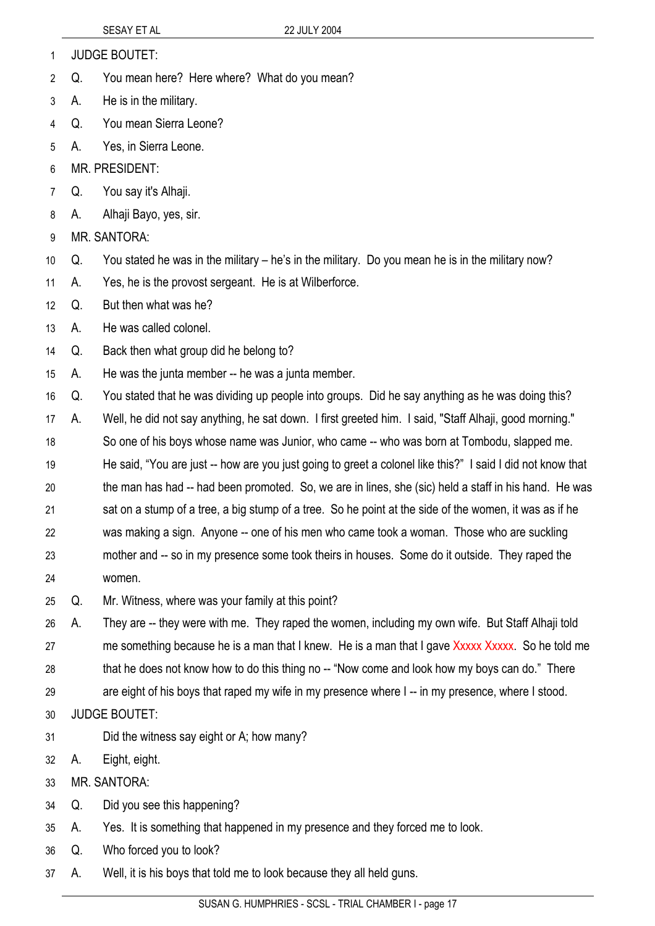- 1 JUDGE BOUTET:
- 2 Q. You mean here? Here where? What do you mean?
- 3 A. He is in the military.
- 4 Q. You mean Sierra Leone?
- 5 A. Yes, in Sierra Leone.
- 6 MR. PRESIDENT:
- 7 Q. You say it's Alhaji.
- 8 A. Alhaji Bayo, yes, sir.
- 9 MR. SANTORA:
- 10 Q. You stated he was in the military – he's in the military. Do you mean he is in the military now?
- 11 A. Yes, he is the provost sergeant. He is at Wilberforce.
- 12 Q. But then what was he?
- 13 A. He was called colonel.
- 14 Q. Back then what group did he belong to?
- 15 A. He was the junta member -- he was a junta member.
- 16 Q. You stated that he was dividing up people into groups. Did he say anything as he was doing this?
- 17 A. Well, he did not say anything, he sat down. I first greeted him. I said, "Staff Alhaji, good morning."
- 18 19 20 So one of his boys whose name was Junior, who came -- who was born at Tombodu, slapped me. He said, "You are just -- how are you just going to greet a colonel like this?" I said I did not know that the man has had -- had been promoted. So, we are in lines, she (sic) held a staff in his hand. He was
- 21 22 sat on a stump of a tree, a big stump of a tree. So he point at the side of the women, it was as if he was making a sign. Anyone -- one of his men who came took a woman. Those who are suckling
- 23 24 mother and -- so in my presence some took theirs in houses. Some do it outside. They raped the women.
- 25 Q. Mr. Witness, where was your family at this point?
- 26 27 28 A. They are -- they were with me. They raped the women, including my own wife. But Staff Alhaji told me something because he is a man that I knew. He is a man that I gave Xxxxx Xxxxx. So he told me that he does not know how to do this thing no -- "Now come and look how my boys can do." There
- 29 are eight of his boys that raped my wife in my presence where I -- in my presence, where I stood.
- 30 JUDGE BOUTET:
- 31 Did the witness say eight or A; how many?
- 32 A. Eight, eight.
- 33 MR. SANTORA:
- 34 Q. Did you see this happening?
- 35 A. Yes. It is something that happened in my presence and they forced me to look.
- 36 Q. Who forced you to look?
- 37 A. Well, it is his boys that told me to look because they all held guns.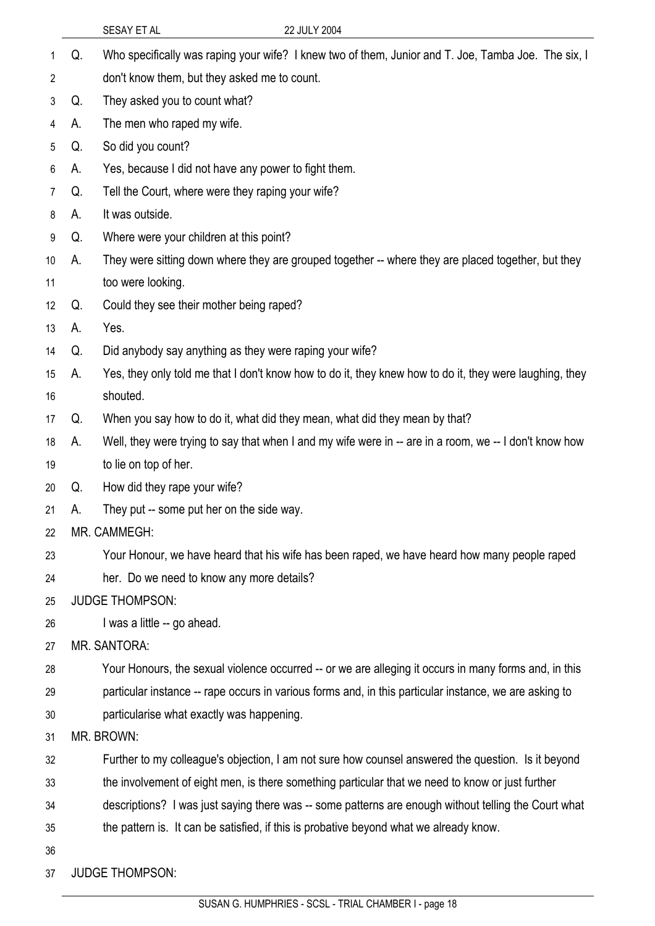|                 |    | 22 JULY 2004<br>SESAY ET AL                                                                             |
|-----------------|----|---------------------------------------------------------------------------------------------------------|
| 1               | Q. | Who specifically was raping your wife? I knew two of them, Junior and T. Joe, Tamba Joe. The six, I     |
| 2               |    | don't know them, but they asked me to count.                                                            |
| 3               | Q. | They asked you to count what?                                                                           |
| 4               | А. | The men who raped my wife.                                                                              |
| 5               | Q. | So did you count?                                                                                       |
| 6               | А. | Yes, because I did not have any power to fight them.                                                    |
| 7               | Q. | Tell the Court, where were they raping your wife?                                                       |
| 8               | A. | It was outside.                                                                                         |
| 9               | Q. | Where were your children at this point?                                                                 |
| 10 <sup>°</sup> | А. | They were sitting down where they are grouped together -- where they are placed together, but they      |
| 11              |    | too were looking.                                                                                       |
| 12 <sup>°</sup> | Q. | Could they see their mother being raped?                                                                |
| 13              | А. | Yes.                                                                                                    |
| 14              | Q. | Did anybody say anything as they were raping your wife?                                                 |
| 15              | А. | Yes, they only told me that I don't know how to do it, they knew how to do it, they were laughing, they |
| 16              |    | shouted.                                                                                                |
| 17              | Q. | When you say how to do it, what did they mean, what did they mean by that?                              |
| 18              | А. | Well, they were trying to say that when I and my wife were in -- are in a room, we -- I don't know how  |
| 19              |    | to lie on top of her.                                                                                   |
| 20              | Q. | How did they rape your wife?                                                                            |
| 21              | A. | They put -- some put her on the side way.                                                               |
| 22              |    | MR. CAMMEGH:                                                                                            |
| 23              |    | Your Honour, we have heard that his wife has been raped, we have heard how many people raped            |
| 24              |    | her. Do we need to know any more details?                                                               |
| 25              |    | <b>JUDGE THOMPSON:</b>                                                                                  |
| 26              |    | I was a little -- go ahead.                                                                             |
| 27              |    | <b>MR. SANTORA:</b>                                                                                     |
| 28              |    | Your Honours, the sexual violence occurred -- or we are alleging it occurs in many forms and, in this   |
| 29              |    | particular instance -- rape occurs in various forms and, in this particular instance, we are asking to  |
| 30              |    | particularise what exactly was happening.                                                               |
| 31              |    | MR. BROWN:                                                                                              |
| 32              |    | Further to my colleague's objection, I am not sure how counsel answered the question. Is it beyond      |
| 33              |    | the involvement of eight men, is there something particular that we need to know or just further        |
| 34              |    | descriptions? I was just saying there was -- some patterns are enough without telling the Court what    |
| 35              |    | the pattern is. It can be satisfied, if this is probative beyond what we already know.                  |
| 36              |    |                                                                                                         |
| 37              |    | <b>JUDGE THOMPSON:</b>                                                                                  |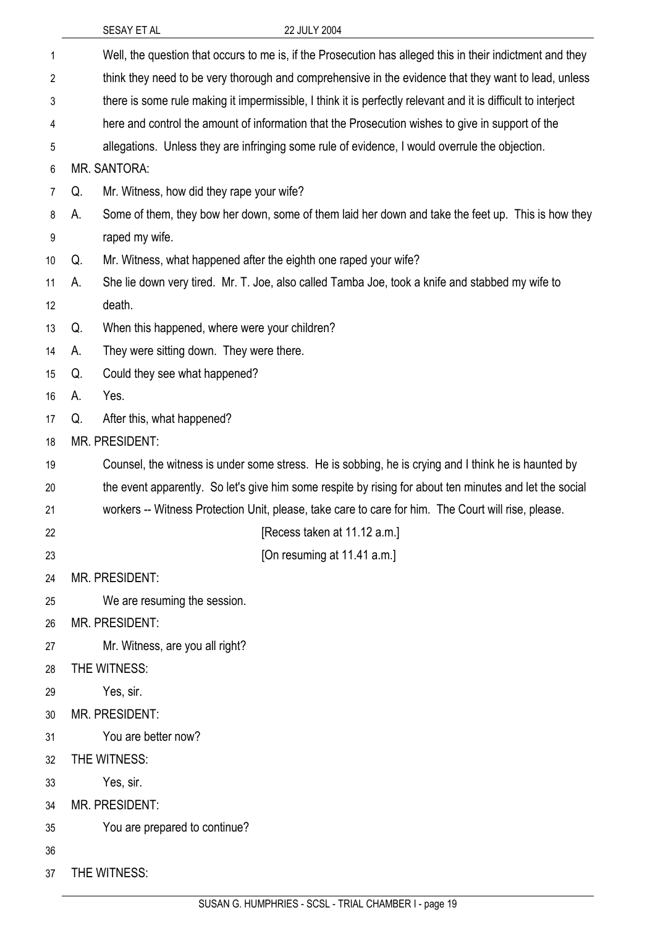|    |                                                                                                               | SESAY ET AL                                                      | 22 JULY 2004                                                                                              |
|----|---------------------------------------------------------------------------------------------------------------|------------------------------------------------------------------|-----------------------------------------------------------------------------------------------------------|
| 1  |                                                                                                               |                                                                  | Well, the question that occurs to me is, if the Prosecution has alleged this in their indictment and they |
| 2  |                                                                                                               |                                                                  | think they need to be very thorough and comprehensive in the evidence that they want to lead, unless      |
| 3  | there is some rule making it impermissible, I think it is perfectly relevant and it is difficult to interject |                                                                  |                                                                                                           |
| 4  | here and control the amount of information that the Prosecution wishes to give in support of the              |                                                                  |                                                                                                           |
| 5  |                                                                                                               |                                                                  | allegations. Unless they are infringing some rule of evidence, I would overrule the objection.            |
| 6  |                                                                                                               | MR. SANTORA:                                                     |                                                                                                           |
| 7  | Q.                                                                                                            | Mr. Witness, how did they rape your wife?                        |                                                                                                           |
| 8  | А.                                                                                                            |                                                                  | Some of them, they bow her down, some of them laid her down and take the feet up. This is how they        |
| 9  |                                                                                                               | raped my wife.                                                   |                                                                                                           |
| 10 | Q.                                                                                                            | Mr. Witness, what happened after the eighth one raped your wife? |                                                                                                           |
| 11 | А.                                                                                                            |                                                                  | She lie down very tired. Mr. T. Joe, also called Tamba Joe, took a knife and stabbed my wife to           |
| 12 |                                                                                                               | death.                                                           |                                                                                                           |
| 13 | Q.                                                                                                            | When this happened, where were your children?                    |                                                                                                           |
| 14 | A.                                                                                                            | They were sitting down. They were there.                         |                                                                                                           |
| 15 | Q.                                                                                                            | Could they see what happened?                                    |                                                                                                           |
| 16 | А.                                                                                                            | Yes.                                                             |                                                                                                           |
| 17 | Q.                                                                                                            | After this, what happened?                                       |                                                                                                           |
| 18 | MR. PRESIDENT:                                                                                                |                                                                  |                                                                                                           |
| 19 | Counsel, the witness is under some stress. He is sobbing, he is crying and I think he is haunted by           |                                                                  |                                                                                                           |
| 20 |                                                                                                               |                                                                  | the event apparently. So let's give him some respite by rising for about ten minutes and let the social   |
| 21 |                                                                                                               |                                                                  | workers -- Witness Protection Unit, please, take care to care for him. The Court will rise, please.       |
| 22 |                                                                                                               |                                                                  | [Recess taken at 11.12 a.m.]                                                                              |
| 23 |                                                                                                               |                                                                  | [On resuming at 11.41 a.m.]                                                                               |
| 24 |                                                                                                               | <b>MR. PRESIDENT:</b>                                            |                                                                                                           |
| 25 |                                                                                                               | We are resuming the session.                                     |                                                                                                           |
| 26 |                                                                                                               | MR. PRESIDENT:                                                   |                                                                                                           |
| 27 |                                                                                                               | Mr. Witness, are you all right?                                  |                                                                                                           |
| 28 |                                                                                                               | THE WITNESS:                                                     |                                                                                                           |
| 29 |                                                                                                               | Yes, sir.                                                        |                                                                                                           |
| 30 |                                                                                                               | MR. PRESIDENT:                                                   |                                                                                                           |
| 31 |                                                                                                               | You are better now?                                              |                                                                                                           |
| 32 |                                                                                                               | THE WITNESS:                                                     |                                                                                                           |
| 33 |                                                                                                               | Yes, sir.                                                        |                                                                                                           |
| 34 |                                                                                                               | MR. PRESIDENT:                                                   |                                                                                                           |
| 35 |                                                                                                               | You are prepared to continue?                                    |                                                                                                           |
| 36 |                                                                                                               |                                                                  |                                                                                                           |
| 37 |                                                                                                               | THE WITNESS:                                                     |                                                                                                           |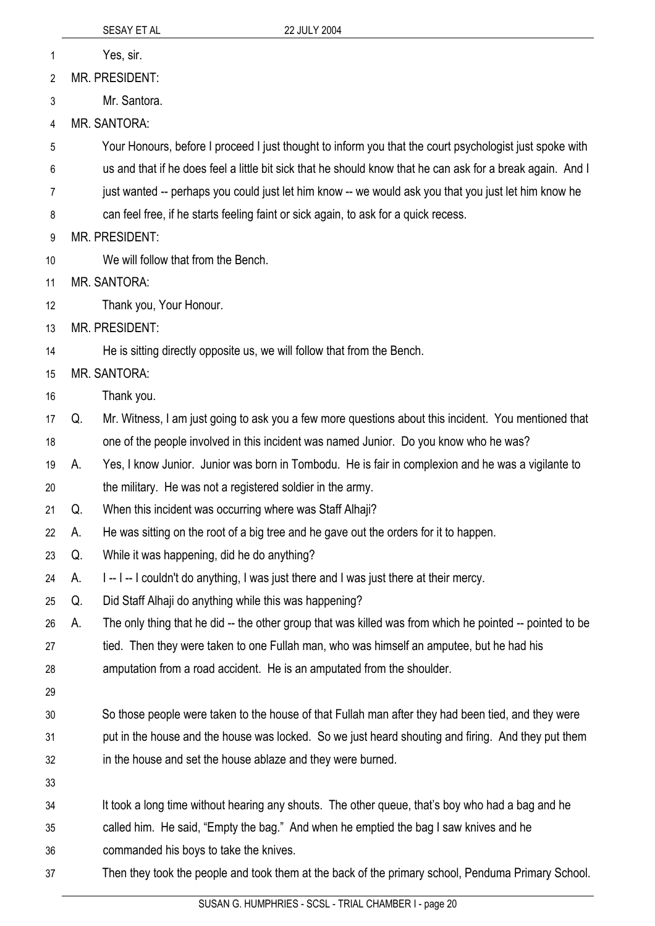- 1 Yes, sir.
- 2 MR. PRESIDENT:
- 3 Mr. Santora.
- 4 MR. SANTORA:
- 5 Your Honours, before I proceed I just thought to inform you that the court psychologist just spoke with
- 6 us and that if he does feel a little bit sick that he should know that he can ask for a break again. And I
- 7 just wanted -- perhaps you could just let him know -- we would ask you that you just let him know he
- 8 can feel free, if he starts feeling faint or sick again, to ask for a quick recess.
- 9 MR. PRESIDENT:
- 10 We will follow that from the Bench.
- 11 MR. SANTORA:
- 12 Thank you, Your Honour.
- 13 MR. PRESIDENT:
- 14 He is sitting directly opposite us, we will follow that from the Bench.
- 15 MR. SANTORA:
- 16 Thank you.
- 17 18 Q. Mr. Witness, I am just going to ask you a few more questions about this incident. You mentioned that one of the people involved in this incident was named Junior. Do you know who he was?
- 19 A. Yes, I know Junior. Junior was born in Tombodu. He is fair in complexion and he was a vigilante to
- 20 the military. He was not a registered soldier in the army.
- 21 Q. When this incident was occurring where was Staff Alhaji?
- 22 A. He was sitting on the root of a big tree and he gave out the orders for it to happen.
- 23 Q. While it was happening, did he do anything?
- 24 A. I -- I -- I couldn't do anything, I was just there and I was just there at their mercy.
- 25 Q. Did Staff Alhaji do anything while this was happening?
- 26 A. The only thing that he did -- the other group that was killed was from which he pointed -- pointed to be
- 27 tied. Then they were taken to one Fullah man, who was himself an amputee, but he had his
- 28 amputation from a road accident. He is an amputated from the shoulder.
- 29
- 30 31 32 So those people were taken to the house of that Fullah man after they had been tied, and they were put in the house and the house was locked. So we just heard shouting and firing. And they put them in the house and set the house ablaze and they were burned.
- 33
- 34 It took a long time without hearing any shouts. The other queue, that's boy who had a bag and he
- 35 called him. He said, "Empty the bag." And when he emptied the bag I saw knives and he
- 36 commanded his boys to take the knives.
- 37 Then they took the people and took them at the back of the primary school, Penduma Primary School.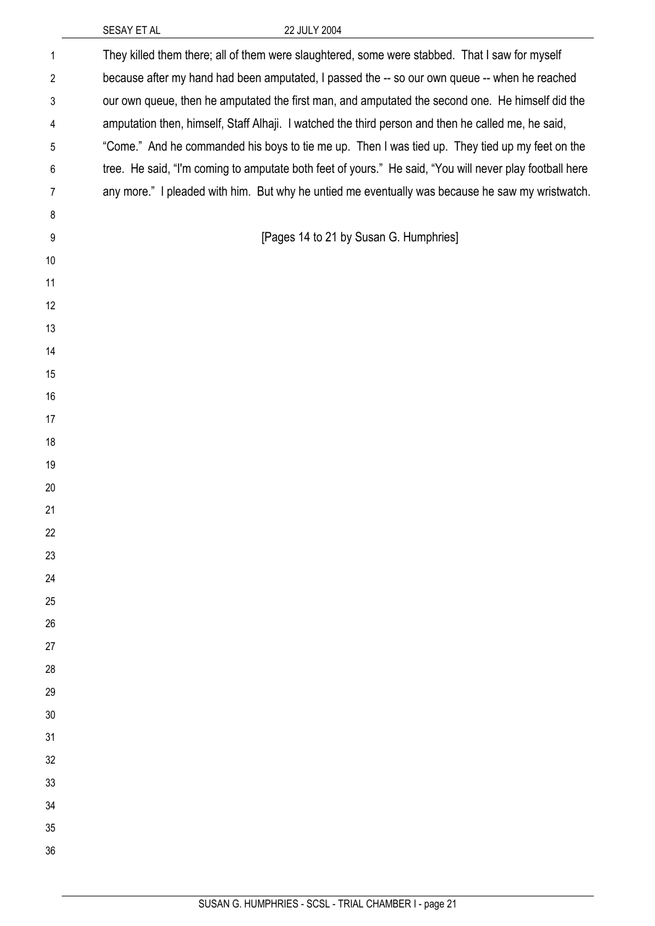| $\mathbf{1}$   | They killed them there; all of them were slaughtered, some were stabbed. That I saw for myself          |
|----------------|---------------------------------------------------------------------------------------------------------|
| $\overline{2}$ | because after my hand had been amputated, I passed the -- so our own queue -- when he reached           |
| 3              | our own queue, then he amputated the first man, and amputated the second one. He himself did the        |
| 4              | amputation then, himself, Staff Alhaji. I watched the third person and then he called me, he said,      |
| 5              | "Come." And he commanded his boys to tie me up. Then I was tied up. They tied up my feet on the         |
| $\,6$          | tree. He said, "I'm coming to amputate both feet of yours." He said, "You will never play football here |
| $\overline{7}$ | any more." I pleaded with him. But why he untied me eventually was because he saw my wristwatch.        |
| 8              |                                                                                                         |
| 9              | [Pages 14 to 21 by Susan G. Humphries]                                                                  |
| 10             |                                                                                                         |
| 11             |                                                                                                         |
| 12             |                                                                                                         |
| 13             |                                                                                                         |
| 14             |                                                                                                         |
| 15             |                                                                                                         |
| 16             |                                                                                                         |
| 17             |                                                                                                         |
| 18             |                                                                                                         |
| 19             |                                                                                                         |
| 20             |                                                                                                         |
| 21             |                                                                                                         |
| 22             |                                                                                                         |
| 23             |                                                                                                         |
| 24             |                                                                                                         |
| 25             |                                                                                                         |
| 26             |                                                                                                         |
| 27             |                                                                                                         |
| 28             |                                                                                                         |
| 29             |                                                                                                         |
| 30             |                                                                                                         |
| 31             |                                                                                                         |
| 32             |                                                                                                         |
| 33             |                                                                                                         |
| 34             |                                                                                                         |
| 35             |                                                                                                         |
| 36             |                                                                                                         |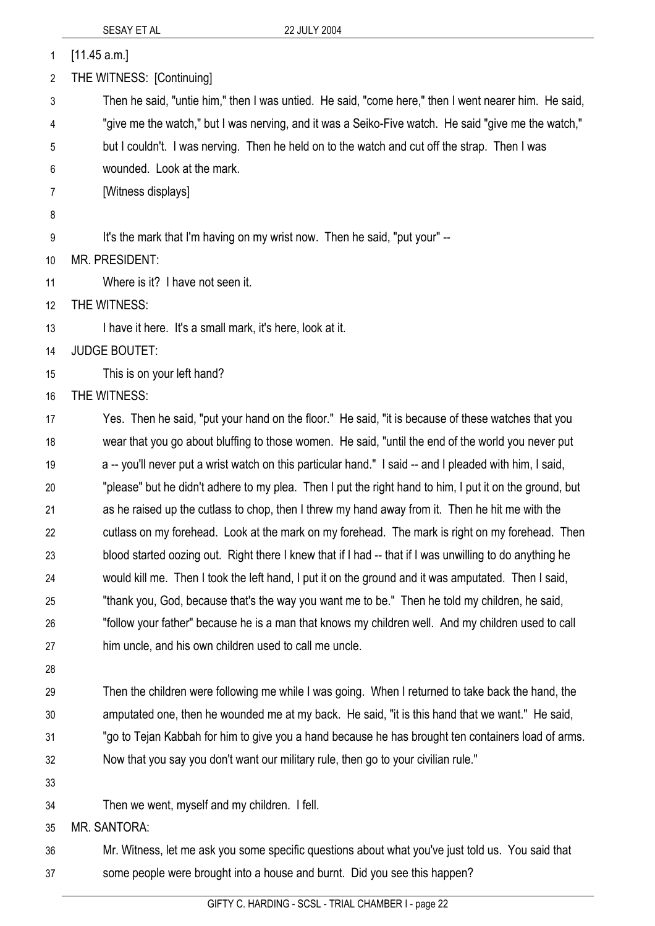| 1  | [11.45 a.m.]                                                                                            |
|----|---------------------------------------------------------------------------------------------------------|
| 2  | THE WITNESS: [Continuing]                                                                               |
| 3  | Then he said, "untie him," then I was untied. He said, "come here," then I went nearer him. He said,    |
| 4  | "give me the watch," but I was nerving, and it was a Seiko-Five watch. He said "give me the watch,"     |
| 5  | but I couldn't. I was nerving. Then he held on to the watch and cut off the strap. Then I was           |
| 6  | wounded. Look at the mark.                                                                              |
| 7  | [Witness displays]                                                                                      |
| 8  |                                                                                                         |
| 9  | It's the mark that I'm having on my wrist now. Then he said, "put your" --                              |
| 10 | <b>MR. PRESIDENT:</b>                                                                                   |
| 11 | Where is it? I have not seen it.                                                                        |
| 12 | THE WITNESS:                                                                                            |
| 13 | I have it here. It's a small mark, it's here, look at it.                                               |
| 14 | <b>JUDGE BOUTET:</b>                                                                                    |
| 15 | This is on your left hand?                                                                              |
| 16 | THE WITNESS:                                                                                            |
| 17 | Yes. Then he said, "put your hand on the floor." He said, "it is because of these watches that you      |
| 18 | wear that you go about bluffing to those women. He said, "until the end of the world you never put      |
| 19 | a -- you'll never put a wrist watch on this particular hand." I said -- and I pleaded with him, I said, |
| 20 | "please" but he didn't adhere to my plea. Then I put the right hand to him, I put it on the ground, but |
| 21 | as he raised up the cutlass to chop, then I threw my hand away from it. Then he hit me with the         |
| 22 | cutlass on my forehead. Look at the mark on my forehead. The mark is right on my forehead. Then         |
| 23 | blood started oozing out. Right there I knew that if I had -- that if I was unwilling to do anything he |
| 24 | would kill me. Then I took the left hand, I put it on the ground and it was amputated. Then I said,     |
| 25 | "thank you, God, because that's the way you want me to be." Then he told my children, he said,          |
| 26 | "follow your father" because he is a man that knows my children well. And my children used to call      |
| 27 | him uncle, and his own children used to call me uncle.                                                  |
| 28 |                                                                                                         |
| 29 | Then the children were following me while I was going. When I returned to take back the hand, the       |
| 30 | amputated one, then he wounded me at my back. He said, "it is this hand that we want." He said,         |
| 31 | "go to Tejan Kabbah for him to give you a hand because he has brought ten containers load of arms.      |
| 32 | Now that you say you don't want our military rule, then go to your civilian rule."                      |
| 33 |                                                                                                         |

34 Then we went, myself and my children. I fell.

35 MR. SANTORA:

36 37 Mr. Witness, let me ask you some specific questions about what you've just told us. You said that some people were brought into a house and burnt. Did you see this happen?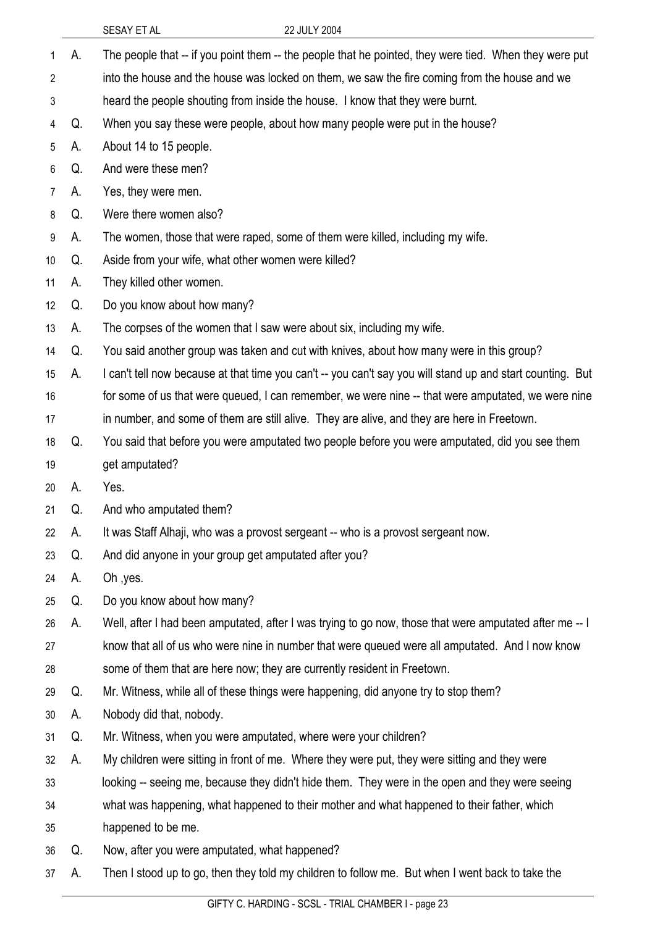|    |    | SESAY ET AL                                                                       | 22 JULY 2004                                                                                               |
|----|----|-----------------------------------------------------------------------------------|------------------------------------------------------------------------------------------------------------|
| 1  | А. |                                                                                   | The people that -- if you point them -- the people that he pointed, they were tied. When they were put     |
| 2  |    |                                                                                   | into the house and the house was locked on them, we saw the fire coming from the house and we              |
| 3  |    |                                                                                   | heard the people shouting from inside the house. I know that they were burnt.                              |
| 4  | Q. |                                                                                   | When you say these were people, about how many people were put in the house?                               |
| 5  | А. | About 14 to 15 people.                                                            |                                                                                                            |
| 6  | Q. | And were these men?                                                               |                                                                                                            |
| 7  | А. | Yes, they were men.                                                               |                                                                                                            |
| 8  | Q. | Were there women also?                                                            |                                                                                                            |
| 9  | А. |                                                                                   | The women, those that were raped, some of them were killed, including my wife.                             |
| 10 | Q. | Aside from your wife, what other women were killed?                               |                                                                                                            |
| 11 | А. | They killed other women.                                                          |                                                                                                            |
| 12 | Q. | Do you know about how many?                                                       |                                                                                                            |
| 13 | А. |                                                                                   | The corpses of the women that I saw were about six, including my wife.                                     |
| 14 | Q. |                                                                                   | You said another group was taken and cut with knives, about how many were in this group?                   |
| 15 | А. |                                                                                   | I can't tell now because at that time you can't -- you can't say you will stand up and start counting. But |
| 16 |    |                                                                                   | for some of us that were queued, I can remember, we were nine -- that were amputated, we were nine         |
| 17 |    |                                                                                   | in number, and some of them are still alive. They are alive, and they are here in Freetown.                |
| 18 | Q. |                                                                                   | You said that before you were amputated two people before you were amputated, did you see them             |
| 19 |    | get amputated?                                                                    |                                                                                                            |
| 20 | А. | Yes.                                                                              |                                                                                                            |
| 21 | Q. | And who amputated them?                                                           |                                                                                                            |
| 22 | А. | It was Staff Alhaji, who was a provost sergeant -- who is a provost sergeant now. |                                                                                                            |
| 23 | Q. | And did anyone in your group get amputated after you?                             |                                                                                                            |
| 24 | А. | Oh, yes.                                                                          |                                                                                                            |
| 25 | Q. | Do you know about how many?                                                       |                                                                                                            |
| 26 | А. |                                                                                   | Well, after I had been amputated, after I was trying to go now, those that were amputated after me -- I    |
| 27 |    |                                                                                   | know that all of us who were nine in number that were queued were all amputated. And I now know            |
| 28 |    |                                                                                   | some of them that are here now; they are currently resident in Freetown.                                   |
| 29 | Q. |                                                                                   | Mr. Witness, while all of these things were happening, did anyone try to stop them?                        |
| 30 | А. | Nobody did that, nobody.                                                          |                                                                                                            |
| 31 | Q. |                                                                                   | Mr. Witness, when you were amputated, where were your children?                                            |
| 32 | А. |                                                                                   | My children were sitting in front of me. Where they were put, they were sitting and they were              |
| 33 |    |                                                                                   | looking -- seeing me, because they didn't hide them. They were in the open and they were seeing            |
| 34 |    |                                                                                   | what was happening, what happened to their mother and what happened to their father, which                 |
| 35 |    | happened to be me.                                                                |                                                                                                            |
| 36 | Q. | Now, after you were amputated, what happened?                                     |                                                                                                            |
| 37 | А. |                                                                                   | Then I stood up to go, then they told my children to follow me. But when I went back to take the           |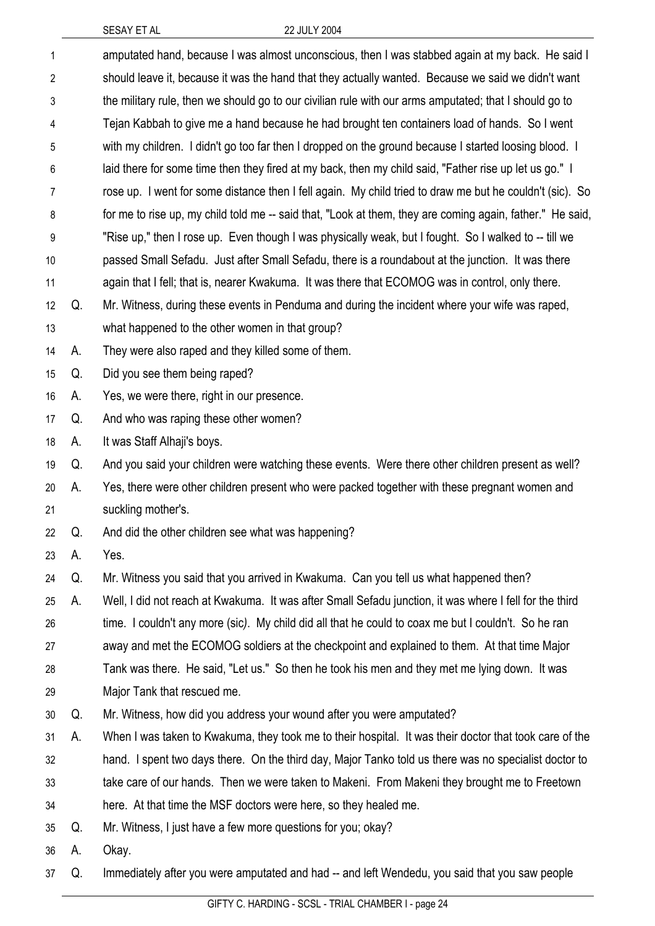| 1              |    | amputated hand, because I was almost unconscious, then I was stabbed again at my back. He said I          |
|----------------|----|-----------------------------------------------------------------------------------------------------------|
| $\overline{2}$ |    | should leave it, because it was the hand that they actually wanted. Because we said we didn't want        |
| 3              |    | the military rule, then we should go to our civilian rule with our arms amputated; that I should go to    |
| 4              |    | Tejan Kabbah to give me a hand because he had brought ten containers load of hands. So I went             |
| 5              |    | with my children. I didn't go too far then I dropped on the ground because I started loosing blood. I     |
| 6              |    | laid there for some time then they fired at my back, then my child said, "Father rise up let us go." I    |
| 7              |    | rose up. I went for some distance then I fell again. My child tried to draw me but he couldn't (sic). So  |
| 8              |    | for me to rise up, my child told me -- said that, "Look at them, they are coming again, father." He said, |
| 9              |    | "Rise up," then I rose up. Even though I was physically weak, but I fought. So I walked to -- till we     |
| 10             |    | passed Small Sefadu. Just after Small Sefadu, there is a roundabout at the junction. It was there         |
| 11             |    | again that I fell; that is, nearer Kwakuma. It was there that ECOMOG was in control, only there.          |
| 12             | Q. | Mr. Witness, during these events in Penduma and during the incident where your wife was raped,            |
| 13             |    | what happened to the other women in that group?                                                           |
| 14             | А. | They were also raped and they killed some of them.                                                        |
| 15             | Q. | Did you see them being raped?                                                                             |
| 16             | А. | Yes, we were there, right in our presence.                                                                |
| 17             | Q. | And who was raping these other women?                                                                     |
| 18             | А. | It was Staff Alhaji's boys.                                                                               |
| 19             | Q. | And you said your children were watching these events. Were there other children present as well?         |
| 20             | А. | Yes, there were other children present who were packed together with these pregnant women and             |
| 21             |    | suckling mother's.                                                                                        |
| 22             | Q. | And did the other children see what was happening?                                                        |
| 23             | А. | Yes.                                                                                                      |
| 24             | Q. | Mr. Witness you said that you arrived in Kwakuma. Can you tell us what happened then?                     |
| 25             | А. | Well, I did not reach at Kwakuma. It was after Small Sefadu junction, it was where I fell for the third   |
| 26             |    | time. I couldn't any more (sic). My child did all that he could to coax me but I couldn't. So he ran      |
| 27             |    | away and met the ECOMOG soldiers at the checkpoint and explained to them. At that time Major              |
| 28             |    | Tank was there. He said, "Let us." So then he took his men and they met me lying down. It was             |
| 29             |    | Major Tank that rescued me.                                                                               |
| 30             | Q. | Mr. Witness, how did you address your wound after you were amputated?                                     |
| 31             | А. | When I was taken to Kwakuma, they took me to their hospital. It was their doctor that took care of the    |
| 32             |    | hand. I spent two days there. On the third day, Major Tanko told us there was no specialist doctor to     |
| 33             |    | take care of our hands. Then we were taken to Makeni. From Makeni they brought me to Freetown             |
| 34             |    | here. At that time the MSF doctors were here, so they healed me.                                          |
| 35             | Q. | Mr. Witness, I just have a few more questions for you; okay?                                              |
| 36             | A. | Okay.                                                                                                     |
| 37             | Q. | Immediately after you were amputated and had -- and left Wendedu, you said that you saw people            |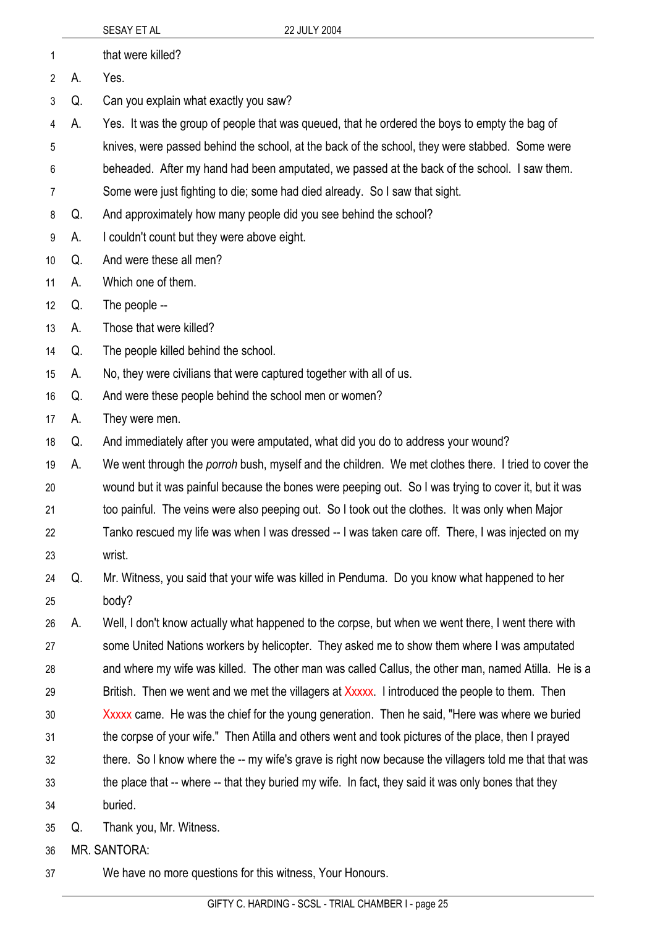|                |    | SESAY ET AL                                                                                            | 22 JULY 2004                                                                                         |
|----------------|----|--------------------------------------------------------------------------------------------------------|------------------------------------------------------------------------------------------------------|
| 1              |    | that were killed?                                                                                      |                                                                                                      |
| 2              | А. | Yes.                                                                                                   |                                                                                                      |
| 3              | Q. | Can you explain what exactly you saw?                                                                  |                                                                                                      |
| 4              | А. |                                                                                                        | Yes. It was the group of people that was queued, that he ordered the boys to empty the bag of        |
| 5              |    | knives, were passed behind the school, at the back of the school, they were stabbed. Some were         |                                                                                                      |
| 6              |    |                                                                                                        | beheaded. After my hand had been amputated, we passed at the back of the school. I saw them.         |
| $\overline{7}$ |    |                                                                                                        | Some were just fighting to die; some had died already. So I saw that sight.                          |
| 8              | Q. | And approximately how many people did you see behind the school?                                       |                                                                                                      |
| 9              | А. | I couldn't count but they were above eight.                                                            |                                                                                                      |
| 10             | Q. | And were these all men?                                                                                |                                                                                                      |
| 11             | А. | Which one of them.                                                                                     |                                                                                                      |
| 12             | Q. | The people --                                                                                          |                                                                                                      |
| 13             | А. | Those that were killed?                                                                                |                                                                                                      |
| 14             | Q. | The people killed behind the school.                                                                   |                                                                                                      |
| 15             | А. | No, they were civilians that were captured together with all of us.                                    |                                                                                                      |
| 16             | Q. | And were these people behind the school men or women?                                                  |                                                                                                      |
| 17             | А. | They were men.                                                                                         |                                                                                                      |
| 18             | Q. |                                                                                                        | And immediately after you were amputated, what did you do to address your wound?                     |
| 19             | A. |                                                                                                        | We went through the porroh bush, myself and the children. We met clothes there. I tried to cover the |
| 20             |    |                                                                                                        | wound but it was painful because the bones were peeping out. So I was trying to cover it, but it was |
| 21             |    | too painful. The veins were also peeping out. So I took out the clothes. It was only when Major        |                                                                                                      |
| 22             |    | Tanko rescued my life was when I was dressed -- I was taken care off. There, I was injected on my      |                                                                                                      |
| 23             |    | wrist.                                                                                                 |                                                                                                      |
| 24             | Q. |                                                                                                        | Mr. Witness, you said that your wife was killed in Penduma. Do you know what happened to her         |
| 25             |    | body?                                                                                                  |                                                                                                      |
| 26             | А. |                                                                                                        | Well, I don't know actually what happened to the corpse, but when we went there, I went there with   |
| 27             |    |                                                                                                        | some United Nations workers by helicopter. They asked me to show them where I was amputated          |
| 28             |    |                                                                                                        | and where my wife was killed. The other man was called Callus, the other man, named Atilla. He is a  |
| 29             |    |                                                                                                        | British. Then we went and we met the villagers at Xxxxx. I introduced the people to them. Then       |
| 30             |    |                                                                                                        | Xxxxx came. He was the chief for the young generation. Then he said, "Here was where we buried       |
| 31             |    |                                                                                                        | the corpse of your wife." Then Atilla and others went and took pictures of the place, then I prayed  |
| 32             |    | there. So I know where the -- my wife's grave is right now because the villagers told me that that was |                                                                                                      |
| 33             |    |                                                                                                        | the place that -- where -- that they buried my wife. In fact, they said it was only bones that they  |
| 34             |    | buried.                                                                                                |                                                                                                      |
| 35             | Q. | Thank you, Mr. Witness.                                                                                |                                                                                                      |
| 36             |    | <b>MR. SANTORA:</b>                                                                                    |                                                                                                      |

37 We have no more questions for this witness, Your Honours.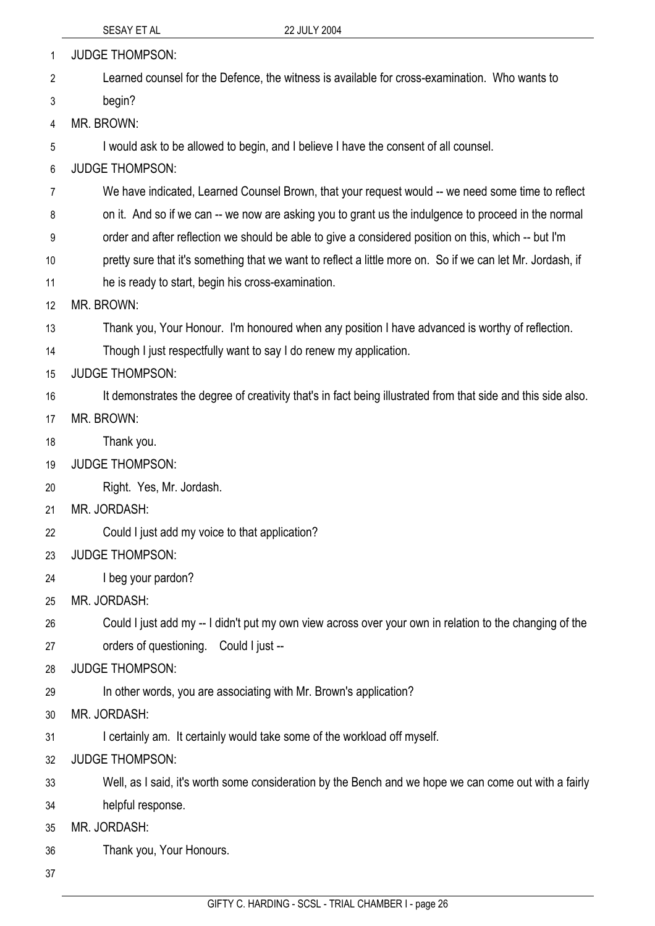|                | 22 JULY 2004<br>SESAY ET AL                                                                                  |  |
|----------------|--------------------------------------------------------------------------------------------------------------|--|
| 1              | <b>JUDGE THOMPSON:</b>                                                                                       |  |
| $\overline{2}$ | Learned counsel for the Defence, the witness is available for cross-examination. Who wants to                |  |
| 3              | begin?                                                                                                       |  |
| 4              | MR. BROWN:                                                                                                   |  |
| 5              | I would ask to be allowed to begin, and I believe I have the consent of all counsel.                         |  |
| 6              | <b>JUDGE THOMPSON:</b>                                                                                       |  |
| 7              | We have indicated, Learned Counsel Brown, that your request would -- we need some time to reflect            |  |
| 8              | on it. And so if we can -- we now are asking you to grant us the indulgence to proceed in the normal         |  |
| 9              | order and after reflection we should be able to give a considered position on this, which -- but I'm         |  |
| 10             | pretty sure that it's something that we want to reflect a little more on. So if we can let Mr. Jordash, if   |  |
| 11             | he is ready to start, begin his cross-examination.                                                           |  |
| 12             | MR. BROWN:                                                                                                   |  |
| 13             | Thank you, Your Honour. I'm honoured when any position I have advanced is worthy of reflection.              |  |
| 14             | Though I just respectfully want to say I do renew my application.                                            |  |
| 15             | <b>JUDGE THOMPSON:</b>                                                                                       |  |
| 16             | It demonstrates the degree of creativity that's in fact being illustrated from that side and this side also. |  |
| 17             | MR. BROWN:                                                                                                   |  |
| 18             | Thank you.                                                                                                   |  |
| 19             | <b>JUDGE THOMPSON:</b>                                                                                       |  |
| 20             | Right. Yes, Mr. Jordash.                                                                                     |  |
| 21             | MR. JORDASH:                                                                                                 |  |
| 22             | Could I just add my voice to that application?                                                               |  |
| 23             | <b>JUDGE THOMPSON:</b>                                                                                       |  |
| 24             | I beg your pardon?                                                                                           |  |
| 25             | MR. JORDASH:                                                                                                 |  |
| 26             | Could I just add my -- I didn't put my own view across over your own in relation to the changing of the      |  |
| 27             | orders of questioning. Could I just --                                                                       |  |
| 28             | <b>JUDGE THOMPSON:</b>                                                                                       |  |
| 29             | In other words, you are associating with Mr. Brown's application?                                            |  |
| 30             | MR. JORDASH:                                                                                                 |  |
| 31             | I certainly am. It certainly would take some of the workload off myself.                                     |  |
| 32             | <b>JUDGE THOMPSON:</b>                                                                                       |  |
| 33             | Well, as I said, it's worth some consideration by the Bench and we hope we can come out with a fairly        |  |
| 34             | helpful response.                                                                                            |  |
| 35             | MR. JORDASH:                                                                                                 |  |
| 36             | Thank you, Your Honours.                                                                                     |  |

37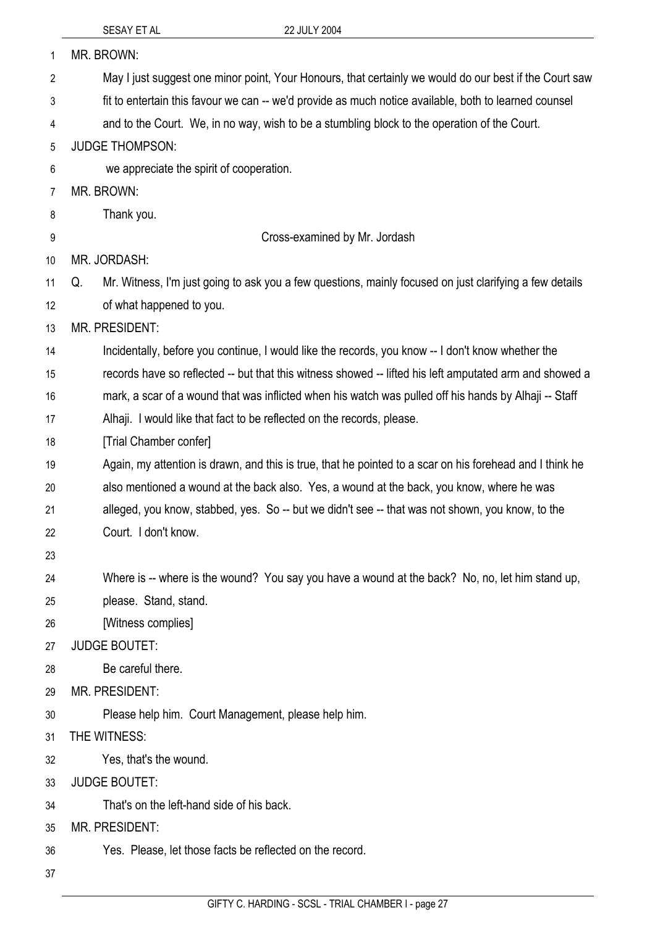| 1              | MR. BROWN:                                                                                                    |
|----------------|---------------------------------------------------------------------------------------------------------------|
| 2              | May I just suggest one minor point, Your Honours, that certainly we would do our best if the Court saw        |
| 3              | fit to entertain this favour we can -- we'd provide as much notice available, both to learned counsel         |
| 4              | and to the Court. We, in no way, wish to be a stumbling block to the operation of the Court.                  |
| 5              | <b>JUDGE THOMPSON:</b>                                                                                        |
| 6              | we appreciate the spirit of cooperation.                                                                      |
| $\overline{7}$ | MR. BROWN:                                                                                                    |
| 8              | Thank you.                                                                                                    |
| 9              | Cross-examined by Mr. Jordash                                                                                 |
| 10             | MR. JORDASH:                                                                                                  |
| 11             | Mr. Witness, I'm just going to ask you a few questions, mainly focused on just clarifying a few details<br>Q. |
| 12             | of what happened to you.                                                                                      |
| 13             | MR. PRESIDENT:                                                                                                |
| 14             | Incidentally, before you continue, I would like the records, you know -- I don't know whether the             |
| 15             | records have so reflected -- but that this witness showed -- lifted his left amputated arm and showed a       |
| 16             | mark, a scar of a wound that was inflicted when his watch was pulled off his hands by Alhaji -- Staff         |
| 17             | Alhaji. I would like that fact to be reflected on the records, please.                                        |
| 18             | [Trial Chamber confer]                                                                                        |
| 19             | Again, my attention is drawn, and this is true, that he pointed to a scar on his forehead and I think he      |
| 20             | also mentioned a wound at the back also. Yes, a wound at the back, you know, where he was                     |
| 21             | alleged, you know, stabbed, yes. So -- but we didn't see -- that was not shown, you know, to the              |
| 22             | Court. I don't know.                                                                                          |
| 23             |                                                                                                               |
| 24             | Where is -- where is the wound? You say you have a wound at the back? No, no, let him stand up,               |
| 25             | please. Stand, stand.                                                                                         |
| 26             | [Witness complies]                                                                                            |
| 27             | <b>JUDGE BOUTET:</b>                                                                                          |
| 28             | Be careful there.                                                                                             |
| 29             | MR. PRESIDENT:                                                                                                |
| 30             | Please help him. Court Management, please help him.                                                           |
| 31             | THE WITNESS:                                                                                                  |
| 32             | Yes, that's the wound.                                                                                        |
| 33             | <b>JUDGE BOUTET:</b>                                                                                          |
| 34             | That's on the left-hand side of his back.                                                                     |
| 35             | <b>MR. PRESIDENT:</b>                                                                                         |
| 36             | Yes. Please, let those facts be reflected on the record.                                                      |
| っっ             |                                                                                                               |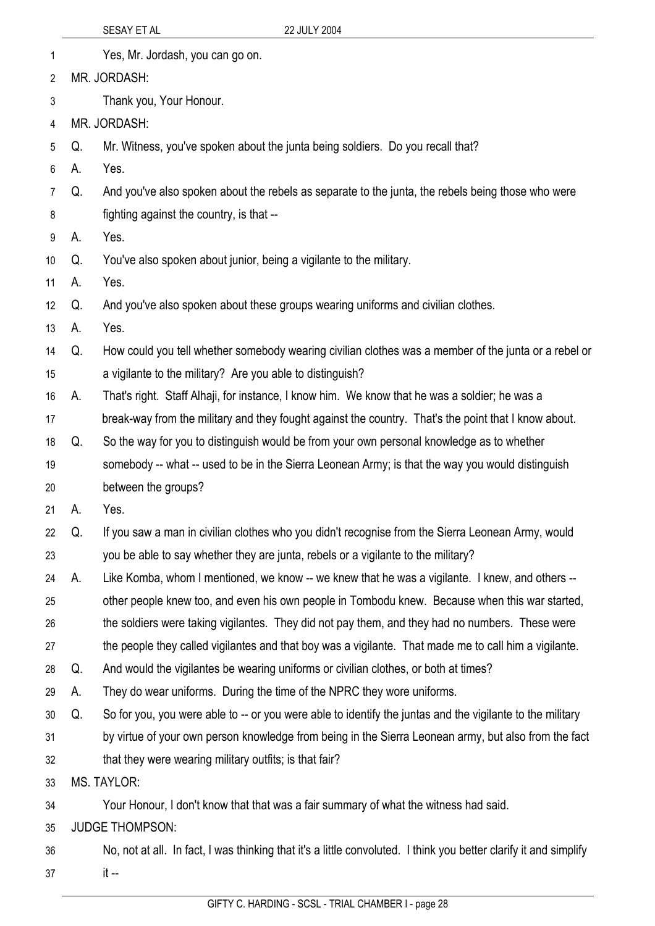| 1              |                        | Yes, Mr. Jordash, you can go on.                                                                                  |  |
|----------------|------------------------|-------------------------------------------------------------------------------------------------------------------|--|
| 2              |                        | MR. JORDASH:                                                                                                      |  |
| 3              |                        | Thank you, Your Honour.                                                                                           |  |
| 4              |                        | MR. JORDASH:                                                                                                      |  |
| 5              | Q.                     | Mr. Witness, you've spoken about the junta being soldiers. Do you recall that?                                    |  |
| 6              | А.                     | Yes.                                                                                                              |  |
| $\overline{7}$ | Q.                     | And you've also spoken about the rebels as separate to the junta, the rebels being those who were                 |  |
| 8              |                        | fighting against the country, is that --                                                                          |  |
| 9              | А.                     | Yes.                                                                                                              |  |
| 10             | Q.                     | You've also spoken about junior, being a vigilante to the military.                                               |  |
| 11             | А.                     | Yes.                                                                                                              |  |
| 12             | Q.                     | And you've also spoken about these groups wearing uniforms and civilian clothes.                                  |  |
| 13             | А.                     | Yes.                                                                                                              |  |
| 14             | Q.                     | How could you tell whether somebody wearing civilian clothes was a member of the junta or a rebel or              |  |
| 15             |                        | a vigilante to the military? Are you able to distinguish?                                                         |  |
| 16             | А.                     | That's right. Staff Alhaji, for instance, I know him. We know that he was a soldier; he was a                     |  |
| 17             |                        | break-way from the military and they fought against the country. That's the point that I know about.              |  |
| 18             | Q.                     | So the way for you to distinguish would be from your own personal knowledge as to whether                         |  |
| 19             |                        | somebody -- what -- used to be in the Sierra Leonean Army; is that the way you would distinguish                  |  |
| 20             |                        | between the groups?                                                                                               |  |
| 21             | А.                     | Yes.                                                                                                              |  |
| 22             | Q.                     | If you saw a man in civilian clothes who you didn't recognise from the Sierra Leonean Army, would                 |  |
| 23             |                        | you be able to say whether they are junta, rebels or a vigilante to the military?                                 |  |
| 24             | А.                     | Like Komba, whom I mentioned, we know -- we knew that he was a vigilante. I knew, and others --                   |  |
| 25             |                        | other people knew too, and even his own people in Tombodu knew. Because when this war started,                    |  |
| 26             |                        | the soldiers were taking vigilantes. They did not pay them, and they had no numbers. These were                   |  |
| 27             |                        | the people they called vigilantes and that boy was a vigilante. That made me to call him a vigilante.             |  |
| 28             | Q.                     | And would the vigilantes be wearing uniforms or civilian clothes, or both at times?                               |  |
| 29             | А.                     | They do wear uniforms. During the time of the NPRC they wore uniforms.                                            |  |
| 30             | Q.                     | So for you, you were able to -- or you were able to identify the juntas and the vigilante to the military         |  |
| 31             |                        | by virtue of your own person knowledge from being in the Sierra Leonean army, but also from the fact              |  |
| 32             |                        | that they were wearing military outfits; is that fair?                                                            |  |
| 33             |                        | <b>MS. TAYLOR:</b>                                                                                                |  |
| 34             |                        | Your Honour, I don't know that that was a fair summary of what the witness had said.                              |  |
| 35             | <b>JUDGE THOMPSON:</b> |                                                                                                                   |  |
| 36             |                        | No, not at all. In fact, I was thinking that it's a little convoluted. I think you better clarify it and simplify |  |
| 37             |                        | $it -$                                                                                                            |  |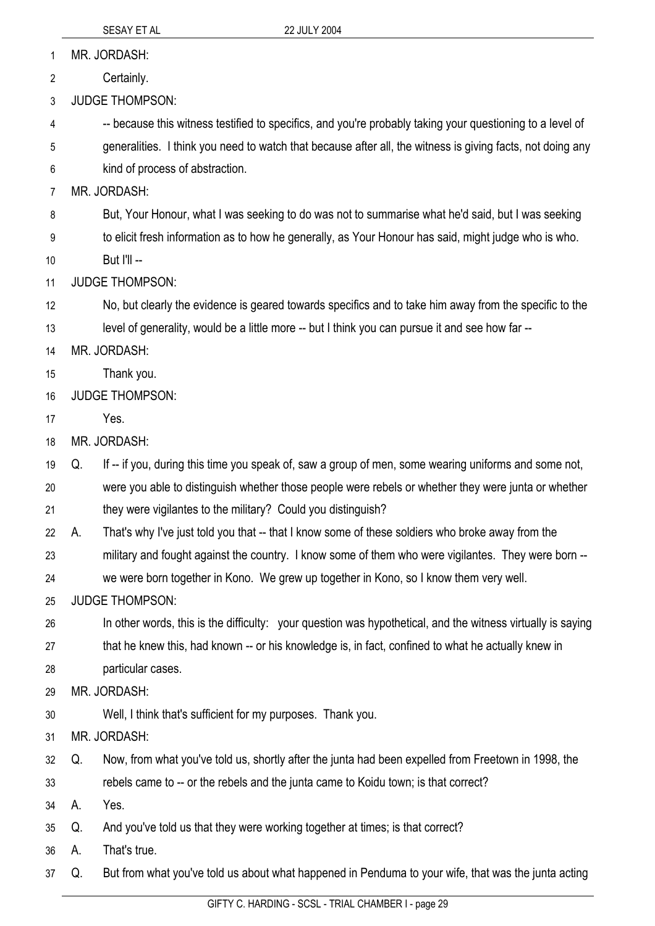MR. JORDASH: 1

Certainly. 2

3 JUDGE THOMPSON:

4 -- because this witness testified to specifics, and you're probably taking your questioning to a level of

- 5 generalities. I think you need to watch that because after all, the witness is giving facts, not doing any
- 6 kind of process of abstraction.

7 MR. JORDASH:

8 But, Your Honour, what I was seeking to do was not to summarise what he'd said, but I was seeking

9 to elicit fresh information as to how he generally, as Your Honour has said, might judge who is who.

10 But I'll --

11 JUDGE THOMPSON:

12 No, but clearly the evidence is geared towards specifics and to take him away from the specific to the

13 level of generality, would be a little more -- but I think you can pursue it and see how far --

14 MR. JORDASH:

- 15 Thank you.
- 16 JUDGE THOMPSON:

17 Yes.

18 MR. JORDASH:

19 Q. If -- if you, during this time you speak of, saw a group of men, some wearing uniforms and some not,

20 were you able to distinguish whether those people were rebels or whether they were junta or whether

21 they were vigilantes to the military? Could you distinguish?

22 A. That's why I've just told you that -- that I know some of these soldiers who broke away from the

23 military and fought against the country. I know some of them who were vigilantes. They were born --

24 we were born together in Kono. We grew up together in Kono, so I know them very well.

25 JUDGE THOMPSON:

26 In other words, this is the difficulty: your question was hypothetical, and the witness virtually is saying

27 that he knew this, had known -- or his knowledge is, in fact, confined to what he actually knew in

28 particular cases.

29 MR. JORDASH:

- 30 Well, I think that's sufficient for my purposes. Thank you.
- 31 MR. JORDASH:
- 32 Q. Now, from what you've told us, shortly after the junta had been expelled from Freetown in 1998, the
- 33 rebels came to -- or the rebels and the junta came to Koidu town; is that correct?
- 34 A. Yes.

35 Q. And you've told us that they were working together at times; is that correct?

36 A. That's true.

37 Q. But from what you've told us about what happened in Penduma to your wife, that was the junta acting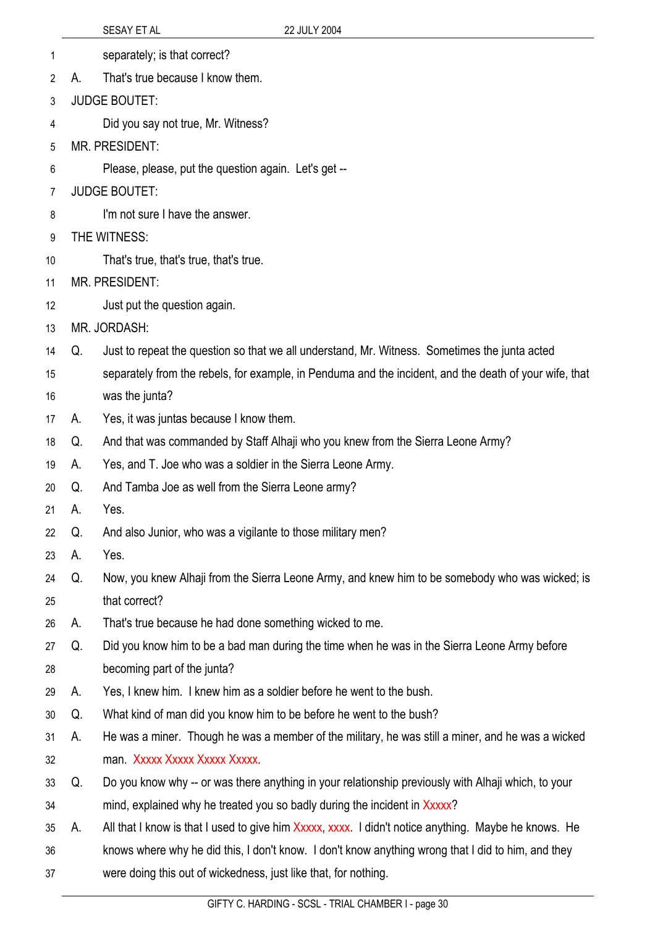|    |    | <b>SESAY ET AL</b><br>22 JULY 2004                                                                     |
|----|----|--------------------------------------------------------------------------------------------------------|
| 1  |    | separately; is that correct?                                                                           |
| 2  | А. | That's true because I know them.                                                                       |
| 3  |    | <b>JUDGE BOUTET:</b>                                                                                   |
| 4  |    | Did you say not true, Mr. Witness?                                                                     |
| 5  |    | <b>MR. PRESIDENT:</b>                                                                                  |
| 6  |    | Please, please, put the question again. Let's get --                                                   |
| 7  |    | <b>JUDGE BOUTET:</b>                                                                                   |
| 8  |    | I'm not sure I have the answer.                                                                        |
| 9  |    | THE WITNESS:                                                                                           |
| 10 |    | That's true, that's true, that's true.                                                                 |
| 11 |    | <b>MR. PRESIDENT:</b>                                                                                  |
| 12 |    | Just put the question again.                                                                           |
| 13 |    | MR. JORDASH:                                                                                           |
| 14 | Q. | Just to repeat the question so that we all understand, Mr. Witness. Sometimes the junta acted          |
| 15 |    | separately from the rebels, for example, in Penduma and the incident, and the death of your wife, that |
| 16 |    | was the junta?                                                                                         |
| 17 | А. | Yes, it was juntas because I know them.                                                                |
| 18 | Q. | And that was commanded by Staff Alhaji who you knew from the Sierra Leone Army?                        |
| 19 | A. | Yes, and T. Joe who was a soldier in the Sierra Leone Army.                                            |
| 20 | Q. | And Tamba Joe as well from the Sierra Leone army?                                                      |
| 21 | А. | Yes.                                                                                                   |
| 22 | Q. | And also Junior, who was a vigilante to those military men?                                            |
| 23 | А. | Yes.                                                                                                   |
| 24 | Q. | Now, you knew Alhaji from the Sierra Leone Army, and knew him to be somebody who was wicked; is        |
| 25 |    | that correct?                                                                                          |
| 26 | А. | That's true because he had done something wicked to me.                                                |
| 27 | Q. | Did you know him to be a bad man during the time when he was in the Sierra Leone Army before           |
| 28 |    | becoming part of the junta?                                                                            |
| 29 | А. | Yes, I knew him. I knew him as a soldier before he went to the bush.                                   |
| 30 | Q. | What kind of man did you know him to be before he went to the bush?                                    |
| 31 | A. | He was a miner. Though he was a member of the military, he was still a miner, and he was a wicked      |
| 32 |    | man. Xxxxx Xxxxx Xxxxx Xxxxx.                                                                          |
| 33 | Q. | Do you know why -- or was there anything in your relationship previously with Alhaji which, to your    |
| 34 |    | mind, explained why he treated you so badly during the incident in Xxxxx?                              |
| 35 | А. | All that I know is that I used to give him Xxxxx, xxxx. I didn't notice anything. Maybe he knows. He   |
| 36 |    | knows where why he did this, I don't know. I don't know anything wrong that I did to him, and they     |
| 37 |    | were doing this out of wickedness, just like that, for nothing.                                        |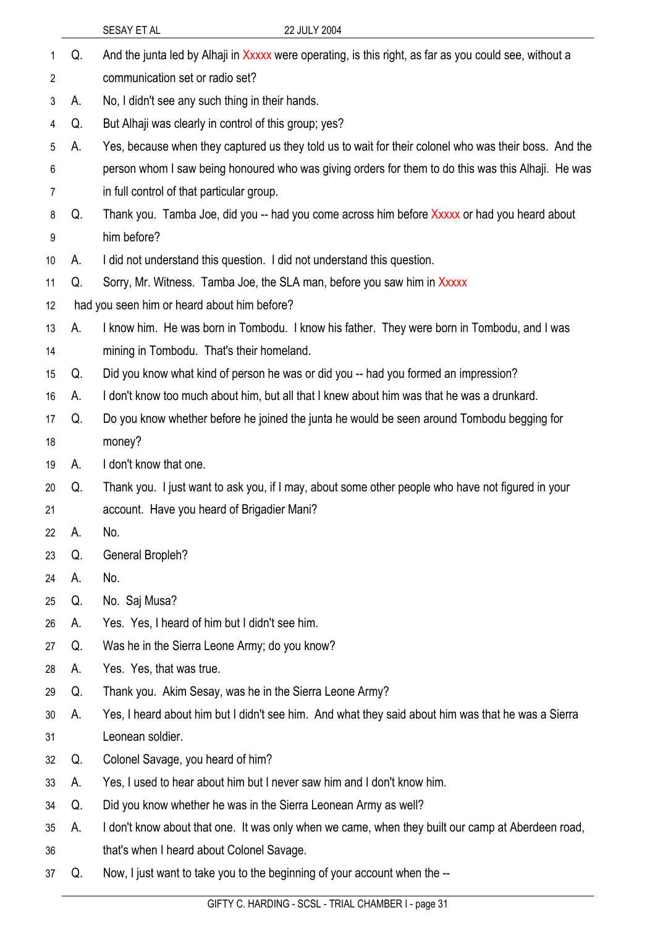|    |    | 22 JULY 2004<br>SESAY ET AL                                                                            |
|----|----|--------------------------------------------------------------------------------------------------------|
| 1  | Q. | And the junta led by Alhaji in Xxxxx were operating, is this right, as far as you could see, without a |
| 2  |    | communication set or radio set?                                                                        |
| 3  | А. | No, I didn't see any such thing in their hands.                                                        |
| 4  | Q. | But Alhaji was clearly in control of this group; yes?                                                  |
| 5  | А. | Yes, because when they captured us they told us to wait for their colonel who was their boss. And the  |
| 6  |    | person whom I saw being honoured who was giving orders for them to do this was this Alhaji. He was     |
| 7  |    | in full control of that particular group.                                                              |
| 8  | Q. | Thank you. Tamba Joe, did you -- had you come across him before Xxxxx or had you heard about           |
| 9  |    | him before?                                                                                            |
| 10 | А. | I did not understand this question. I did not understand this question.                                |
| 11 | Q. | Sorry, Mr. Witness. Tamba Joe, the SLA man, before you saw him in Xxxxx                                |
| 12 |    | had you seen him or heard about him before?                                                            |
| 13 | А. | I know him. He was born in Tombodu. I know his father. They were born in Tombodu, and I was            |
| 14 |    | mining in Tombodu. That's their homeland.                                                              |
| 15 | Q. | Did you know what kind of person he was or did you -- had you formed an impression?                    |
| 16 | А. | I don't know too much about him, but all that I knew about him was that he was a drunkard.             |
| 17 | Q. | Do you know whether before he joined the junta he would be seen around Tombodu begging for             |
| 18 |    | money?                                                                                                 |
| 19 | А. | I don't know that one.                                                                                 |
| 20 | Q. | Thank you. I just want to ask you, if I may, about some other people who have not figured in your      |
| 21 |    | account. Have you heard of Brigadier Mani?                                                             |
| 22 | А. | No.                                                                                                    |
| 23 | Q. | <b>General Bropleh?</b>                                                                                |
| 24 | А. | No.                                                                                                    |
| 25 | Q. | No. Saj Musa?                                                                                          |
| 26 | А. | Yes. Yes, I heard of him but I didn't see him.                                                         |
| 27 | Q. | Was he in the Sierra Leone Army; do you know?                                                          |
| 28 | А. | Yes. Yes, that was true.                                                                               |
| 29 | Q. | Thank you. Akim Sesay, was he in the Sierra Leone Army?                                                |
| 30 | А. | Yes, I heard about him but I didn't see him. And what they said about him was that he was a Sierra     |
| 31 |    | Leonean soldier.                                                                                       |
| 32 | Q. | Colonel Savage, you heard of him?                                                                      |
| 33 | А. | Yes, I used to hear about him but I never saw him and I don't know him.                                |
| 34 | Q. | Did you know whether he was in the Sierra Leonean Army as well?                                        |
| 35 | А. | I don't know about that one. It was only when we came, when they built our camp at Aberdeen road,      |
| 36 |    | that's when I heard about Colonel Savage.                                                              |
| 37 | Q. | Now, I just want to take you to the beginning of your account when the --                              |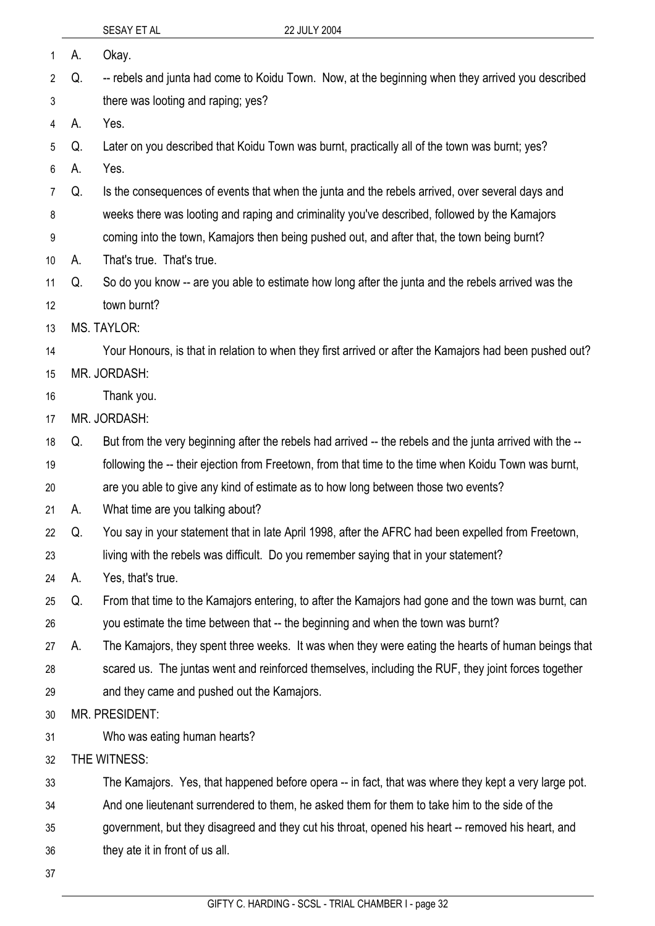|                |    | SESAY ET AL                                | 22 JULY 2004                                                                                             |
|----------------|----|--------------------------------------------|----------------------------------------------------------------------------------------------------------|
| 1              | А. | Okay.                                      |                                                                                                          |
| $\overline{2}$ | Q. |                                            | -- rebels and junta had come to Koidu Town. Now, at the beginning when they arrived you described        |
| 3              |    | there was looting and raping; yes?         |                                                                                                          |
| 4              | А. | Yes.                                       |                                                                                                          |
| 5              | Q. |                                            | Later on you described that Koidu Town was burnt, practically all of the town was burnt; yes?            |
| 6              | А. | Yes.                                       |                                                                                                          |
| 7              | Q. |                                            | Is the consequences of events that when the junta and the rebels arrived, over several days and          |
| 8              |    |                                            | weeks there was looting and raping and criminality you've described, followed by the Kamajors            |
| 9              |    |                                            | coming into the town, Kamajors then being pushed out, and after that, the town being burnt?              |
| 10             | А. | That's true. That's true.                  |                                                                                                          |
| 11             | Q. |                                            | So do you know -- are you able to estimate how long after the junta and the rebels arrived was the       |
| 12             |    | town burnt?                                |                                                                                                          |
| 13             |    | <b>MS. TAYLOR:</b>                         |                                                                                                          |
| 14             |    |                                            | Your Honours, is that in relation to when they first arrived or after the Kamajors had been pushed out?  |
| 15             |    | MR. JORDASH:                               |                                                                                                          |
| 16             |    | Thank you.                                 |                                                                                                          |
| 17             |    | MR. JORDASH:                               |                                                                                                          |
| 18             | Q. |                                            | But from the very beginning after the rebels had arrived -- the rebels and the junta arrived with the -- |
| 19             |    |                                            | following the -- their ejection from Freetown, from that time to the time when Koidu Town was burnt,     |
| 20             |    |                                            | are you able to give any kind of estimate as to how long between those two events?                       |
| 21             | А. | What time are you talking about?           |                                                                                                          |
| 22             | Q. |                                            | You say in your statement that in late April 1998, after the AFRC had been expelled from Freetown,       |
| 23             |    |                                            | living with the rebels was difficult. Do you remember saying that in your statement?                     |
| 24             | А. | Yes, that's true.                          |                                                                                                          |
| 25             | Q. |                                            | From that time to the Kamajors entering, to after the Kamajors had gone and the town was burnt, can      |
| 26             |    |                                            | you estimate the time between that -- the beginning and when the town was burnt?                         |
| 27             | А. |                                            | The Kamajors, they spent three weeks. It was when they were eating the hearts of human beings that       |
| 28             |    |                                            | scared us. The juntas went and reinforced themselves, including the RUF, they joint forces together      |
| 29             |    | and they came and pushed out the Kamajors. |                                                                                                          |
| 30             |    | MR. PRESIDENT:                             |                                                                                                          |
| 31             |    | Who was eating human hearts?               |                                                                                                          |
| 32             |    | THE WITNESS:                               |                                                                                                          |
| 33             |    |                                            | The Kamajors. Yes, that happened before opera -- in fact, that was where they kept a very large pot.     |
| 34             |    |                                            | And one lieutenant surrendered to them, he asked them for them to take him to the side of the            |
| 35             |    |                                            | government, but they disagreed and they cut his throat, opened his heart -- removed his heart, and       |
| 36             |    | they ate it in front of us all.            |                                                                                                          |
| 37             |    |                                            |                                                                                                          |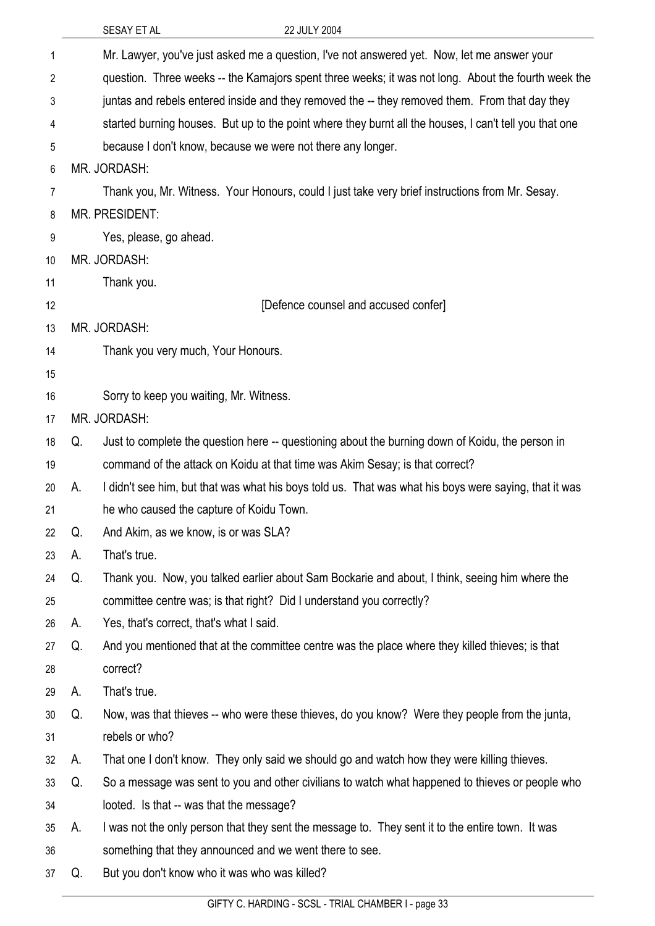|    |    | 22 JULY 2004<br>SESAY ET AL                                                                            |
|----|----|--------------------------------------------------------------------------------------------------------|
| 1  |    | Mr. Lawyer, you've just asked me a question, I've not answered yet. Now, let me answer your            |
| 2  |    | question. Three weeks -- the Kamajors spent three weeks; it was not long. About the fourth week the    |
| 3  |    | juntas and rebels entered inside and they removed the -- they removed them. From that day they         |
| 4  |    | started burning houses. But up to the point where they burnt all the houses, I can't tell you that one |
| 5  |    | because I don't know, because we were not there any longer.                                            |
| 6  |    | MR. JORDASH:                                                                                           |
| 7  |    | Thank you, Mr. Witness. Your Honours, could I just take very brief instructions from Mr. Sesay.        |
| 8  |    | <b>MR. PRESIDENT:</b>                                                                                  |
| 9  |    | Yes, please, go ahead.                                                                                 |
| 10 |    | MR. JORDASH:                                                                                           |
| 11 |    | Thank you.                                                                                             |
| 12 |    | [Defence counsel and accused confer]                                                                   |
| 13 |    | MR. JORDASH:                                                                                           |
| 14 |    | Thank you very much, Your Honours.                                                                     |
| 15 |    |                                                                                                        |
| 16 |    | Sorry to keep you waiting, Mr. Witness.                                                                |
| 17 |    | MR. JORDASH:                                                                                           |
| 18 | Q. | Just to complete the question here -- questioning about the burning down of Koidu, the person in       |
| 19 |    | command of the attack on Koidu at that time was Akim Sesay; is that correct?                           |
| 20 | А. | I didn't see him, but that was what his boys told us. That was what his boys were saying, that it was  |
| 21 |    | he who caused the capture of Koidu Town.                                                               |
| 22 | Q. | And Akim, as we know, is or was SLA?                                                                   |
| 23 | А. | That's true.                                                                                           |
| 24 | Q. | Thank you. Now, you talked earlier about Sam Bockarie and about, I think, seeing him where the         |
| 25 |    | committee centre was; is that right? Did I understand you correctly?                                   |
| 26 | А. | Yes, that's correct, that's what I said.                                                               |
| 27 | Q. | And you mentioned that at the committee centre was the place where they killed thieves; is that        |
| 28 |    | correct?                                                                                               |
| 29 | А. | That's true.                                                                                           |
| 30 | Q. | Now, was that thieves -- who were these thieves, do you know? Were they people from the junta,         |
| 31 |    | rebels or who?                                                                                         |
| 32 | А. | That one I don't know. They only said we should go and watch how they were killing thieves.            |
| 33 | Q. | So a message was sent to you and other civilians to watch what happened to thieves or people who       |
| 34 |    | looted. Is that -- was that the message?                                                               |
| 35 | А. | I was not the only person that they sent the message to. They sent it to the entire town. It was       |
| 36 |    | something that they announced and we went there to see.                                                |
| 37 | Q. | But you don't know who it was who was killed?                                                          |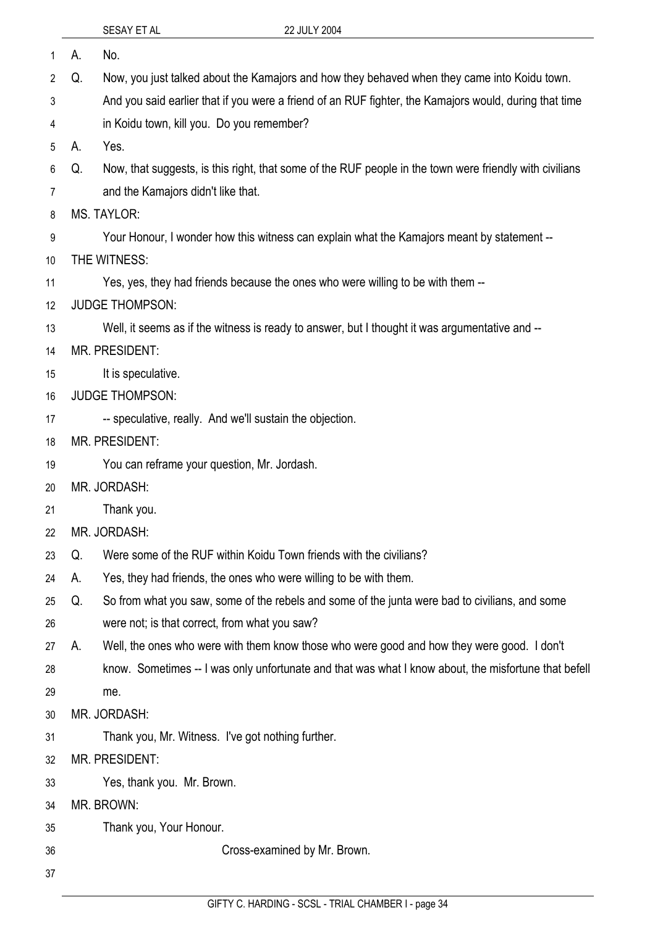| <b>SESAY ET AL</b> |  |
|--------------------|--|
|                    |  |

| 1  | А. | No.                                                                                                     |
|----|----|---------------------------------------------------------------------------------------------------------|
| 2  | Q. | Now, you just talked about the Kamajors and how they behaved when they came into Koidu town.            |
| 3  |    | And you said earlier that if you were a friend of an RUF fighter, the Kamajors would, during that time  |
| 4  |    | in Koidu town, kill you. Do you remember?                                                               |
| 5  | А. | Yes.                                                                                                    |
| 6  | Q. | Now, that suggests, is this right, that some of the RUF people in the town were friendly with civilians |
| 7  |    | and the Kamajors didn't like that.                                                                      |
| 8  |    | <b>MS. TAYLOR:</b>                                                                                      |
| 9  |    | Your Honour, I wonder how this witness can explain what the Kamajors meant by statement --              |
| 10 |    | THE WITNESS:                                                                                            |
| 11 |    | Yes, yes, they had friends because the ones who were willing to be with them --                         |
| 12 |    | <b>JUDGE THOMPSON:</b>                                                                                  |
| 13 |    | Well, it seems as if the witness is ready to answer, but I thought it was argumentative and --          |
| 14 |    | <b>MR. PRESIDENT:</b>                                                                                   |
| 15 |    | It is speculative.                                                                                      |
| 16 |    | <b>JUDGE THOMPSON:</b>                                                                                  |
| 17 |    | -- speculative, really. And we'll sustain the objection.                                                |
| 18 |    | MR. PRESIDENT:                                                                                          |
| 19 |    | You can reframe your question, Mr. Jordash.                                                             |
| 20 |    | MR. JORDASH:                                                                                            |
| 21 |    | Thank you.                                                                                              |
| 22 |    | MR. JORDASH:                                                                                            |
| 23 | Q. | Were some of the RUF within Koidu Town friends with the civilians?                                      |
| 24 | А. | Yes, they had friends, the ones who were willing to be with them.                                       |
| 25 | Q. | So from what you saw, some of the rebels and some of the junta were bad to civilians, and some          |
| 26 |    | were not; is that correct, from what you saw?                                                           |
| 27 | А. | Well, the ones who were with them know those who were good and how they were good. I don't              |
| 28 |    | know. Sometimes -- I was only unfortunate and that was what I know about, the misfortune that befell    |
| 29 |    | me.                                                                                                     |
| 30 |    | MR. JORDASH:                                                                                            |
| 31 |    | Thank you, Mr. Witness. I've got nothing further.                                                       |
| 32 |    | <b>MR. PRESIDENT:</b>                                                                                   |
| 33 |    | Yes, thank you. Mr. Brown.                                                                              |
| 34 |    | MR. BROWN:                                                                                              |
| 35 |    | Thank you, Your Honour.                                                                                 |
| 36 |    | Cross-examined by Mr. Brown.                                                                            |
| 37 |    |                                                                                                         |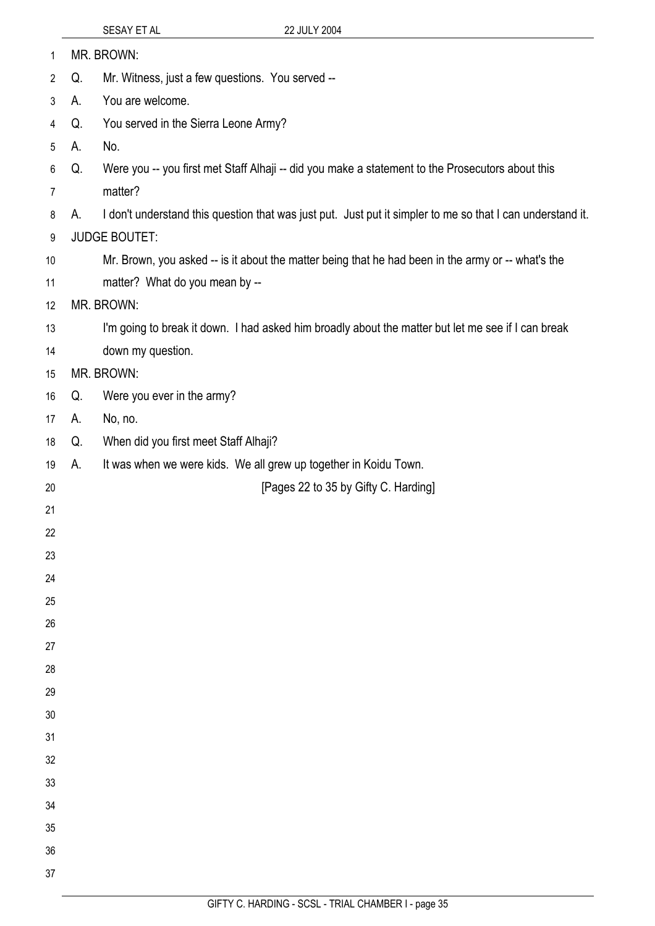|                |    | $U = U + I + I$                                                                                            |
|----------------|----|------------------------------------------------------------------------------------------------------------|
| $\mathbf{1}$   |    | MR. BROWN:                                                                                                 |
| $\overline{2}$ | Q. | Mr. Witness, just a few questions. You served --                                                           |
| $\mathfrak{Z}$ | А. | You are welcome.                                                                                           |
| 4              | Q. | You served in the Sierra Leone Army?                                                                       |
| 5              | А. | No.                                                                                                        |
| 6              | Q. | Were you -- you first met Staff Alhaji -- did you make a statement to the Prosecutors about this           |
| $\overline{7}$ |    | matter?                                                                                                    |
| 8              | А. | I don't understand this question that was just put. Just put it simpler to me so that I can understand it. |
| 9              |    | <b>JUDGE BOUTET:</b>                                                                                       |
| 10             |    | Mr. Brown, you asked -- is it about the matter being that he had been in the army or -- what's the         |
| 11             |    | matter? What do you mean by --                                                                             |
| 12             |    | MR. BROWN:                                                                                                 |
| 13             |    | I'm going to break it down. I had asked him broadly about the matter but let me see if I can break         |
| 14             |    | down my question.                                                                                          |
| 15             |    | MR. BROWN:                                                                                                 |
| 16             | Q. | Were you ever in the army?                                                                                 |
| 17             | А. | No, no.                                                                                                    |
| 18             | Q. | When did you first meet Staff Alhaji?                                                                      |
| 19             | А. | It was when we were kids. We all grew up together in Koidu Town.                                           |
| 20             |    | [Pages 22 to 35 by Gifty C. Harding]                                                                       |
| 21             |    |                                                                                                            |
| 22             |    |                                                                                                            |
| 23             |    |                                                                                                            |
| 24             |    |                                                                                                            |
| 25             |    |                                                                                                            |
| 26             |    |                                                                                                            |
| 27<br>28       |    |                                                                                                            |
| 29             |    |                                                                                                            |
| 30             |    |                                                                                                            |
| 31             |    |                                                                                                            |
| 32             |    |                                                                                                            |
| 33             |    |                                                                                                            |
| 34             |    |                                                                                                            |
| 35             |    |                                                                                                            |
| 36             |    |                                                                                                            |
| 37             |    |                                                                                                            |
|                |    |                                                                                                            |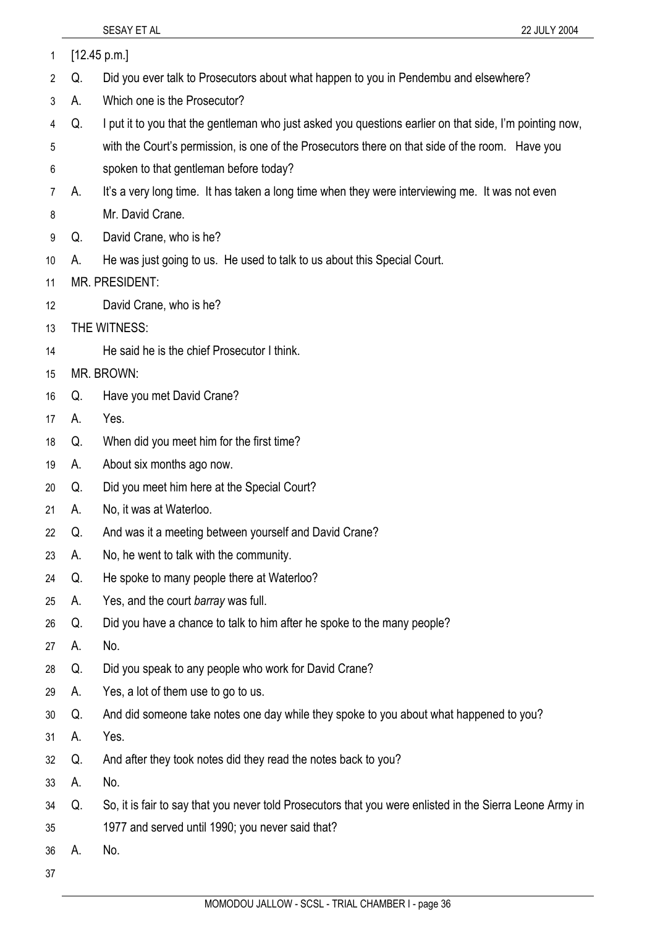37

|    |    | SESAY ET AL<br>22 JULY 2004                                                                              |
|----|----|----------------------------------------------------------------------------------------------------------|
| 1  |    | [12.45 p.m.]                                                                                             |
| 2  | Q. | Did you ever talk to Prosecutors about what happen to you in Pendembu and elsewhere?                     |
| 3  | А. | Which one is the Prosecutor?                                                                             |
| 4  | Q. | I put it to you that the gentleman who just asked you questions earlier on that side, I'm pointing now,  |
| 5  |    | with the Court's permission, is one of the Prosecutors there on that side of the room. Have you          |
| 6  |    | spoken to that gentleman before today?                                                                   |
| 7  | А. | It's a very long time. It has taken a long time when they were interviewing me. It was not even          |
| 8  |    | Mr. David Crane.                                                                                         |
| 9  | Q. | David Crane, who is he?                                                                                  |
| 10 | А. | He was just going to us. He used to talk to us about this Special Court.                                 |
| 11 |    | <b>MR. PRESIDENT:</b>                                                                                    |
| 12 |    | David Crane, who is he?                                                                                  |
| 13 |    | THE WITNESS:                                                                                             |
| 14 |    | He said he is the chief Prosecutor I think.                                                              |
| 15 |    | MR. BROWN:                                                                                               |
| 16 | Q. | Have you met David Crane?                                                                                |
| 17 | А. | Yes.                                                                                                     |
| 18 | Q. | When did you meet him for the first time?                                                                |
| 19 | А. | About six months ago now.                                                                                |
| 20 | Q. | Did you meet him here at the Special Court?                                                              |
| 21 | А. | No, it was at Waterloo.                                                                                  |
| 22 | Q. | And was it a meeting between yourself and David Crane?                                                   |
| 23 | А. | No, he went to talk with the community.                                                                  |
| 24 | Q. | He spoke to many people there at Waterloo?                                                               |
| 25 | А. | Yes, and the court barray was full.                                                                      |
| 26 | Q. | Did you have a chance to talk to him after he spoke to the many people?                                  |
| 27 | А. | No.                                                                                                      |
| 28 | Q. | Did you speak to any people who work for David Crane?                                                    |
| 29 | А. | Yes, a lot of them use to go to us.                                                                      |
| 30 | Q. | And did someone take notes one day while they spoke to you about what happened to you?                   |
| 31 | А. | Yes.                                                                                                     |
| 32 | Q. | And after they took notes did they read the notes back to you?                                           |
| 33 | А. | No.                                                                                                      |
| 34 | Q. | So, it is fair to say that you never told Prosecutors that you were enlisted in the Sierra Leone Army in |
| 35 |    | 1977 and served until 1990; you never said that?                                                         |
| 36 | А. | No.                                                                                                      |

MOMODOU JALLOW - SCSL - TRIAL CHAMBER I - page 36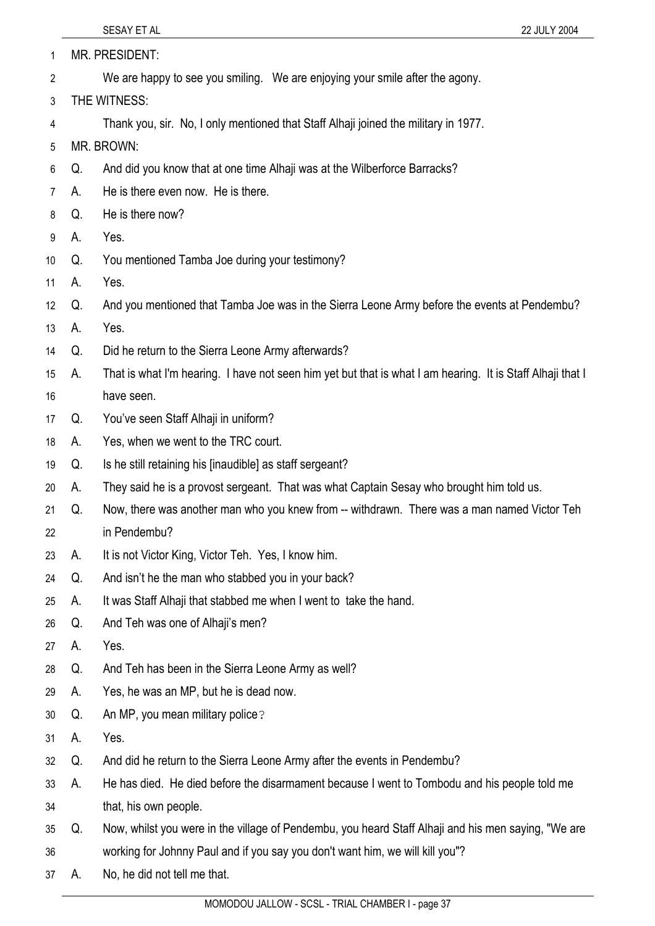| 1  |                                                                                     | MR. PRESIDENT:                                                                                             |  |
|----|-------------------------------------------------------------------------------------|------------------------------------------------------------------------------------------------------------|--|
| 2  |                                                                                     | We are happy to see you smiling. We are enjoying your smile after the agony.                               |  |
| 3  | THE WITNESS:                                                                        |                                                                                                            |  |
| 4  | Thank you, sir. No, I only mentioned that Staff Alhaji joined the military in 1977. |                                                                                                            |  |
| 5  |                                                                                     | MR. BROWN:                                                                                                 |  |
| 6  | Q.                                                                                  | And did you know that at one time Alhaji was at the Wilberforce Barracks?                                  |  |
| 7  | А.                                                                                  | He is there even now. He is there.                                                                         |  |
| 8  | Q.                                                                                  | He is there now?                                                                                           |  |
| 9  | А.                                                                                  | Yes.                                                                                                       |  |
| 10 | Q.                                                                                  | You mentioned Tamba Joe during your testimony?                                                             |  |
| 11 | А.                                                                                  | Yes.                                                                                                       |  |
| 12 | Q.                                                                                  | And you mentioned that Tamba Joe was in the Sierra Leone Army before the events at Pendembu?               |  |
| 13 | A.                                                                                  | Yes.                                                                                                       |  |
| 14 | Q.                                                                                  | Did he return to the Sierra Leone Army afterwards?                                                         |  |
| 15 | А.                                                                                  | That is what I'm hearing. I have not seen him yet but that is what I am hearing. It is Staff Alhaji that I |  |
| 16 |                                                                                     | have seen.                                                                                                 |  |
| 17 | Q.                                                                                  | You've seen Staff Alhaji in uniform?                                                                       |  |
| 18 | A.                                                                                  | Yes, when we went to the TRC court.                                                                        |  |
| 19 | Q.                                                                                  | Is he still retaining his [inaudible] as staff sergeant?                                                   |  |
| 20 | А.                                                                                  | They said he is a provost sergeant. That was what Captain Sesay who brought him told us.                   |  |
| 21 | Q.                                                                                  | Now, there was another man who you knew from -- withdrawn. There was a man named Victor Teh                |  |
| 22 |                                                                                     | in Pendembu?                                                                                               |  |
| 23 | A.                                                                                  | It is not Victor King, Victor Teh. Yes, I know him.                                                        |  |
| 24 | Q.                                                                                  | And isn't he the man who stabbed you in your back?                                                         |  |
| 25 | A.                                                                                  | It was Staff Alhaji that stabbed me when I went to take the hand.                                          |  |
| 26 | Q.                                                                                  | And Teh was one of Alhaji's men?                                                                           |  |
| 27 | А.                                                                                  | Yes.                                                                                                       |  |
| 28 | Q.                                                                                  | And Teh has been in the Sierra Leone Army as well?                                                         |  |
| 29 | A.                                                                                  | Yes, he was an MP, but he is dead now.                                                                     |  |
| 30 | Q.                                                                                  | An MP, you mean military police?                                                                           |  |
| 31 | А.                                                                                  | Yes.                                                                                                       |  |
| 32 | Q.                                                                                  | And did he return to the Sierra Leone Army after the events in Pendembu?                                   |  |
| 33 | А.                                                                                  | He has died. He died before the disarmament because I went to Tombodu and his people told me               |  |
| 34 |                                                                                     | that, his own people.                                                                                      |  |
| 35 | Q.                                                                                  | Now, whilst you were in the village of Pendembu, you heard Staff Alhaji and his men saying, "We are        |  |
| 36 |                                                                                     | working for Johnny Paul and if you say you don't want him, we will kill you"?                              |  |
| 37 | А.                                                                                  | No, he did not tell me that.                                                                               |  |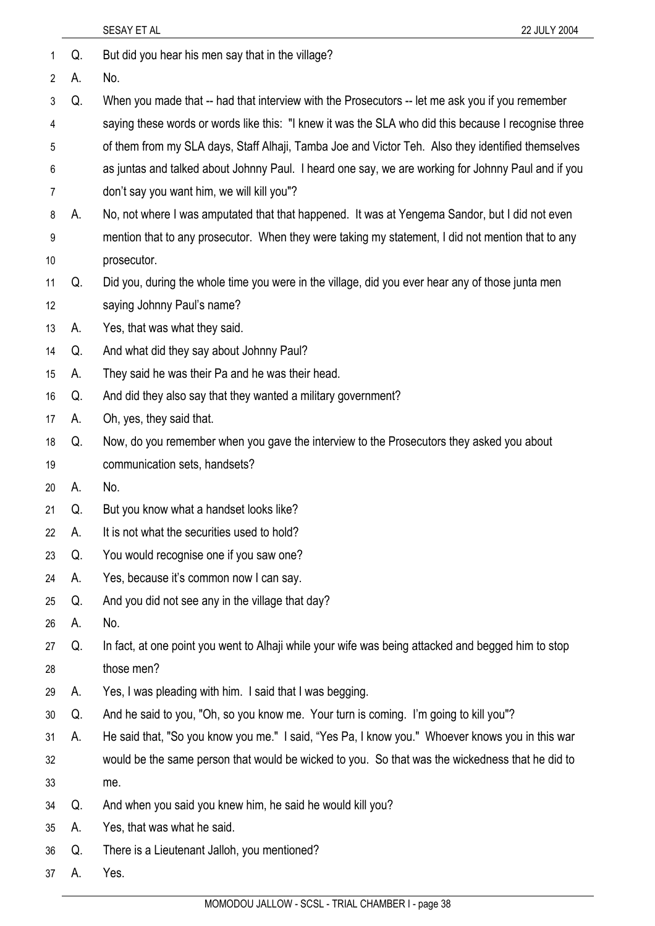|                |    | SESAY ET AL<br>22 JULY 2004                                                                          |
|----------------|----|------------------------------------------------------------------------------------------------------|
| 1              | Q. | But did you hear his men say that in the village?                                                    |
| $\overline{2}$ | А. | No.                                                                                                  |
| 3              | Q. | When you made that -- had that interview with the Prosecutors -- let me ask you if you remember      |
| 4              |    | saying these words or words like this: "I knew it was the SLA who did this because I recognise three |
| 5              |    | of them from my SLA days, Staff Alhaji, Tamba Joe and Victor Teh. Also they identified themselves    |
| 6              |    | as juntas and talked about Johnny Paul. I heard one say, we are working for Johnny Paul and if you   |
| 7              |    | don't say you want him, we will kill you"?                                                           |
| 8              | А. | No, not where I was amputated that that happened. It was at Yengema Sandor, but I did not even       |
| 9              |    | mention that to any prosecutor. When they were taking my statement, I did not mention that to any    |
| 10             |    | prosecutor.                                                                                          |
| 11             | Q. | Did you, during the whole time you were in the village, did you ever hear any of those junta men     |
| 12             |    | saying Johnny Paul's name?                                                                           |
| 13             | А. | Yes, that was what they said.                                                                        |
| 14             | Q. | And what did they say about Johnny Paul?                                                             |
| 15             | А. | They said he was their Pa and he was their head.                                                     |
| 16             | Q. | And did they also say that they wanted a military government?                                        |
| 17             | А. | Oh, yes, they said that.                                                                             |
| 18             | Q. | Now, do you remember when you gave the interview to the Prosecutors they asked you about             |
| 19             |    | communication sets, handsets?                                                                        |
| 20             | А. | No.                                                                                                  |
| 21             | Q. | But you know what a handset looks like?                                                              |
| 22             | А. | It is not what the securities used to hold?                                                          |
| 23             | Q. | You would recognise one if you saw one?                                                              |
| 24             | А. | Yes, because it's common now I can say.                                                              |
| 25             | Q. | And you did not see any in the village that day?                                                     |
| 26             | А. | No.                                                                                                  |
| 27             | Q. | In fact, at one point you went to Alhaji while your wife was being attacked and begged him to stop   |
| 28             |    | those men?                                                                                           |
| 29             | А. | Yes, I was pleading with him. I said that I was begging.                                             |
| 30             | Q. | And he said to you, "Oh, so you know me. Your turn is coming. I'm going to kill you"?                |
| 31             | А. | He said that, "So you know you me." I said, "Yes Pa, I know you." Whoever knows you in this war      |
| 32             |    | would be the same person that would be wicked to you. So that was the wickedness that he did to      |
| 33             |    | me.                                                                                                  |
| 34             | Q. | And when you said you knew him, he said he would kill you?                                           |
| 35             | А. | Yes, that was what he said.                                                                          |
| 36             | Q. | There is a Lieutenant Jalloh, you mentioned?                                                         |
| 37             | A. | Yes.                                                                                                 |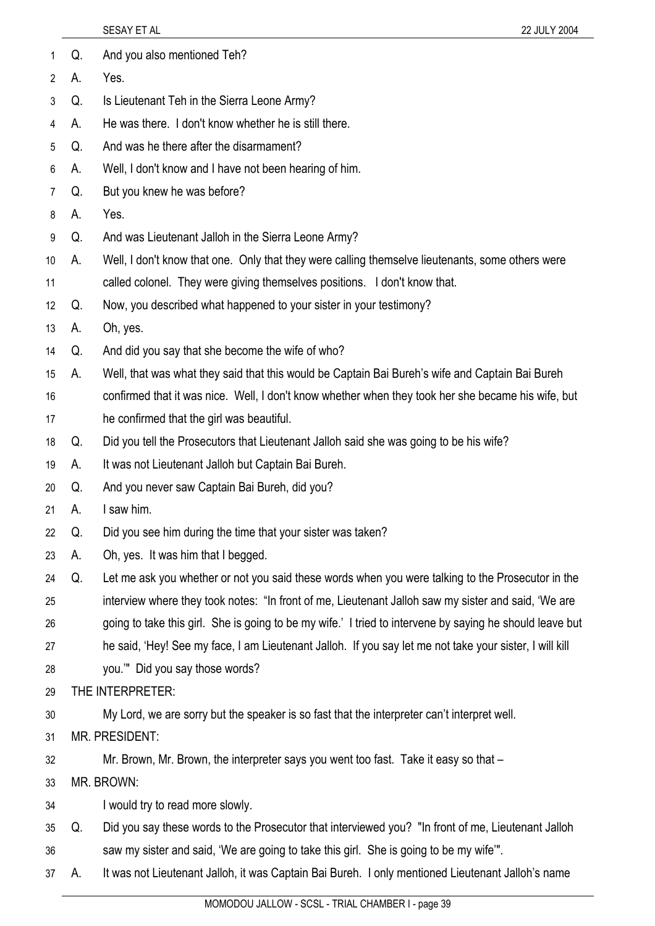|                |    | SESAY ET AL<br>22 JULY 2004                                                                              |
|----------------|----|----------------------------------------------------------------------------------------------------------|
| 1              | Q. | And you also mentioned Teh?                                                                              |
| 2              | А. | Yes.                                                                                                     |
| 3              | Q. | Is Lieutenant Teh in the Sierra Leone Army?                                                              |
| 4              | А. | He was there. I don't know whether he is still there.                                                    |
| 5              | Q. | And was he there after the disarmament?                                                                  |
| 6              | А. | Well, I don't know and I have not been hearing of him.                                                   |
| $\overline{7}$ | Q. | But you knew he was before?                                                                              |
| 8              | А. | Yes.                                                                                                     |
| 9              | Q. | And was Lieutenant Jalloh in the Sierra Leone Army?                                                      |
| 10             | А. | Well, I don't know that one. Only that they were calling themselve lieutenants, some others were         |
| 11             |    | called colonel. They were giving themselves positions. I don't know that.                                |
| 12             | Q. | Now, you described what happened to your sister in your testimony?                                       |
| 13             | А. | Oh, yes.                                                                                                 |
| 14             | Q. | And did you say that she become the wife of who?                                                         |
| 15             | А. | Well, that was what they said that this would be Captain Bai Bureh's wife and Captain Bai Bureh          |
| 16             |    | confirmed that it was nice. Well, I don't know whether when they took her she became his wife, but       |
| 17             |    | he confirmed that the girl was beautiful.                                                                |
| 18             | Q. | Did you tell the Prosecutors that Lieutenant Jalloh said she was going to be his wife?                   |
| 19             | А. | It was not Lieutenant Jalloh but Captain Bai Bureh.                                                      |
| 20             | Q. | And you never saw Captain Bai Bureh, did you?                                                            |
| 21             | А. | I saw him.                                                                                               |
| 22             | Q. | Did you see him during the time that your sister was taken?                                              |
| 23             | А. | Oh, yes. It was him that I begged.                                                                       |
| 24             | Q. | Let me ask you whether or not you said these words when you were talking to the Prosecutor in the        |
| 25             |    | interview where they took notes: "In front of me, Lieutenant Jalloh saw my sister and said, 'We are      |
| 26             |    | going to take this girl. She is going to be my wife.' I tried to intervene by saying he should leave but |
| 27             |    | he said, 'Hey! See my face, I am Lieutenant Jalloh. If you say let me not take your sister, I will kill  |
| 28             |    | you."" Did you say those words?                                                                          |
| 29             |    | THE INTERPRETER:                                                                                         |
| 30             |    | My Lord, we are sorry but the speaker is so fast that the interpreter can't interpret well.              |
| 31             |    | MR. PRESIDENT:                                                                                           |
| 32             |    | Mr. Brown, Mr. Brown, the interpreter says you went too fast. Take it easy so that -                     |
| 33             |    | MR. BROWN:                                                                                               |
| 34             |    | I would try to read more slowly.                                                                         |
| 35             | Q. | Did you say these words to the Prosecutor that interviewed you? "In front of me, Lieutenant Jalloh       |
| 36             |    | saw my sister and said, 'We are going to take this girl. She is going to be my wife".                    |
| 37             | А. | It was not Lieutenant Jalloh, it was Captain Bai Bureh. I only mentioned Lieutenant Jalloh's name        |
|                |    | MOMODOU JALLOW - SCSL - TRIAL CHAMBER I - page 39                                                        |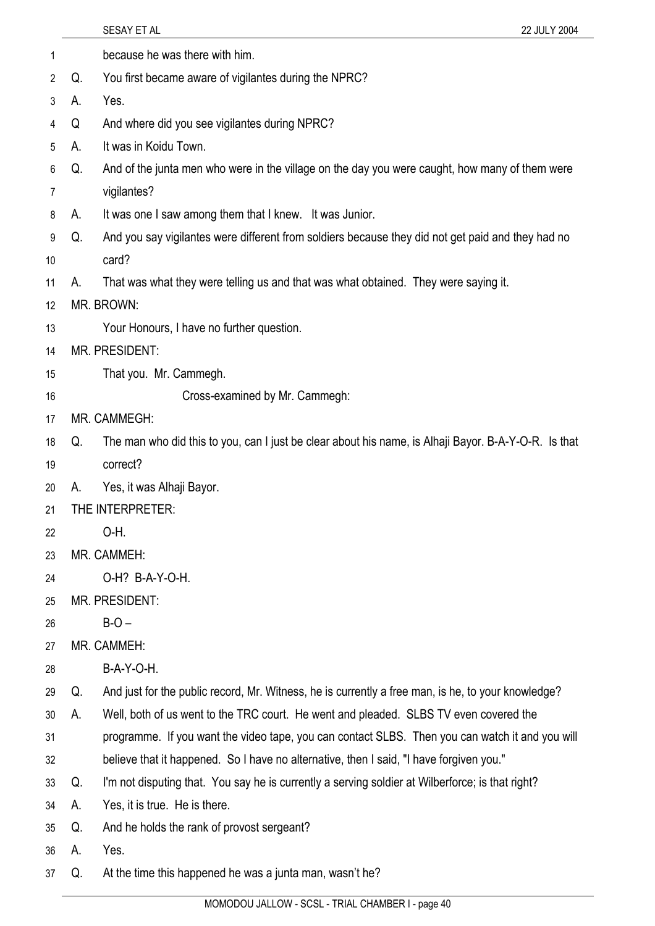|    |    | SESAY ET AL<br>22 JULY 2004                                                                          |
|----|----|------------------------------------------------------------------------------------------------------|
| 1  |    | because he was there with him.                                                                       |
| 2  | Q. | You first became aware of vigilantes during the NPRC?                                                |
| 3  | А. | Yes.                                                                                                 |
| 4  | Q  | And where did you see vigilantes during NPRC?                                                        |
| 5  | А. | It was in Koidu Town.                                                                                |
| 6  | Q. | And of the junta men who were in the village on the day you were caught, how many of them were       |
| 7  |    | vigilantes?                                                                                          |
| 8  | А. | It was one I saw among them that I knew. It was Junior.                                              |
| 9  | Q. | And you say vigilantes were different from soldiers because they did not get paid and they had no    |
| 10 |    | card?                                                                                                |
| 11 | А. | That was what they were telling us and that was what obtained. They were saying it.                  |
| 12 |    | MR. BROWN:                                                                                           |
| 13 |    | Your Honours, I have no further question.                                                            |
| 14 |    | <b>MR. PRESIDENT:</b>                                                                                |
| 15 |    | That you. Mr. Cammegh.                                                                               |
| 16 |    | Cross-examined by Mr. Cammegh:                                                                       |
| 17 |    | MR. CAMMEGH:                                                                                         |
| 18 | Q. | The man who did this to you, can I just be clear about his name, is Alhaji Bayor. B-A-Y-O-R. Is that |
| 19 |    | correct?                                                                                             |
| 20 | А. | Yes, it was Alhaji Bayor.                                                                            |
| 21 |    | THE INTERPRETER:                                                                                     |
| 22 |    | O-H.                                                                                                 |
| 23 |    | MR. CAMMEH:                                                                                          |
| 24 |    | O-H? B-A-Y-O-H.                                                                                      |
| 25 |    | MR. PRESIDENT:                                                                                       |
| 26 |    | $B-O -$                                                                                              |
| 27 |    | MR. CAMMEH:                                                                                          |
| 28 |    | B-A-Y-O-H.                                                                                           |
| 29 | Q. | And just for the public record, Mr. Witness, he is currently a free man, is he, to your knowledge?   |
| 30 | А. | Well, both of us went to the TRC court. He went and pleaded. SLBS TV even covered the                |
| 31 |    | programme. If you want the video tape, you can contact SLBS. Then you can watch it and you will      |
| 32 |    | believe that it happened. So I have no alternative, then I said, "I have forgiven you."              |
| 33 | Q. | I'm not disputing that. You say he is currently a serving soldier at Wilberforce; is that right?     |
| 34 | А. | Yes, it is true. He is there.                                                                        |
| 35 | Q. | And he holds the rank of provost sergeant?                                                           |
| 36 | А. | Yes.                                                                                                 |
| 37 | Q. | At the time this happened he was a junta man, wasn't he?                                             |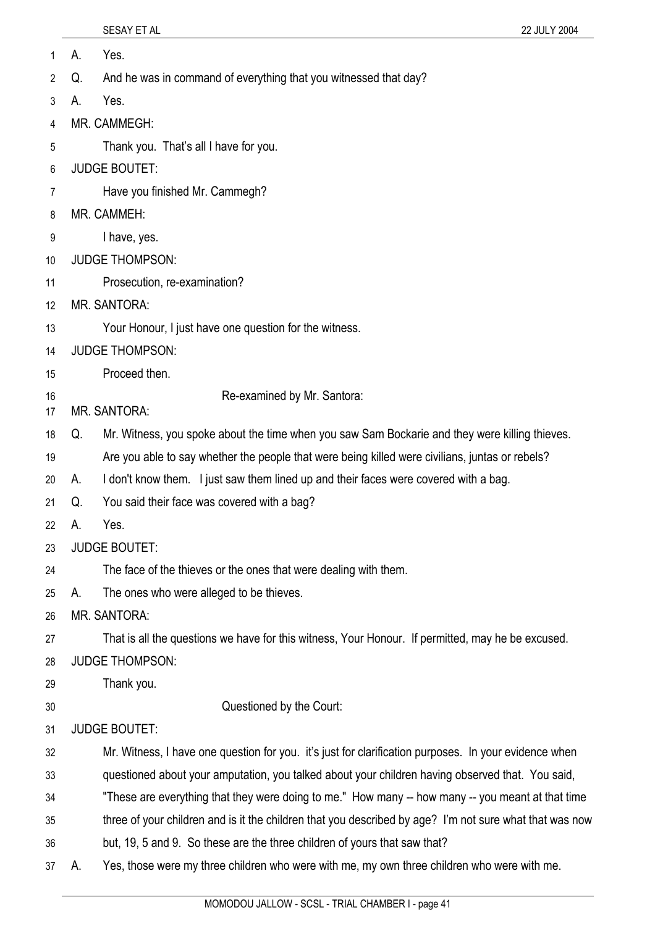| 1        | А. | Yes.                                                                                                    |
|----------|----|---------------------------------------------------------------------------------------------------------|
| 2        | Q. | And he was in command of everything that you witnessed that day?                                        |
| 3        | А. | Yes.                                                                                                    |
| 4        |    | MR. CAMMEGH:                                                                                            |
| 5        |    | Thank you. That's all I have for you.                                                                   |
| 6        |    | <b>JUDGE BOUTET:</b>                                                                                    |
| 7        |    | Have you finished Mr. Cammegh?                                                                          |
| 8        |    | MR. CAMMEH:                                                                                             |
| 9        |    | I have, yes.                                                                                            |
| 10       |    | <b>JUDGE THOMPSON:</b>                                                                                  |
| 11       |    | Prosecution, re-examination?                                                                            |
| 12       |    | MR. SANTORA:                                                                                            |
| 13       |    | Your Honour, I just have one question for the witness.                                                  |
| 14       |    | <b>JUDGE THOMPSON:</b>                                                                                  |
| 15       |    | Proceed then.                                                                                           |
| 16<br>17 |    | Re-examined by Mr. Santora:<br><b>MR. SANTORA:</b>                                                      |
| 18       | Q. | Mr. Witness, you spoke about the time when you saw Sam Bockarie and they were killing thieves.          |
| 19       |    | Are you able to say whether the people that were being killed were civilians, juntas or rebels?         |
| 20       | А. | I don't know them. I just saw them lined up and their faces were covered with a bag.                    |
| 21       | Q. | You said their face was covered with a bag?                                                             |
| 22       | А. | Yes.                                                                                                    |
| 23       |    | <b>JUDGE BOUTET:</b>                                                                                    |
| 24       |    | The face of the thieves or the ones that were dealing with them.                                        |
| 25       | А. | The ones who were alleged to be thieves.                                                                |
| 26       |    | <b>MR. SANTORA:</b>                                                                                     |
| 27       |    | That is all the questions we have for this witness, Your Honour. If permitted, may he be excused.       |
| 28       |    | <b>JUDGE THOMPSON:</b>                                                                                  |
| 29       |    | Thank you.                                                                                              |
| 30       |    | Questioned by the Court:                                                                                |
| 31       |    | <b>JUDGE BOUTET:</b>                                                                                    |
| 32       |    | Mr. Witness, I have one question for you. it's just for clarification purposes. In your evidence when   |
| 33       |    | questioned about your amputation, you talked about your children having observed that. You said,        |
| 34       |    | "These are everything that they were doing to me." How many -- how many -- you meant at that time       |
| 35       |    | three of your children and is it the children that you described by age? I'm not sure what that was now |
| 36       |    | but, 19, 5 and 9. So these are the three children of yours that saw that?                               |
| 37       | А. | Yes, those were my three children who were with me, my own three children who were with me.             |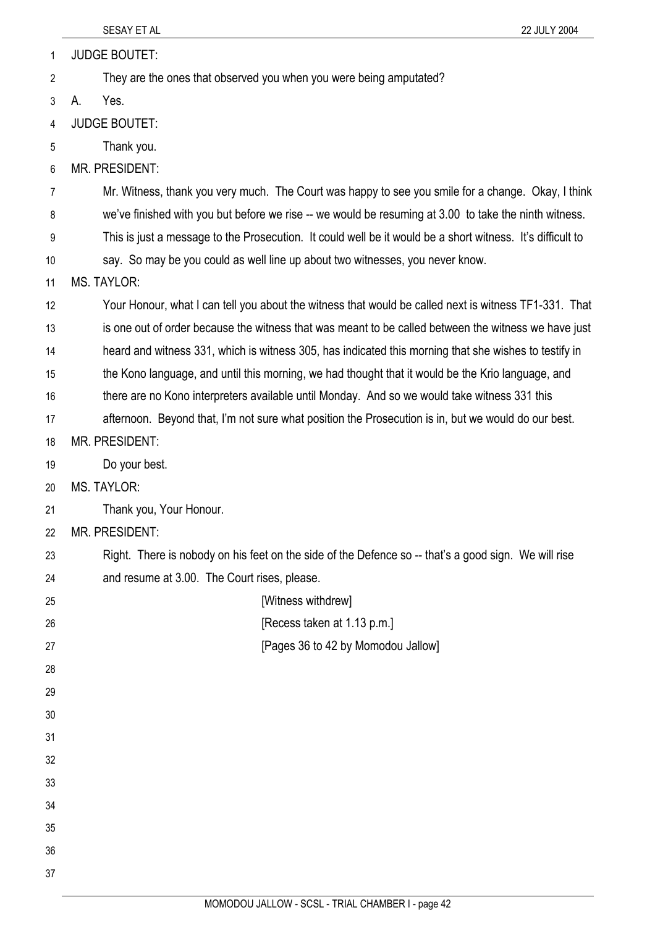1 JUDGE BOUTET:

2 They are the ones that observed you when you were being amputated?

3 A. Yes.

4 JUDGE BOUTET:

5 Thank you.

6 MR. PRESIDENT:

7 Mr. Witness, thank you very much. The Court was happy to see you smile for a change. Okay, I think

8 we've finished with you but before we rise -- we would be resuming at 3.00 to take the ninth witness.

9 This is just a message to the Prosecution. It could well be it would be a short witness. It's difficult to

10 say. So may be you could as well line up about two witnesses, you never know.

11 MS. TAYLOR:

- 12 13 14 Your Honour, what I can tell you about the witness that would be called next is witness TF1-331. That is one out of order because the witness that was meant to be called between the witness we have just heard and witness 331, which is witness 305, has indicated this morning that she wishes to testify in
- 15 the Kono language, and until this morning, we had thought that it would be the Krio language, and
- 16 there are no Kono interpreters available until Monday. And so we would take witness 331 this
- 17 afternoon. Beyond that, I'm not sure what position the Prosecution is in, but we would do our best.
- 18 MR. PRESIDENT:
- 19 Do your best.
- 20 MS. TAYLOR:
- 21 Thank you, Your Honour.
- 22 MR. PRESIDENT:
- 23 24 Right. There is nobody on his feet on the side of the Defence so -- that's a good sign. We will rise and resume at 3.00. The Court rises, please.
- 25 26 27 28 29 30 31 32 33 34 35 36 37 [Witness withdrew] [Recess taken at 1.13 p.m.] [Pages 36 to 42 by Momodou Jallow]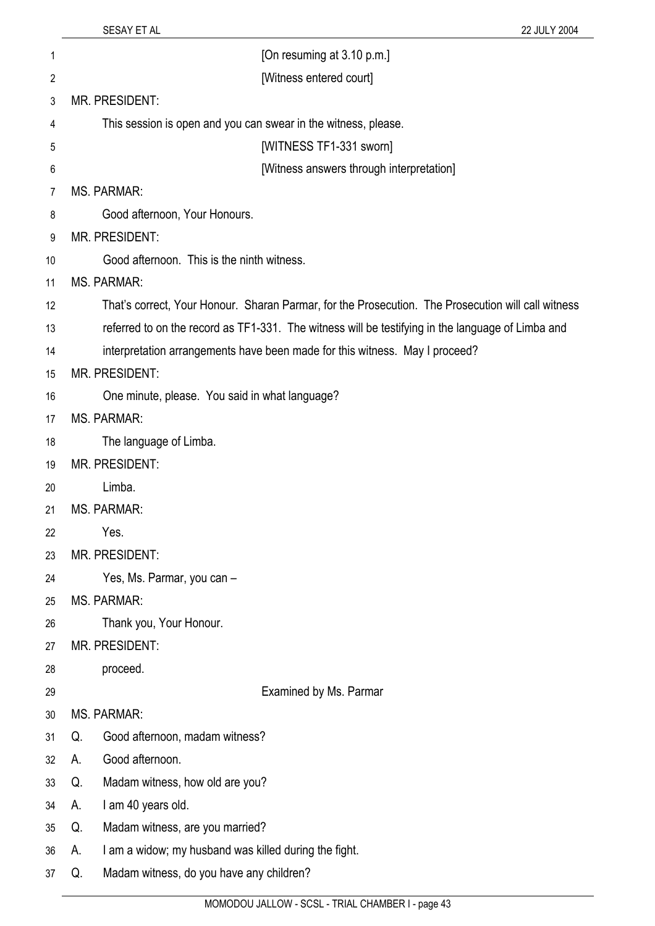| 1              |    | [On resuming at 3.10 p.m.]                                                                         |
|----------------|----|----------------------------------------------------------------------------------------------------|
| $\overline{2}$ |    | [Witness entered court]                                                                            |
| 3              |    | <b>MR. PRESIDENT:</b>                                                                              |
| 4              |    | This session is open and you can swear in the witness, please.                                     |
| 5              |    | [WITNESS TF1-331 sworn]                                                                            |
| 6              |    | [Witness answers through interpretation]                                                           |
| 7              |    | <b>MS. PARMAR:</b>                                                                                 |
| 8              |    | Good afternoon, Your Honours.                                                                      |
| 9              |    | <b>MR. PRESIDENT:</b>                                                                              |
| 10             |    | Good afternoon. This is the ninth witness.                                                         |
| 11             |    | <b>MS. PARMAR:</b>                                                                                 |
| 12             |    | That's correct, Your Honour. Sharan Parmar, for the Prosecution. The Prosecution will call witness |
| 13             |    | referred to on the record as TF1-331. The witness will be testifying in the language of Limba and  |
| 14             |    | interpretation arrangements have been made for this witness. May I proceed?                        |
| 15             |    | MR. PRESIDENT:                                                                                     |
| 16             |    | One minute, please. You said in what language?                                                     |
| 17             |    | <b>MS. PARMAR:</b>                                                                                 |
| 18             |    | The language of Limba.                                                                             |
| 19             |    | MR. PRESIDENT:                                                                                     |
| 20             |    | Limba.                                                                                             |
| 21             |    | <b>MS. PARMAR:</b>                                                                                 |
| 22             |    | Yes.                                                                                               |
| 23             |    | <b>MR. PRESIDENT:</b>                                                                              |
| 24             |    | Yes, Ms. Parmar, you can -                                                                         |
| 25             |    | <b>MS. PARMAR:</b>                                                                                 |
| 26             |    | Thank you, Your Honour.                                                                            |
| 27             |    | MR. PRESIDENT:                                                                                     |
| 28             |    | proceed.                                                                                           |
| 29             |    | Examined by Ms. Parmar                                                                             |
| 30             |    | <b>MS. PARMAR:</b>                                                                                 |
| 31             | Q. | Good afternoon, madam witness?                                                                     |
| 32             | А. | Good afternoon.                                                                                    |
| 33             | Q. | Madam witness, how old are you?                                                                    |
| 34             | А. | I am 40 years old.                                                                                 |
| 35             | Q. | Madam witness, are you married?                                                                    |
| 36             | А. | I am a widow; my husband was killed during the fight.                                              |
| 37             | Q. | Madam witness, do you have any children?                                                           |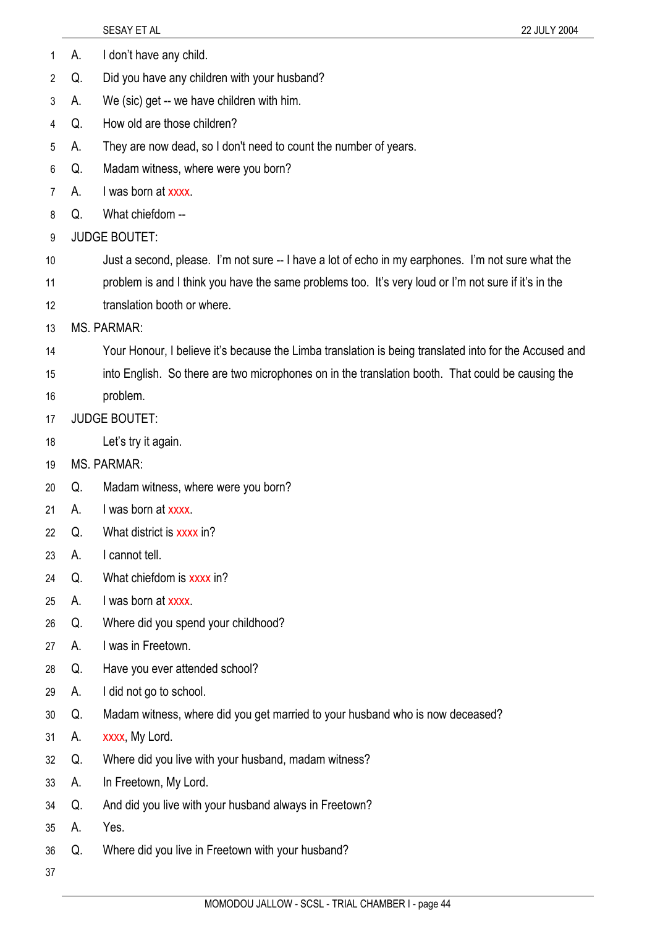- 1 A. I don't have any child.
- 2 Q. Did you have any children with your husband?
- 3 A. We (sic) get -- we have children with him.
- 4 Q. How old are those children?
- 5 A. They are now dead, so I don't need to count the number of years.
- 6 Q. Madam witness, where were you born?
- 7 A. I was born at xxxx.
- 8 Q. What chiefdom --
- 9 JUDGE BOUTET:
- 10 Just a second, please. I'm not sure -- I have a lot of echo in my earphones. I'm not sure what the
- 11 problem is and I think you have the same problems too. It's very loud or I'm not sure if it's in the
- 12 translation booth or where.
- 13 MS. PARMAR:
- 14 Your Honour, I believe it's because the Limba translation is being translated into for the Accused and
- 15 into English. So there are two microphones on in the translation booth. That could be causing the
- 16 problem.
- 17 JUDGE BOUTET:
- 18 Let's try it again.
- 19 MS. PARMAR:
- 20 Q. Madam witness, where were you born?
- 21 A. I was born at xxxx.
- 22 Q. What district is xxxx in?
- 23 A. I cannot tell.
- 24 Q. What chiefdom is xxxx in?
- 25 A. I was born at xxxx.
- 26 Q. Where did you spend your childhood?
- 27 A. I was in Freetown.
- 28 Q. Have you ever attended school?
- 29 A. I did not go to school.
- 30 Q. Madam witness, where did you get married to your husband who is now deceased?
- 31 A. xxxx, My Lord.
- 32 Q. Where did you live with your husband, madam witness?
- 33 A. In Freetown, My Lord.
- 34 Q. And did you live with your husband always in Freetown?
- 35 A. Yes.
- 36 Q. Where did you live in Freetown with your husband?
- 37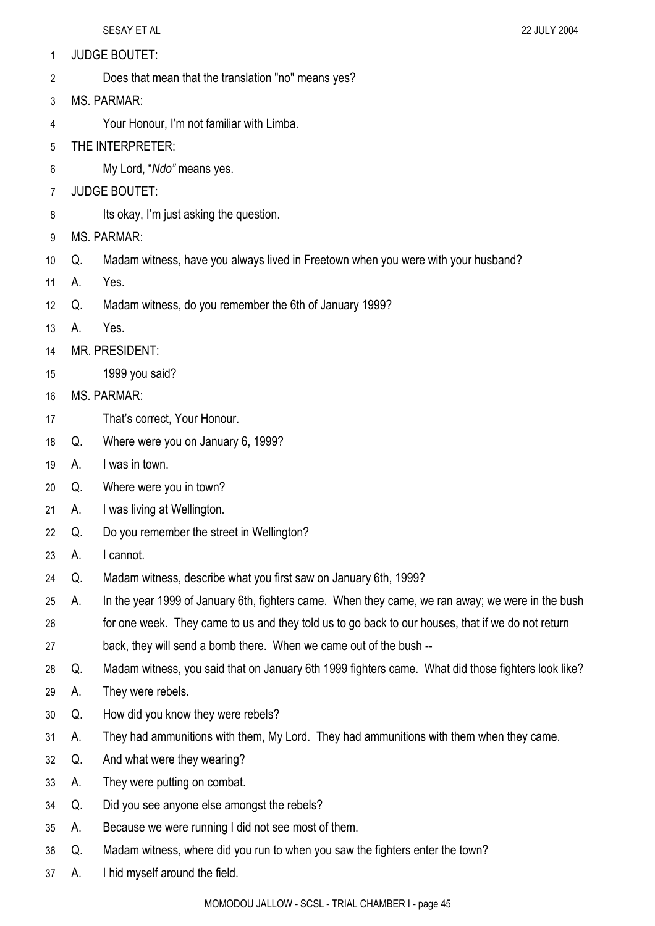- 1 JUDGE BOUTET:
- 2 Does that mean that the translation "no" means yes?
- 3 MS. PARMAR:
- 4 Your Honour, I'm not familiar with Limba.
- 5 THE INTERPRETER:
- 6 My Lord, "*Ndo"* means yes.
- 7 JUDGE BOUTET:
- 8 Its okay, I'm just asking the question.
- 9 MS. PARMAR:
- 10 Q. Madam witness, have you always lived in Freetown when you were with your husband?
- 11 A. Yes.
- 12 Q. Madam witness, do you remember the 6th of January 1999?
- 13 A. Yes.
- 14 MR. PRESIDENT:
- 15 1999 you said?
- 16 MS. PARMAR:
- 17 That's correct, Your Honour.
- 18 Q. Where were you on January 6, 1999?
- 19 A. I was in town.
- 20 Q. Where were you in town?
- 21 A. I was living at Wellington.
- 22 Q. Do you remember the street in Wellington?
- 23 A. I cannot.
- 24 Q. Madam witness, describe what you first saw on January 6th, 1999?
- 25 26 A. In the year 1999 of January 6th, fighters came. When they came, we ran away; we were in the bush for one week. They came to us and they told us to go back to our houses, that if we do not return
- 27 back, they will send a bomb there. When we came out of the bush --
- 28 Q. Madam witness, you said that on January 6th 1999 fighters came. What did those fighters look like?
- 29 A. They were rebels.
- 30 Q. How did you know they were rebels?
- 31 A. They had ammunitions with them, My Lord. They had ammunitions with them when they came.
- 32 Q. And what were they wearing?
- 33 A. They were putting on combat.
- 34 Q. Did you see anyone else amongst the rebels?
- 35 A. Because we were running I did not see most of them.
- 36 Q. Madam witness, where did you run to when you saw the fighters enter the town?
- 37 A. I hid myself around the field.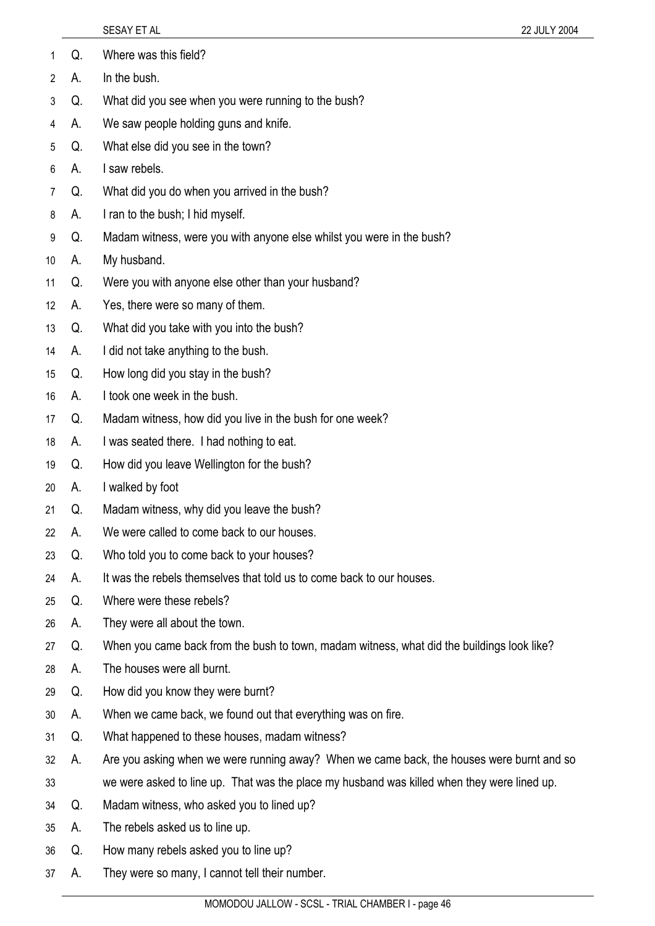| 2              | А. | In the bush.                                                                                |
|----------------|----|---------------------------------------------------------------------------------------------|
| 3              | Q. | What did you see when you were running to the bush?                                         |
| 4              | А. | We saw people holding guns and knife.                                                       |
| 5              | Q. | What else did you see in the town?                                                          |
| 6              | А. | I saw rebels.                                                                               |
| $\overline{7}$ | Q. | What did you do when you arrived in the bush?                                               |
| 8              | А. | I ran to the bush; I hid myself.                                                            |
| 9              | Q. | Madam witness, were you with anyone else whilst you were in the bush?                       |
| 10             | А. | My husband.                                                                                 |
| 11             | Q. | Were you with anyone else other than your husband?                                          |
| 12             | А. | Yes, there were so many of them.                                                            |
| 13             | Q. | What did you take with you into the bush?                                                   |
| 14             | А. | I did not take anything to the bush.                                                        |
| 15             | Q. | How long did you stay in the bush?                                                          |
| 16             | А. | I took one week in the bush.                                                                |
| 17             | Q. | Madam witness, how did you live in the bush for one week?                                   |
| 18             | А. | I was seated there. I had nothing to eat.                                                   |
| 19             | Q. | How did you leave Wellington for the bush?                                                  |
| 20             | А. | I walked by foot                                                                            |
| 21             | Q. | Madam witness, why did you leave the bush?                                                  |
| 22             | A. | We were called to come back to our houses                                                   |
| 23             | Q. | Who told you to come back to your houses?                                                   |
| 24             | А. | It was the rebels themselves that told us to come back to our houses.                       |
| 25             | Q. | Where were these rebels?                                                                    |
| 26             | А. | They were all about the town.                                                               |
| 27             | Q. | When you came back from the bush to town, madam witness, what did the buildings look like?  |
| 28             | А. | The houses were all burnt.                                                                  |
| 29             | Q. | How did you know they were burnt?                                                           |
| 30             | А. | When we came back, we found out that everything was on fire.                                |
| 31             | Q. | What happened to these houses, madam witness?                                               |
| 32             | А. | Are you asking when we were running away? When we came back, the houses were burnt and so   |
| 33             |    | we were asked to line up. That was the place my husband was killed when they were lined up. |
| 34             | Q. | Madam witness, who asked you to lined up?                                                   |
| 35             | A. | The rebels asked us to line up.                                                             |
| 36             | Q. | How many rebels asked you to line up?                                                       |

37 A. They were so many, I cannot tell their number.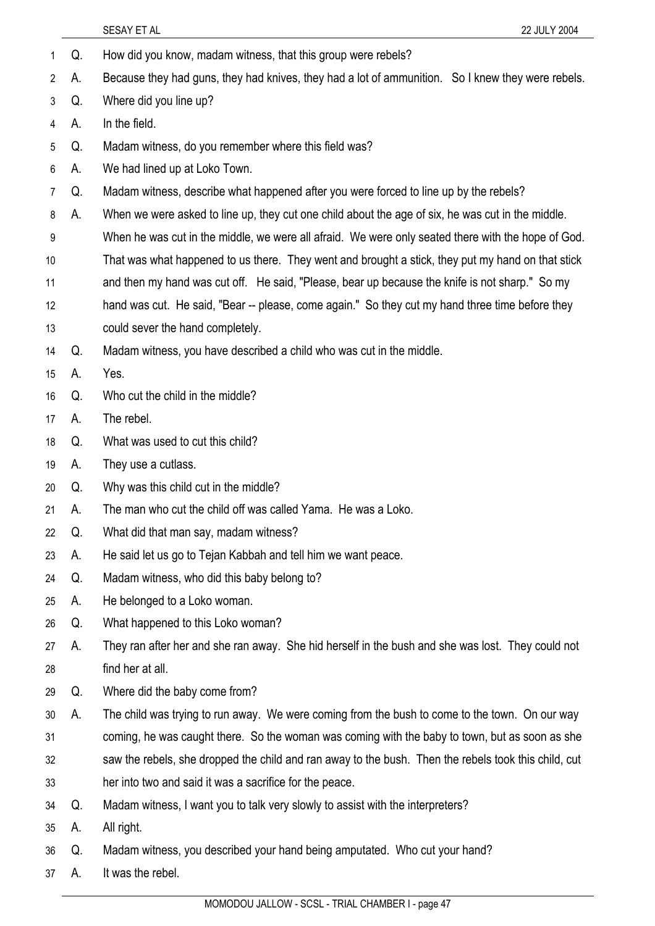|                |    | SESAY ET AL<br>22 JULY 2004                                                                          |
|----------------|----|------------------------------------------------------------------------------------------------------|
| 1              | Q. | How did you know, madam witness, that this group were rebels?                                        |
| $\overline{2}$ | А. | Because they had guns, they had knives, they had a lot of ammunition. So I knew they were rebels.    |
| 3              | Q. | Where did you line up?                                                                               |
| 4              | А. | In the field.                                                                                        |
| 5              | Q. | Madam witness, do you remember where this field was?                                                 |
| 6              | A. | We had lined up at Loko Town.                                                                        |
| 7              | Q. | Madam witness, describe what happened after you were forced to line up by the rebels?                |
| 8              | А. | When we were asked to line up, they cut one child about the age of six, he was cut in the middle.    |
| 9              |    | When he was cut in the middle, we were all afraid. We were only seated there with the hope of God.   |
| 10             |    | That was what happened to us there. They went and brought a stick, they put my hand on that stick    |
| 11             |    | and then my hand was cut off. He said, "Please, bear up because the knife is not sharp." So my       |
| 12             |    | hand was cut. He said, "Bear -- please, come again." So they cut my hand three time before they      |
| 13             |    | could sever the hand completely.                                                                     |
| 14             | Q. | Madam witness, you have described a child who was cut in the middle.                                 |
| 15             | А. | Yes.                                                                                                 |
| 16             | Q. | Who cut the child in the middle?                                                                     |
| 17             | А. | The rebel.                                                                                           |
| 18             | Q. | What was used to cut this child?                                                                     |
| 19             | А. | They use a cutlass.                                                                                  |
| 20             | Q. | Why was this child cut in the middle?                                                                |
| 21             | Α. | The man who cut the child off was called Yama. He was a Loko.                                        |
| 22             | Q. | What did that man say, madam witness?                                                                |
| 23             | А. | He said let us go to Tejan Kabbah and tell him we want peace.                                        |
| 24             | Q. | Madam witness, who did this baby belong to?                                                          |
| 25             | А. | He belonged to a Loko woman.                                                                         |
| 26             | Q. | What happened to this Loko woman?                                                                    |
| 27             | А. | They ran after her and she ran away. She hid herself in the bush and she was lost. They could not    |
| 28             |    | find her at all.                                                                                     |
| 29             | Q. | Where did the baby come from?                                                                        |
| 30             | А. | The child was trying to run away. We were coming from the bush to come to the town. On our way       |
| 31             |    | coming, he was caught there. So the woman was coming with the baby to town, but as soon as she       |
| 32             |    | saw the rebels, she dropped the child and ran away to the bush. Then the rebels took this child, cut |
| 33             |    | her into two and said it was a sacrifice for the peace.                                              |
| 34             | Q. | Madam witness, I want you to talk very slowly to assist with the interpreters?                       |
| 35             | А. | All right.                                                                                           |
| 36             | Q. | Madam witness, you described your hand being amputated. Who cut your hand?                           |
| 37             | A. | It was the rebel.                                                                                    |
|                |    |                                                                                                      |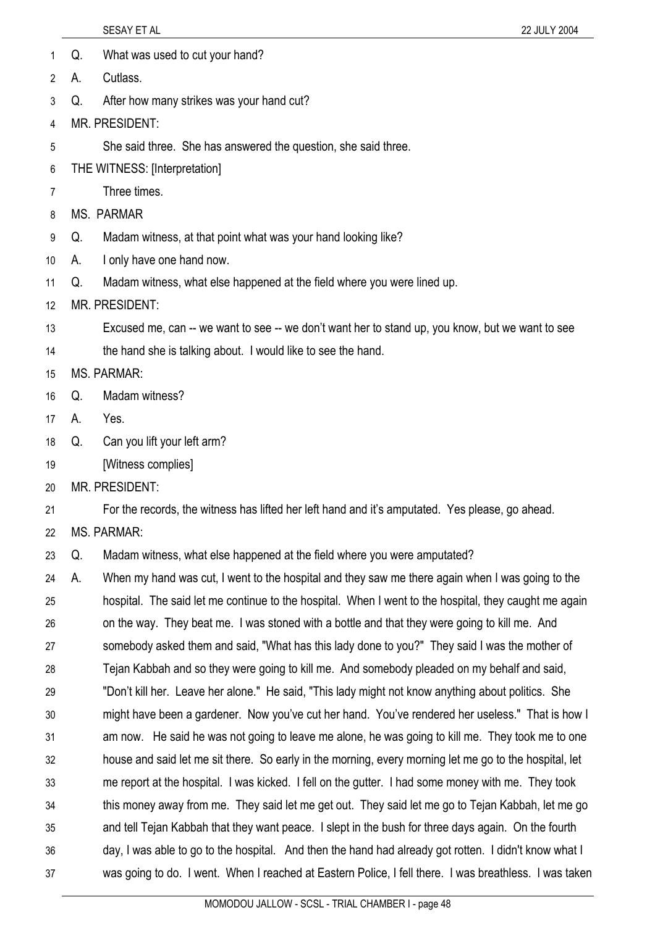- 1 Q. What was used to cut your hand?
- 2 A. Cutlass.
- 3 Q. After how many strikes was your hand cut?
- 4 MR. PRESIDENT:
- 5 She said three. She has answered the question, she said three.
- 6 THE WITNESS: [Interpretation]
- 7 Three times.
- 8 MS. PARMAR
- 9 Q. Madam witness, at that point what was your hand looking like?
- 10 A. I only have one hand now.
- 11 Q. Madam witness, what else happened at the field where you were lined up.
- 12 MR. PRESIDENT:
- 13 Excused me, can -- we want to see -- we don't want her to stand up, you know, but we want to see
- 14 the hand she is talking about. I would like to see the hand.
- 15 MS. PARMAR:
- 16 Q. Madam witness?
- 17 A. Yes.
- 18 Q. Can you lift your left arm?
- 19 [Witness complies]
- 20 MR. PRESIDENT:
- 21 For the records, the witness has lifted her left hand and it's amputated. Yes please, go ahead.
- 22 MS. PARMAR:
- 23 Q. Madam witness, what else happened at the field where you were amputated?
- 24 25 26 27 28 29 30 31 32 33 34 35 36 37 A. When my hand was cut, I went to the hospital and they saw me there again when I was going to the hospital. The said let me continue to the hospital. When I went to the hospital, they caught me again on the way. They beat me. I was stoned with a bottle and that they were going to kill me. And somebody asked them and said, "What has this lady done to you?" They said I was the mother of Tejan Kabbah and so they were going to kill me. And somebody pleaded on my behalf and said, "Don't kill her. Leave her alone." He said, "This lady might not know anything about politics. She might have been a gardener. Now you've cut her hand. You've rendered her useless." That is how I am now. He said he was not going to leave me alone, he was going to kill me. They took me to one house and said let me sit there. So early in the morning, every morning let me go to the hospital, let me report at the hospital. I was kicked. I fell on the gutter. I had some money with me. They took this money away from me. They said let me get out. They said let me go to Tejan Kabbah, let me go and tell Tejan Kabbah that they want peace. I slept in the bush for three days again. On the fourth day, I was able to go to the hospital. And then the hand had already got rotten. I didn't know what I was going to do. I went. When I reached at Eastern Police, I fell there. I was breathless. I was taken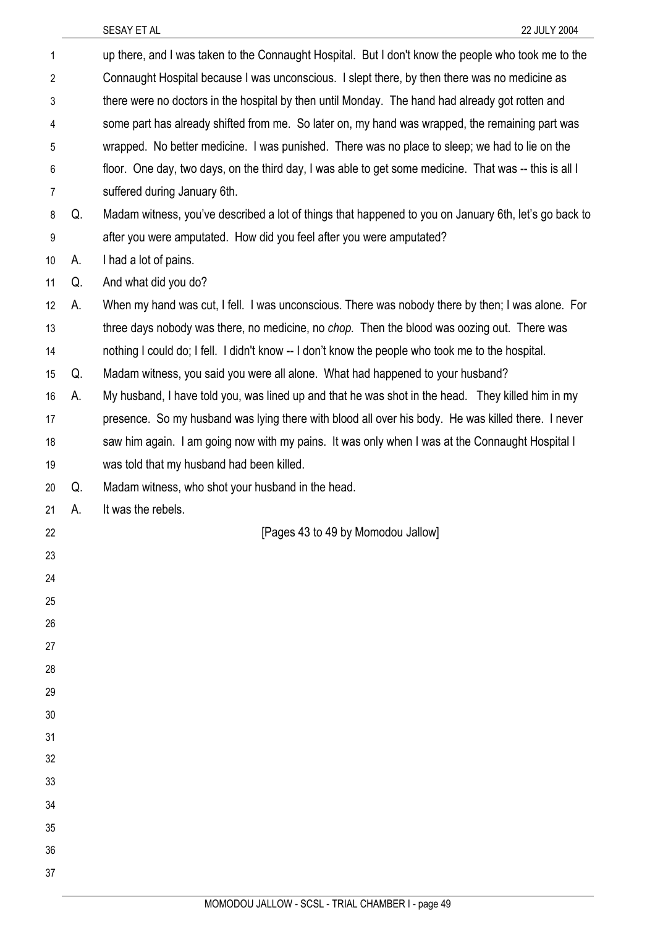| $\mathbf{1}$ |    | up there, and I was taken to the Connaught Hospital. But I don't know the people who took me to the    |
|--------------|----|--------------------------------------------------------------------------------------------------------|
| 2            |    | Connaught Hospital because I was unconscious. I slept there, by then there was no medicine as          |
| 3            |    | there were no doctors in the hospital by then until Monday. The hand had already got rotten and        |
| 4            |    | some part has already shifted from me. So later on, my hand was wrapped, the remaining part was        |
| 5            |    | wrapped. No better medicine. I was punished. There was no place to sleep; we had to lie on the         |
| 6            |    | floor. One day, two days, on the third day, I was able to get some medicine. That was -- this is all I |
| 7            |    | suffered during January 6th.                                                                           |
| 8            | Q. | Madam witness, you've described a lot of things that happened to you on January 6th, let's go back to  |
| 9            |    | after you were amputated. How did you feel after you were amputated?                                   |
| 10           | А. | I had a lot of pains.                                                                                  |
| 11           | Q. | And what did you do?                                                                                   |
| 12           | А. | When my hand was cut, I fell. I was unconscious. There was nobody there by then; I was alone. For      |
| 13           |    | three days nobody was there, no medicine, no chop. Then the blood was oozing out. There was            |
| 14           |    | nothing I could do; I fell. I didn't know -- I don't know the people who took me to the hospital.      |
| 15           | Q. | Madam witness, you said you were all alone. What had happened to your husband?                         |
| 16           | А. | My husband, I have told you, was lined up and that he was shot in the head. They killed him in my      |
| 17           |    | presence. So my husband was lying there with blood all over his body. He was killed there. I never     |
| 18           |    | saw him again. I am going now with my pains. It was only when I was at the Connaught Hospital I        |
| 19           |    | was told that my husband had been killed.                                                              |
| 20           | Q. | Madam witness, who shot your husband in the head.                                                      |
| 21           | А. | It was the rebels.                                                                                     |
| 22           |    | [Pages 43 to 49 by Momodou Jallow]                                                                     |
| 23           |    |                                                                                                        |
| 24           |    |                                                                                                        |
| 25           |    |                                                                                                        |
| 26           |    |                                                                                                        |
| 27           |    |                                                                                                        |
| 28           |    |                                                                                                        |
| 29           |    |                                                                                                        |
| 30           |    |                                                                                                        |
| 31           |    |                                                                                                        |
| 32           |    |                                                                                                        |
| 33           |    |                                                                                                        |
|              |    |                                                                                                        |
| 34           |    |                                                                                                        |
| 35           |    |                                                                                                        |
| 36<br>37     |    |                                                                                                        |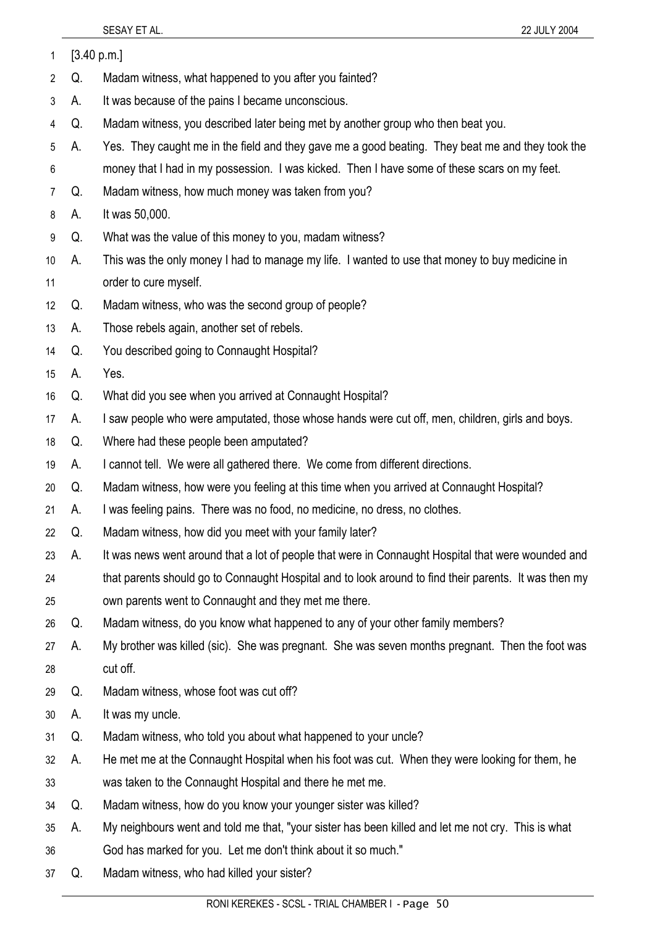| 1              | [3.40 p.m.] |                                                                                                       |
|----------------|-------------|-------------------------------------------------------------------------------------------------------|
| 2              | Q.          | Madam witness, what happened to you after you fainted?                                                |
| 3              | А.          | It was because of the pains I became unconscious.                                                     |
| 4              | Q.          | Madam witness, you described later being met by another group who then beat you.                      |
| 5              | А.          | Yes. They caught me in the field and they gave me a good beating. They beat me and they took the      |
| 6              |             | money that I had in my possession. I was kicked. Then I have some of these scars on my feet.          |
| $\overline{7}$ | Q.          | Madam witness, how much money was taken from you?                                                     |
| 8              | А.          | It was 50,000.                                                                                        |
| 9              | Q.          | What was the value of this money to you, madam witness?                                               |
| 10             | А.          | This was the only money I had to manage my life. I wanted to use that money to buy medicine in        |
| 11             |             | order to cure myself.                                                                                 |
| 12             | Q.          | Madam witness, who was the second group of people?                                                    |
| 13             | A.          | Those rebels again, another set of rebels.                                                            |
| 14             | Q.          | You described going to Connaught Hospital?                                                            |
| 15             | А.          | Yes.                                                                                                  |
| 16             | Q.          | What did you see when you arrived at Connaught Hospital?                                              |
| 17             | А.          | I saw people who were amputated, those whose hands were cut off, men, children, girls and boys.       |
| 18             | Q.          | Where had these people been amputated?                                                                |
| 19             | А.          | I cannot tell. We were all gathered there. We come from different directions.                         |
| 20             | Q.          | Madam witness, how were you feeling at this time when you arrived at Connaught Hospital?              |
| 21             | А.          | I was feeling pains. There was no food, no medicine, no dress, no clothes.                            |
| 22             | Q.          | Madam witness, how did you meet with your family later?                                               |
| 23             | А.          | It was news went around that a lot of people that were in Connaught Hospital that were wounded and    |
| 24             |             | that parents should go to Connaught Hospital and to look around to find their parents. It was then my |
| 25             |             | own parents went to Connaught and they met me there.                                                  |
| 26             | Q.          | Madam witness, do you know what happened to any of your other family members?                         |
| 27             | А.          | My brother was killed (sic). She was pregnant. She was seven months pregnant. Then the foot was       |
| 28             |             | cut off.                                                                                              |
| 29             | Q.          | Madam witness, whose foot was cut off?                                                                |
| 30             | А.          | It was my uncle.                                                                                      |
| 31             | Q.          | Madam witness, who told you about what happened to your uncle?                                        |
| 32             | А.          | He met me at the Connaught Hospital when his foot was cut. When they were looking for them, he        |
| 33             |             | was taken to the Connaught Hospital and there he met me.                                              |
| 34             | Q.          | Madam witness, how do you know your younger sister was killed?                                        |
| 35             | А.          | My neighbours went and told me that, "your sister has been killed and let me not cry. This is what    |
| 36             |             | God has marked for you. Let me don't think about it so much."                                         |
| 37             | Q.          | Madam witness, who had killed your sister?                                                            |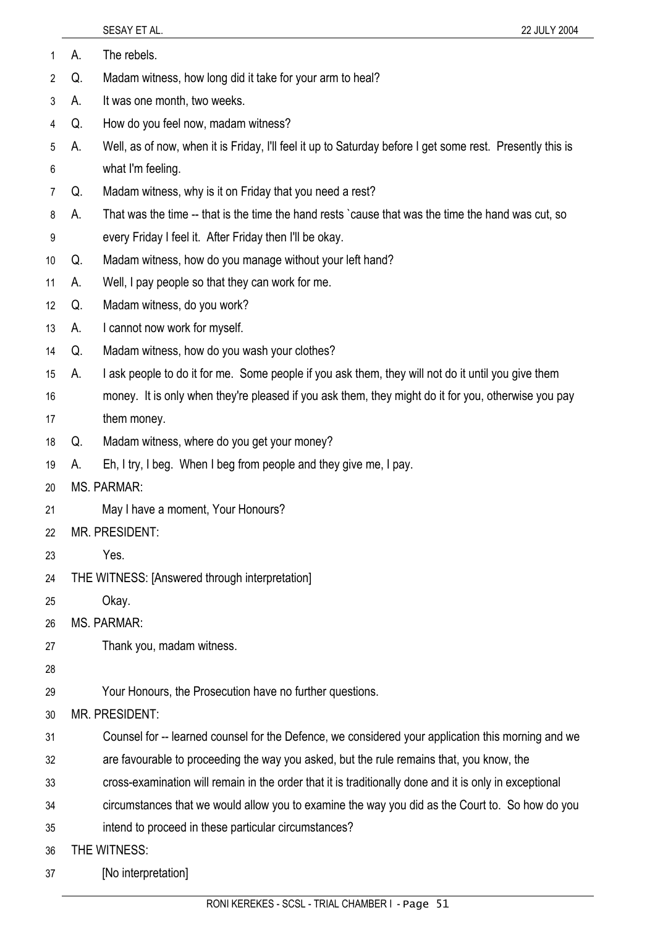1 A. The rebels.

- 2 Q. Madam witness, how long did it take for your arm to heal?
- 3 A. It was one month, two weeks.
- 4 Q. How do you feel now, madam witness?
- 5 6 A. Well, as of now, when it is Friday, I'll feel it up to Saturday before I get some rest. Presently this is what I'm feeling.
- 7 Q. Madam witness, why is it on Friday that you need a rest?
- 8 A. That was the time -- that is the time the hand rests `cause that was the time the hand was cut, so
- 9 every Friday I feel it. After Friday then I'll be okay.
- 10 Q. Madam witness, how do you manage without your left hand?
- 11 A. Well, I pay people so that they can work for me.
- 12 Q. Madam witness, do you work?
- 13 A. I cannot now work for myself.
- 14 Q. Madam witness, how do you wash your clothes?
- 15 A. I ask people to do it for me. Some people if you ask them, they will not do it until you give them
- 16 17 money. It is only when they're pleased if you ask them, they might do it for you, otherwise you pay them money.
- 18 Q. Madam witness, where do you get your money?
- 19 A. Eh, I try, I beg. When I beg from people and they give me, I pay.
- 20 MS. PARMAR:
- 21 May I have a moment, Your Honours?
- 22 MR. PRESIDENT:
- 23 Yes.
- 24 THE WITNESS: [Answered through interpretation]
- 25 Okay.
- 26 MS. PARMAR:
- 27 Thank you, madam witness.
- 28
- 29 Your Honours, the Prosecution have no further questions.
- 30 MR. PRESIDENT:
- 31 Counsel for -- learned counsel for the Defence, we considered your application this morning and we
- 32 are favourable to proceeding the way you asked, but the rule remains that, you know, the
- 33 cross-examination will remain in the order that it is traditionally done and it is only in exceptional
- 34 circumstances that we would allow you to examine the way you did as the Court to. So how do you
- 35 intend to proceed in these particular circumstances?
- 36 THE WITNESS:
- 37 [No interpretation]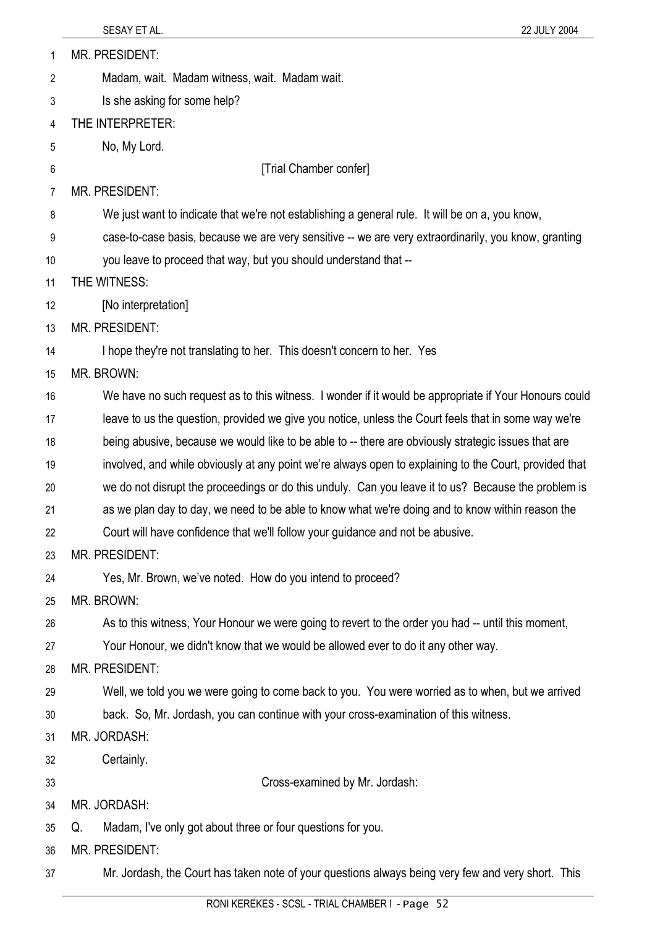| 1              | <b>MR. PRESIDENT:</b>                                                                                  |
|----------------|--------------------------------------------------------------------------------------------------------|
| $\overline{2}$ | Madam, wait. Madam witness, wait. Madam wait.                                                          |
| 3              | Is she asking for some help?                                                                           |
| 4              | THE INTERPRETER:                                                                                       |
| 5              | No, My Lord.                                                                                           |
| 6              | [Trial Chamber confer]                                                                                 |
| 7              | <b>MR. PRESIDENT:</b>                                                                                  |
| 8              | We just want to indicate that we're not establishing a general rule. It will be on a, you know,        |
| 9              | case-to-case basis, because we are very sensitive -- we are very extraordinarily, you know, granting   |
| 10             | you leave to proceed that way, but you should understand that --                                       |
| 11             | THE WITNESS:                                                                                           |
| 12             | [No interpretation]                                                                                    |
| 13             | <b>MR. PRESIDENT:</b>                                                                                  |
| 14             | I hope they're not translating to her. This doesn't concern to her. Yes                                |
| 15             | MR. BROWN:                                                                                             |
| 16             | We have no such request as to this witness. I wonder if it would be appropriate if Your Honours could  |
| 17             | leave to us the question, provided we give you notice, unless the Court feels that in some way we're   |
| 18             | being abusive, because we would like to be able to -- there are obviously strategic issues that are    |
| 19             | involved, and while obviously at any point we're always open to explaining to the Court, provided that |
| 20             | we do not disrupt the proceedings or do this unduly. Can you leave it to us? Because the problem is    |
| 21             | as we plan day to day, we need to be able to know what we're doing and to know within reason the       |
| 22             | Court will have confidence that we'll follow your guidance and not be abusive.                         |
| 23             | <b>MR. PRESIDENT:</b>                                                                                  |
| 24             | Yes, Mr. Brown, we've noted. How do you intend to proceed?                                             |
| 25             | MR. BROWN:                                                                                             |
| 26             | As to this witness, Your Honour we were going to revert to the order you had -- until this moment,     |
| 27             | Your Honour, we didn't know that we would be allowed ever to do it any other way.                      |
| 28             | MR. PRESIDENT:                                                                                         |
| 29             | Well, we told you we were going to come back to you. You were worried as to when, but we arrived       |
| 30             | back. So, Mr. Jordash, you can continue with your cross-examination of this witness.                   |
| 31             | MR. JORDASH:                                                                                           |
| 32             | Certainly.                                                                                             |
| 33             | Cross-examined by Mr. Jordash:                                                                         |
| 34             | MR. JORDASH:                                                                                           |
| 35             | Madam, I've only got about three or four questions for you.<br>Q.                                      |
| 36             | MR. PRESIDENT:                                                                                         |
| 37             | Mr. Jordash, the Court has taken note of your questions always being very few and very short. This     |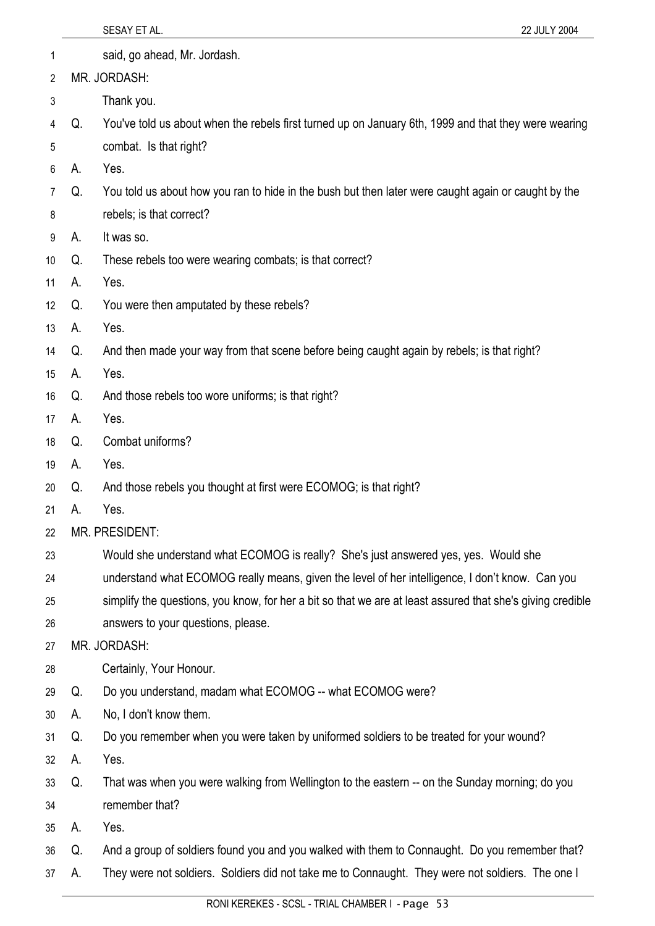|    |    | 22 JULY 2004<br>SESAY ET AL.                                                                               |
|----|----|------------------------------------------------------------------------------------------------------------|
| 1  |    | said, go ahead, Mr. Jordash.                                                                               |
| 2  |    | MR. JORDASH:                                                                                               |
| 3  |    | Thank you.                                                                                                 |
| 4  | Q. | You've told us about when the rebels first turned up on January 6th, 1999 and that they were wearing       |
| 5  |    | combat. Is that right?                                                                                     |
| 6  | А. | Yes.                                                                                                       |
| 7  | Q. | You told us about how you ran to hide in the bush but then later were caught again or caught by the        |
| 8  |    | rebels; is that correct?                                                                                   |
| 9  | А. | It was so.                                                                                                 |
| 10 | Q. | These rebels too were wearing combats; is that correct?                                                    |
| 11 | А. | Yes.                                                                                                       |
| 12 | Q. | You were then amputated by these rebels?                                                                   |
| 13 | А. | Yes.                                                                                                       |
| 14 | Q. | And then made your way from that scene before being caught again by rebels; is that right?                 |
| 15 | А. | Yes.                                                                                                       |
| 16 | Q. | And those rebels too wore uniforms; is that right?                                                         |
| 17 | А. | Yes.                                                                                                       |
| 18 | Q. | Combat uniforms?                                                                                           |
| 19 | А. | Yes.                                                                                                       |
| 20 | Q. | And those rebels you thought at first were ECOMOG; is that right?                                          |
| 21 | А. | Yes.                                                                                                       |
| 22 |    | MR. PRESIDENT:                                                                                             |
| 23 |    | Would she understand what ECOMOG is really? She's just answered yes, yes. Would she                        |
| 24 |    | understand what ECOMOG really means, given the level of her intelligence, I don't know. Can you            |
| 25 |    | simplify the questions, you know, for her a bit so that we are at least assured that she's giving credible |
| 26 |    | answers to your questions, please.                                                                         |
| 27 |    | MR. JORDASH:                                                                                               |
| 28 |    | Certainly, Your Honour.                                                                                    |
| 29 | Q. | Do you understand, madam what ECOMOG -- what ECOMOG were?                                                  |
| 30 | А. | No, I don't know them.                                                                                     |
| 31 | Q. | Do you remember when you were taken by uniformed soldiers to be treated for your wound?                    |
| 32 | А. | Yes.                                                                                                       |
| 33 | Q. | That was when you were walking from Wellington to the eastern -- on the Sunday morning; do you             |
| 34 |    | remember that?                                                                                             |
| 35 | А. | Yes.                                                                                                       |
| 36 | Q. | And a group of soldiers found you and you walked with them to Connaught. Do you remember that?             |
| 37 | А. | They were not soldiers. Soldiers did not take me to Connaught. They were not soldiers. The one I           |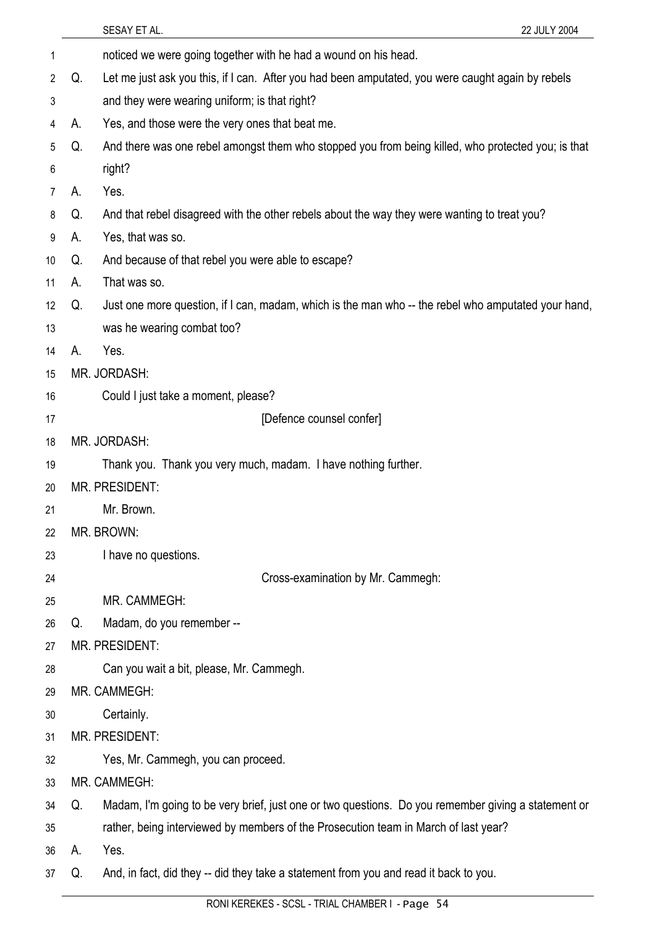|                 |    | SESAY ET AL.<br>22 JULY 2004                                                                        |
|-----------------|----|-----------------------------------------------------------------------------------------------------|
| 1               |    | noticed we were going together with he had a wound on his head.                                     |
| 2               | Q. | Let me just ask you this, if I can. After you had been amputated, you were caught again by rebels   |
| 3               |    | and they were wearing uniform; is that right?                                                       |
| 4               | А. | Yes, and those were the very ones that beat me.                                                     |
| 5               | Q. | And there was one rebel amongst them who stopped you from being killed, who protected you; is that  |
| 6               |    | right?                                                                                              |
| 7               | А. | Yes.                                                                                                |
| 8               | Q. | And that rebel disagreed with the other rebels about the way they were wanting to treat you?        |
| 9               | А. | Yes, that was so.                                                                                   |
| 10 <sup>°</sup> | Q. | And because of that rebel you were able to escape?                                                  |
| 11              | А. | That was so.                                                                                        |
| 12              | Q. | Just one more question, if I can, madam, which is the man who -- the rebel who amputated your hand, |
| 13              |    | was he wearing combat too?                                                                          |
| 14              | А. | Yes.                                                                                                |
| 15              |    | MR. JORDASH:                                                                                        |
| 16              |    | Could I just take a moment, please?                                                                 |
| 17              |    | [Defence counsel confer]                                                                            |
| 18              |    | MR. JORDASH:                                                                                        |
| 19              |    | Thank you. Thank you very much, madam. I have nothing further.                                      |
| 20              |    | <b>MR. PRESIDENT:</b>                                                                               |
| 21              |    | Mr. Brown                                                                                           |
| 22              |    | MR. BROWN:                                                                                          |
| 23              |    | I have no questions.                                                                                |
| 24              |    | Cross-examination by Mr. Cammegh:                                                                   |
| 25              |    | MR. CAMMEGH:                                                                                        |
| 26              | Q. | Madam, do you remember --                                                                           |
| 27              |    | <b>MR. PRESIDENT:</b>                                                                               |
| 28              |    | Can you wait a bit, please, Mr. Cammegh.                                                            |
| 29              |    | MR. CAMMEGH:                                                                                        |
| 30              |    | Certainly.                                                                                          |
| 31              |    | MR. PRESIDENT:                                                                                      |
| 32              |    | Yes, Mr. Cammegh, you can proceed.                                                                  |
| 33              |    | MR. CAMMEGH:                                                                                        |
| 34              | Q. | Madam, I'm going to be very brief, just one or two questions. Do you remember giving a statement or |
| 35              |    | rather, being interviewed by members of the Prosecution team in March of last year?                 |
| 36              | А. | Yes.                                                                                                |
| 37              | Q. | And, in fact, did they -- did they take a statement from you and read it back to you.               |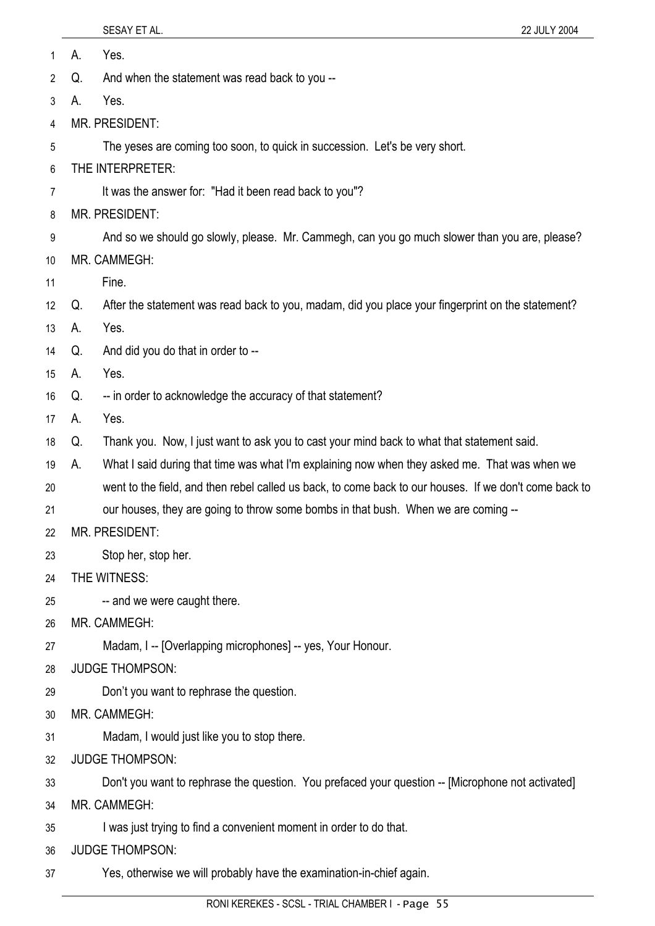| 1  | А.<br>Yes.                                                                                    |                                                                                                        |  |
|----|-----------------------------------------------------------------------------------------------|--------------------------------------------------------------------------------------------------------|--|
| 2  | And when the statement was read back to you --<br>Q.                                          |                                                                                                        |  |
| 3  | Yes.<br>А.                                                                                    |                                                                                                        |  |
| 4  | MR. PRESIDENT:                                                                                |                                                                                                        |  |
| 5  |                                                                                               | The yeses are coming too soon, to quick in succession. Let's be very short.                            |  |
| 6  |                                                                                               | THE INTERPRETER:                                                                                       |  |
| 7  |                                                                                               | It was the answer for: "Had it been read back to you"?                                                 |  |
| 8  | <b>MR. PRESIDENT:</b>                                                                         |                                                                                                        |  |
| 9  | And so we should go slowly, please. Mr. Cammegh, can you go much slower than you are, please? |                                                                                                        |  |
| 10 | MR. CAMMEGH:                                                                                  |                                                                                                        |  |
| 11 | Fine.                                                                                         |                                                                                                        |  |
| 12 | Q.                                                                                            | After the statement was read back to you, madam, did you place your fingerprint on the statement?      |  |
| 13 | Yes.<br>А.                                                                                    |                                                                                                        |  |
| 14 | Q.                                                                                            | And did you do that in order to --                                                                     |  |
| 15 | Yes.<br>А.                                                                                    |                                                                                                        |  |
| 16 | Q.                                                                                            | -- in order to acknowledge the accuracy of that statement?                                             |  |
| 17 | Yes.<br>А.                                                                                    |                                                                                                        |  |
| 18 | Q.                                                                                            | Thank you. Now, I just want to ask you to cast your mind back to what that statement said.             |  |
| 19 | А.                                                                                            | What I said during that time was what I'm explaining now when they asked me. That was when we          |  |
| 20 |                                                                                               | went to the field, and then rebel called us back, to come back to our houses. If we don't come back to |  |
| 21 |                                                                                               | our houses, they are going to throw some bombs in that bush. When we are coming --                     |  |
| 22 | <b>MR. PRESIDENT:</b>                                                                         |                                                                                                        |  |
| 23 | Stop her, stop her.                                                                           |                                                                                                        |  |
| 24 | THE WITNESS:                                                                                  |                                                                                                        |  |
| 25 |                                                                                               | -- and we were caught there.                                                                           |  |
| 26 | MR. CAMMEGH:                                                                                  |                                                                                                        |  |
| 27 |                                                                                               | Madam, I -- [Overlapping microphones] -- yes, Your Honour.                                             |  |
| 28 | <b>JUDGE THOMPSON:</b>                                                                        |                                                                                                        |  |
| 29 |                                                                                               | Don't you want to rephrase the question.                                                               |  |
| 30 | MR. CAMMEGH:                                                                                  |                                                                                                        |  |
| 31 |                                                                                               | Madam, I would just like you to stop there.                                                            |  |
| 32 | <b>JUDGE THOMPSON:</b>                                                                        |                                                                                                        |  |
| 33 |                                                                                               | Don't you want to rephrase the question. You prefaced your question -- [Microphone not activated]      |  |
| 34 | MR. CAMMEGH:                                                                                  |                                                                                                        |  |
| 35 | I was just trying to find a convenient moment in order to do that.                            |                                                                                                        |  |
| 36 | <b>JUDGE THOMPSON:</b>                                                                        |                                                                                                        |  |
| 37 |                                                                                               | Yes, otherwise we will probably have the examination-in-chief again.                                   |  |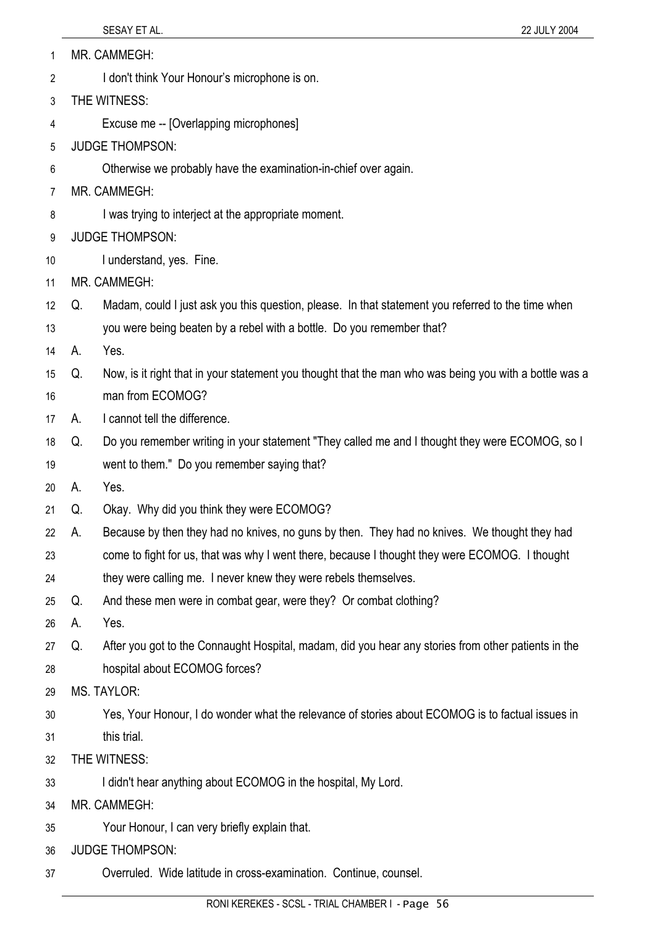| 1 | MR. CAMMEGH: |
|---|--------------|
|   |              |

- I don't think Your Honour's microphone is on. 2
- 3 THE WITNESS:
- 4 Excuse me -- [Overlapping microphones]
- 5 JUDGE THOMPSON:
- 6 Otherwise we probably have the examination-in-chief over again.
- 7 MR. CAMMEGH:
- 8 I was trying to interject at the appropriate moment.
- 9 JUDGE THOMPSON:
- 10 I understand, yes. Fine.
- 11 MR. CAMMEGH:
- 12 Q. Madam, could I just ask you this question, please. In that statement you referred to the time when
- 13 you were being beaten by a rebel with a bottle. Do you remember that?
- 14 A. Yes.
- 15 16 Q. Now, is it right that in your statement you thought that the man who was being you with a bottle was a man from ECOMOG?
- 17 A. I cannot tell the difference.
- 18 Q. Do you remember writing in your statement "They called me and I thought they were ECOMOG, so I
- 19 went to them." Do you remember saying that?
- 20 A. Yes.
- 21 Q. Okay. Why did you think they were ECOMOG?
- 22 A. Because by then they had no knives, no guns by then. They had no knives. We thought they had
- 23 come to fight for us, that was why I went there, because I thought they were ECOMOG. I thought
- 24 they were calling me. I never knew they were rebels themselves.
- 25 Q. And these men were in combat gear, were they? Or combat clothing?
- 26 A. Yes.
- 27 28 Q. After you got to the Connaught Hospital, madam, did you hear any stories from other patients in the hospital about ECOMOG forces?
- 29 MS. TAYLOR:
- 30 31 Yes, Your Honour, I do wonder what the relevance of stories about ECOMOG is to factual issues in this trial.
- 32 THE WITNESS:
- 33 I didn't hear anything about ECOMOG in the hospital, My Lord.
- 34 MR. CAMMEGH:
- 35 Your Honour, I can very briefly explain that.
- 36 JUDGE THOMPSON:
- 37 Overruled. Wide latitude in cross-examination. Continue, counsel.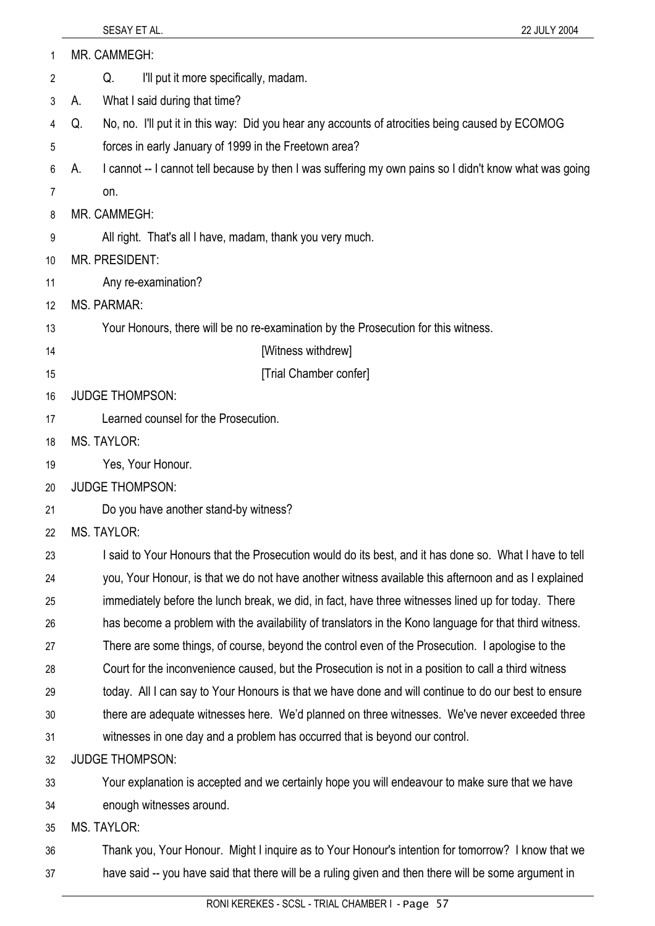| 1  | MR. CAMMEGH:                                                                                                 |  |  |
|----|--------------------------------------------------------------------------------------------------------------|--|--|
| 2  | I'll put it more specifically, madam.<br>Q.                                                                  |  |  |
| 3  | What I said during that time?<br>А.                                                                          |  |  |
| 4  | No, no. I'll put it in this way: Did you hear any accounts of atrocities being caused by ECOMOG<br>Q.        |  |  |
| 5  | forces in early January of 1999 in the Freetown area?                                                        |  |  |
| 6  | I cannot -- I cannot tell because by then I was suffering my own pains so I didn't know what was going<br>А. |  |  |
| 7  | on.                                                                                                          |  |  |
| 8  | MR. CAMMEGH:                                                                                                 |  |  |
| 9  | All right. That's all I have, madam, thank you very much.                                                    |  |  |
| 10 | <b>MR. PRESIDENT:</b>                                                                                        |  |  |
| 11 | Any re-examination?                                                                                          |  |  |
| 12 | <b>MS. PARMAR:</b>                                                                                           |  |  |
| 13 | Your Honours, there will be no re-examination by the Prosecution for this witness.                           |  |  |
| 14 | [Witness withdrew]                                                                                           |  |  |
| 15 | [Trial Chamber confer]                                                                                       |  |  |
| 16 | <b>JUDGE THOMPSON:</b>                                                                                       |  |  |
| 17 | Learned counsel for the Prosecution.                                                                         |  |  |
| 18 | <b>MS. TAYLOR:</b>                                                                                           |  |  |
| 19 | Yes, Your Honour.                                                                                            |  |  |
| 20 | <b>JUDGE THOMPSON:</b>                                                                                       |  |  |
| 21 | Do you have another stand-by witness?                                                                        |  |  |
| 22 | MS. TAYLOR:                                                                                                  |  |  |
| 23 | I said to Your Honours that the Prosecution would do its best, and it has done so. What I have to tell       |  |  |
| 24 | you, Your Honour, is that we do not have another witness available this afternoon and as I explained         |  |  |
| 25 | immediately before the lunch break, we did, in fact, have three witnesses lined up for today. There          |  |  |
| 26 | has become a problem with the availability of translators in the Kono language for that third witness.       |  |  |
| 27 | There are some things, of course, beyond the control even of the Prosecution. I apologise to the             |  |  |
| 28 | Court for the inconvenience caused, but the Prosecution is not in a position to call a third witness         |  |  |
| 29 | today. All I can say to Your Honours is that we have done and will continue to do our best to ensure         |  |  |
| 30 | there are adequate witnesses here. We'd planned on three witnesses. We've never exceeded three               |  |  |
| 31 | witnesses in one day and a problem has occurred that is beyond our control.                                  |  |  |
| 32 | <b>JUDGE THOMPSON:</b>                                                                                       |  |  |
| 33 | Your explanation is accepted and we certainly hope you will endeavour to make sure that we have              |  |  |
| 34 | enough witnesses around.                                                                                     |  |  |
| 35 | <b>MS. TAYLOR:</b>                                                                                           |  |  |
| 36 | Thank you, Your Honour. Might I inquire as to Your Honour's intention for tomorrow? I know that we           |  |  |
| 37 | have said -- you have said that there will be a ruling given and then there will be some argument in         |  |  |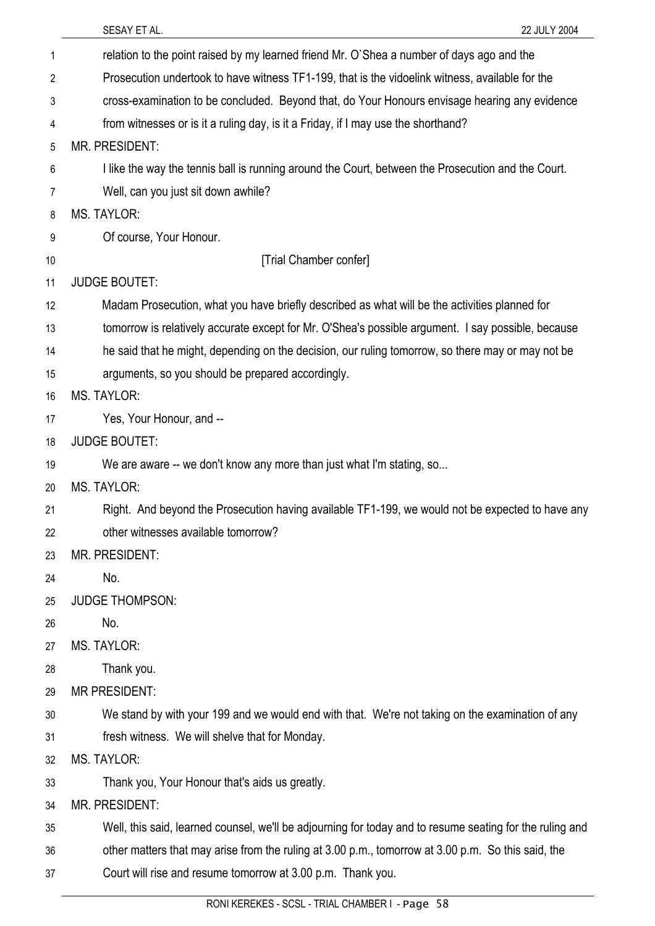|                | SESAY ET AL.<br>22 JULY 2004                                                                             |  |
|----------------|----------------------------------------------------------------------------------------------------------|--|
| 1              | relation to the point raised by my learned friend Mr. O'Shea a number of days ago and the                |  |
| $\overline{2}$ | Prosecution undertook to have witness TF1-199, that is the vidoelink witness, available for the          |  |
| 3              | cross-examination to be concluded. Beyond that, do Your Honours envisage hearing any evidence            |  |
| 4              | from witnesses or is it a ruling day, is it a Friday, if I may use the shorthand?                        |  |
| 5              | <b>MR. PRESIDENT:</b>                                                                                    |  |
| 6              | I like the way the tennis ball is running around the Court, between the Prosecution and the Court.       |  |
| 7              | Well, can you just sit down awhile?                                                                      |  |
| 8              | MS. TAYLOR:                                                                                              |  |
| 9              | Of course, Your Honour.                                                                                  |  |
| 10             | [Trial Chamber confer]                                                                                   |  |
| 11             | <b>JUDGE BOUTET:</b>                                                                                     |  |
| 12             | Madam Prosecution, what you have briefly described as what will be the activities planned for            |  |
| 13             | tomorrow is relatively accurate except for Mr. O'Shea's possible argument. I say possible, because       |  |
| 14             | he said that he might, depending on the decision, our ruling tomorrow, so there may or may not be        |  |
| 15             | arguments, so you should be prepared accordingly.                                                        |  |
| 16             | <b>MS. TAYLOR:</b>                                                                                       |  |
| 17             | Yes, Your Honour, and --                                                                                 |  |
| 18             | <b>JUDGE BOUTET:</b>                                                                                     |  |
| 19             | We are aware -- we don't know any more than just what I'm stating, so                                    |  |
| 20             | <b>MS. TAYLOR:</b>                                                                                       |  |
| 21             | Right. And beyond the Prosecution having available TF1-199, we would not be expected to have any         |  |
| 22             | other witnesses available tomorrow?                                                                      |  |
| 23             | MR. PRESIDENT:                                                                                           |  |
| 24             | No.                                                                                                      |  |
| 25             | <b>JUDGE THOMPSON:</b>                                                                                   |  |
| 26             | No.                                                                                                      |  |
| 27             | <b>MS. TAYLOR:</b>                                                                                       |  |
| 28             | Thank you.                                                                                               |  |
| 29             | <b>MR PRESIDENT:</b>                                                                                     |  |
| 30             | We stand by with your 199 and we would end with that. We're not taking on the examination of any         |  |
| 31             | fresh witness. We will shelve that for Monday.                                                           |  |
| 32             | <b>MS. TAYLOR:</b>                                                                                       |  |
| 33             | Thank you, Your Honour that's aids us greatly.                                                           |  |
| 34             | <b>MR. PRESIDENT:</b>                                                                                    |  |
| 35             | Well, this said, learned counsel, we'll be adjourning for today and to resume seating for the ruling and |  |
| 36             | other matters that may arise from the ruling at 3.00 p.m., tomorrow at 3.00 p.m. So this said, the       |  |
| 37             | Court will rise and resume tomorrow at 3.00 p.m. Thank you.                                              |  |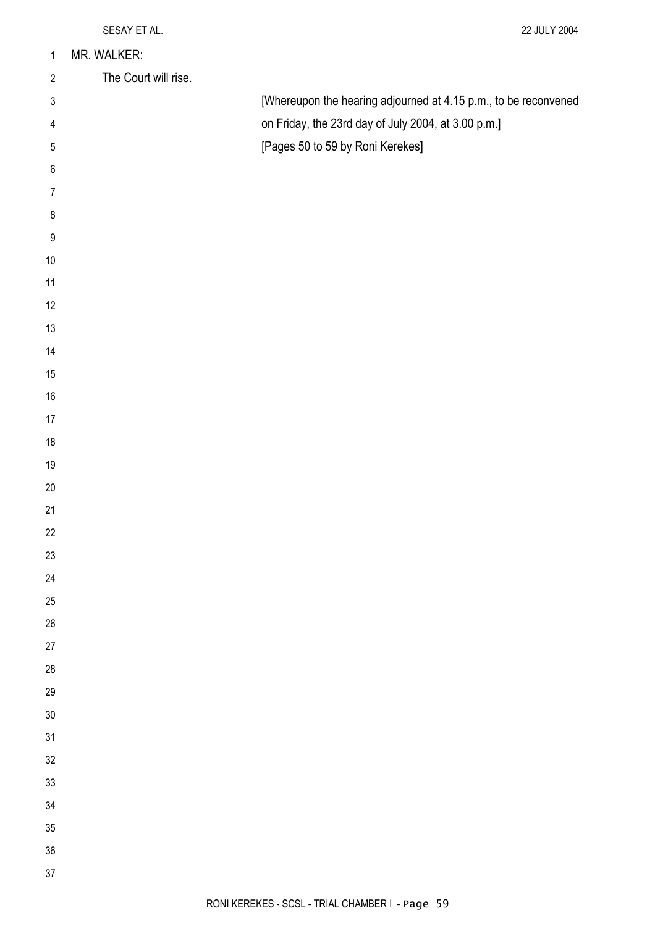| $\mathbf{1}$             | MR. WALKER:          |                                                                 |
|--------------------------|----------------------|-----------------------------------------------------------------|
| $\overline{2}$           | The Court will rise. |                                                                 |
| $\sqrt{3}$               |                      | [Whereupon the hearing adjourned at 4.15 p.m., to be reconvened |
| $\overline{\mathcal{A}}$ |                      | on Friday, the 23rd day of July 2004, at 3.00 p.m.]             |
| $\mathbf 5$              |                      | [Pages 50 to 59 by Roni Kerekes]                                |
| $\,6\,$                  |                      |                                                                 |
| $\overline{7}$           |                      |                                                                 |
| $\bf 8$                  |                      |                                                                 |
| $\boldsymbol{9}$         |                      |                                                                 |
| $10\,$                   |                      |                                                                 |
| 11                       |                      |                                                                 |
| 12                       |                      |                                                                 |
| $13$                     |                      |                                                                 |
| 14                       |                      |                                                                 |
| 15                       |                      |                                                                 |
| $16\,$                   |                      |                                                                 |
| $17\,$                   |                      |                                                                 |
| $18\,$                   |                      |                                                                 |
| $19$                     |                      |                                                                 |
| $20\,$<br>21             |                      |                                                                 |
| 22                       |                      |                                                                 |
| 23                       |                      |                                                                 |
| 24                       |                      |                                                                 |
| 25                       |                      |                                                                 |
| $26\,$                   |                      |                                                                 |
| 27                       |                      |                                                                 |
| $28\,$                   |                      |                                                                 |
| 29                       |                      |                                                                 |
| $30\,$                   |                      |                                                                 |
| 31                       |                      |                                                                 |
| 32                       |                      |                                                                 |
| 33                       |                      |                                                                 |
| 34                       |                      |                                                                 |
| $35\,$                   |                      |                                                                 |
| 36                       |                      |                                                                 |
| 37                       |                      |                                                                 |